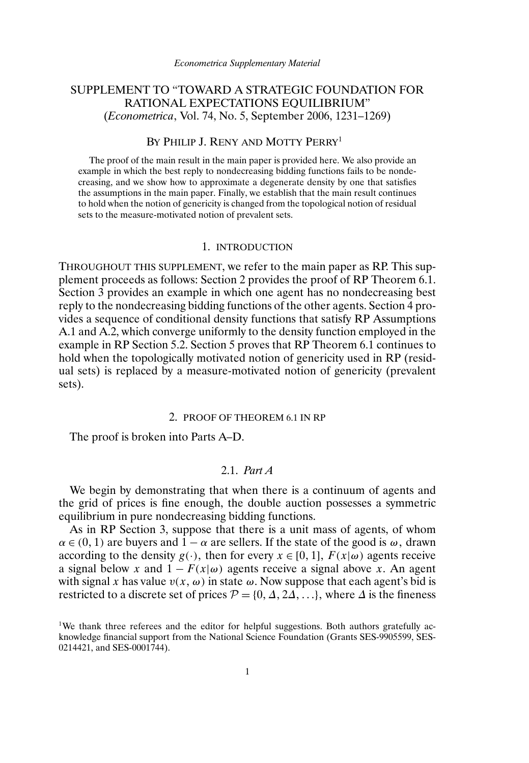# SUPPLEMENT TO "TOWARD A STRATEGIC FOUNDATION FOR RATIONAL EXPECTATIONS EQUILIBRIUM" (*Econometrica*, Vol. 74, No. 5, September 2006, 1231–1269)

## BY PHILIP J. RENY AND MOTTY PERRY<sup>1</sup>

The proof of the main result in the main paper is provided here. We also provide an example in which the best reply to nondecreasing bidding functions fails to be nondecreasing, and we show how to approximate a degenerate density by one that satisfies the assumptions in the main paper. Finally, we establish that the main result continues to hold when the notion of genericity is changed from the topological notion of residual sets to the measure-motivated notion of prevalent sets.

### 1. INTRODUCTION

THROUGHOUT THIS SUPPLEMENT, we refer to the main paper as RP. This supplement proceeds as follows: Section 2 provides the proof of RP Theorem 6.1. Section 3 provides an example in which one agent has no nondecreasing best reply to the nondecreasing bidding functions of the other agents. Section 4 provides a sequence of conditional density functions that satisfy RP Assumptions A.1 and A.2, which converge uniformly to the density function employed in the example in RP Section 5.2. Section 5 proves that RP Theorem 6.1 continues to hold when the topologically motivated notion of genericity used in RP (residual sets) is replaced by a measure-motivated notion of genericity (prevalent sets).

### 2. PROOF OF THEOREM 6.1 IN RP

The proof is broken into Parts A–D.

## 2.1. *Part A*

We begin by demonstrating that when there is a continuum of agents and the grid of prices is fine enough, the double auction possesses a symmetric equilibrium in pure nondecreasing bidding functions.

As in RP Section 3, suppose that there is a unit mass of agents, of whom  $\alpha \in (0, 1)$  are buyers and  $1 - \alpha$  are sellers. If the state of the good is  $\omega$ , drawn according to the density  $g(\cdot)$ , then for every  $x \in [0, 1]$ ,  $F(x|\omega)$  agents receive a signal below x and  $1 - F(x|\omega)$  agents receive a signal above x. An agent with signal x has value  $v(x, \omega)$  in state  $\omega$ . Now suppose that each agent's bid is restricted to a discrete set of prices  $P = \{0, \Delta, 2\Delta, ...\}$ , where  $\Delta$  is the fineness

<sup>&</sup>lt;sup>1</sup>We thank three referees and the editor for helpful suggestions. Both authors gratefully acknowledge financial support from the National Science Foundation (Grants SES-9905599, SES-0214421, and SES-0001744).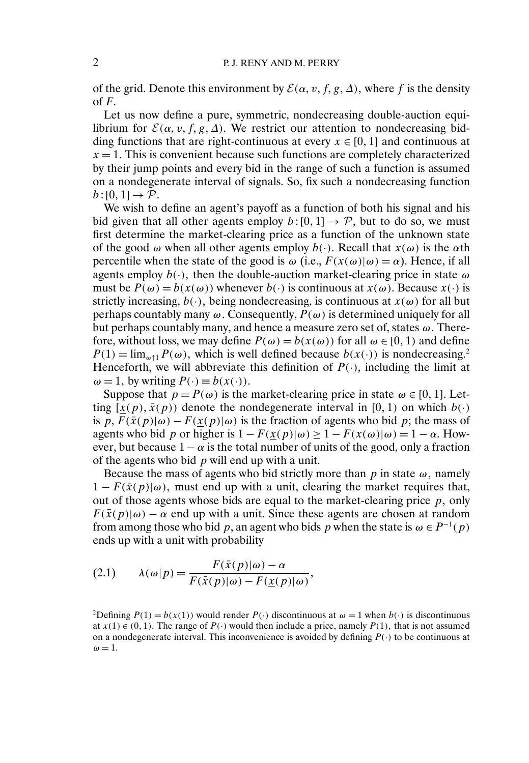of the grid. Denote this environment by  $\mathcal{E}(\alpha, v, f, g, \Delta)$ , where f is the density of  $F$ .

Let us now define a pure, symmetric, nondecreasing double-auction equilibrium for  $\mathcal{E}(\alpha, v, f, g, \Delta)$ . We restrict our attention to nondecreasing bidding functions that are right-continuous at every  $x \in [0, 1]$  and continuous at  $x = 1$ . This is convenient because such functions are completely characterized by their jump points and every bid in the range of such a function is assumed on a nondegenerate interval of signals. So, fix such a nondecreasing function  $b:[0,1] \rightarrow \mathcal{P}.$ 

We wish to define an agent's payoff as a function of both his signal and his bid given that all other agents employ  $b:[0,1] \to \mathcal{P}$ , but to do so, we must first determine the market-clearing price as a function of the unknown state of the good  $\omega$  when all other agents employ  $b(\cdot)$ . Recall that  $x(\omega)$  is the  $\alpha$ th percentile when the state of the good is  $\omega$  (i.e.,  $F(x(\omega)|\omega) = \alpha$ ). Hence, if all agents employ  $b(\cdot)$ , then the double-auction market-clearing price in state  $\omega$ must be  $P(\omega) = b(x(\omega))$  whenever  $b(\cdot)$  is continuous at  $x(\omega)$ . Because  $x(\cdot)$  is strictly increasing,  $b(\cdot)$ , being nondecreasing, is continuous at  $x(\omega)$  for all but perhaps countably many  $\omega$ . Consequently,  $P(\omega)$  is determined uniquely for all but perhaps countably many, and hence a measure zero set of, states  $\omega$ . Therefore, without loss, we may define  $P(\omega) = b(x(\omega))$  for all  $\omega \in [0, 1)$  and define  $P(1) = \lim_{\omega \uparrow 1} P(\omega)$ , which is well defined because  $b(x(\cdot))$  is nondecreasing.<sup>2</sup> Henceforth, we will abbreviate this definition of  $P(\cdot)$ , including the limit at  $\omega = 1$ , by writing  $P(\cdot) \equiv b(x(\cdot))$ .

Suppose that  $p = P(\omega)$  is the market-clearing price in state  $\omega \in [0, 1]$ . Letting  $[\underline{x}(p), \overline{x}(p)]$  denote the nondegenerate interval in [0, 1) on which  $b(\cdot)$ is p,  $F(\bar{x}(p)|\omega) - F(x(p)|\omega)$  is the fraction of agents who bid p; the mass of agents who bid p or higher is  $1 - F(x(p)|\omega) > 1 - F(x(\omega)|\omega) = 1 - \alpha$ . However, but because  $1 - \alpha$  is the total number of units of the good, only a fraction of the agents who bid  $p$  will end up with a unit.

Because the mass of agents who bid strictly more than p in state  $\omega$ , namely  $1 - F(\bar{x}(p)|\omega)$ , must end up with a unit, clearing the market requires that, out of those agents whose bids are equal to the market-clearing price  $p$ , only  $F(\bar{x}(p)|\omega) - \alpha$  end up with a unit. Since these agents are chosen at random from among those who bid p, an agent who bids p when the state is  $\omega \in P^{-1}(p)$ ends up with a unit with probability

(2.1) 
$$
\lambda(\omega|p) = \frac{F(\bar{x}(p)|\omega) - \alpha}{F(\bar{x}(p)|\omega) - F(\underline{x}(p)|\omega)},
$$

<sup>2</sup>Defining  $P(1) = b(x(1))$  would render  $P(\cdot)$  discontinuous at  $\omega = 1$  when  $b(\cdot)$  is discontinuous at  $x(1) \in (0, 1)$ . The range of  $P(\cdot)$  would then include a price, namely  $P(1)$ , that is not assumed on a nondegenerate interval. This inconvenience is avoided by defining  $P(\cdot)$  to be continuous at  $\omega = 1.$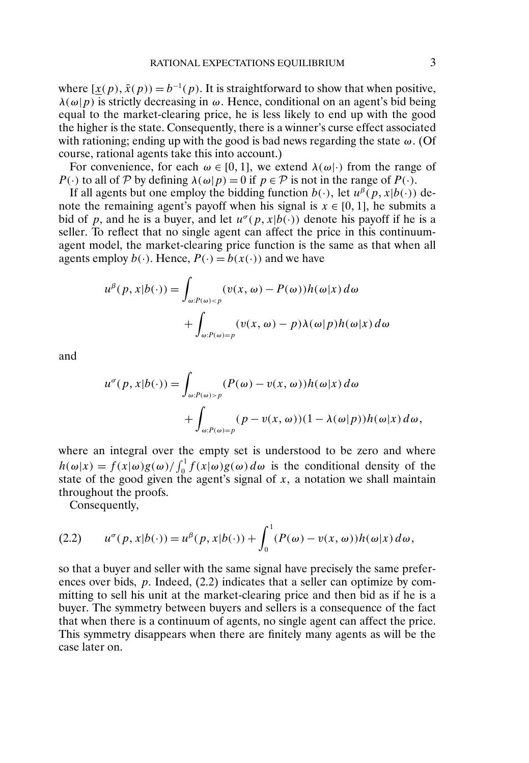where  $[\underline{x}(p), \overline{x}(p)] = b^{-1}(p)$ . It is straightforward to show that when positive,  $\lambda(\omega|p)$  is strictly decreasing in  $\omega$ . Hence, conditional on an agent's bid being equal to the market-clearing price, he is less likely to end up with the good the higher is the state. Consequently, there is a winner's curse effect associated with rationing; ending up with the good is bad news regarding the state  $\omega$ . (Of course, rational agents take this into account.)

For convenience, for each  $\omega \in [0, 1]$ , we extend  $\lambda(\omega)$  from the range of P(·) to all of P by defining  $\lambda(\omega|p) = 0$  if  $p \in \mathcal{P}$  is not in the range of P(·).

If all agents but one employ the bidding function  $b(\cdot)$ , let  $u^{\beta}(p, x|b(\cdot))$  denote the remaining agent's payoff when his signal is  $x \in [0, 1]$ , he submits a bid of p, and he is a buyer, and let  $u^{\sigma}(p, x|b(\cdot))$  denote his payoff if he is a seller. To reflect that no single agent can affect the price in this continuumagent model, the market-clearing price function is the same as that when all agents employ  $b(.)$ . Hence,  $P(.) = b(x(.))$  and we have

$$
u^{\beta}(p, x|b(\cdot)) = \int_{\omega: P(\omega) < p} (v(x, \omega) - P(\omega))h(\omega|x) d\omega
$$

$$
+ \int_{\omega: P(\omega) = p} (v(x, \omega) - p)\lambda(\omega|p)h(\omega|x) d\omega
$$

and

$$
u^{\sigma}(p, x|b(\cdot)) = \int_{\omega: P(\omega) > p} (P(\omega) - v(x, \omega))h(\omega|x) d\omega + \int_{\omega: P(\omega) = p} (p - v(x, \omega))(1 - \lambda(\omega|p))h(\omega|x) d\omega,
$$

where an integral over the empty set is understood to be zero and where  $h(\omega|x) = f(x|\omega)g(\omega)/\int_0^1 f(x|\omega)g(\omega) d\omega$  is the conditional density of the state of the good given the agent's signal of  $x$ , a notation we shall maintain throughout the proofs.

Consequently,

(2.2) 
$$
u^{\sigma}(p, x|b(\cdot)) = u^{\beta}(p, x|b(\cdot)) + \int_0^1 (P(\omega) - v(x, \omega))h(\omega|x) d\omega,
$$

so that a buyer and seller with the same signal have precisely the same preferences over bids, p. Indeed, (2.2) indicates that a seller can optimize by committing to sell his unit at the market-clearing price and then bid as if he is a buyer. The symmetry between buyers and sellers is a consequence of the fact that when there is a continuum of agents, no single agent can affect the price. This symmetry disappears when there are finitely many agents as will be the case later on.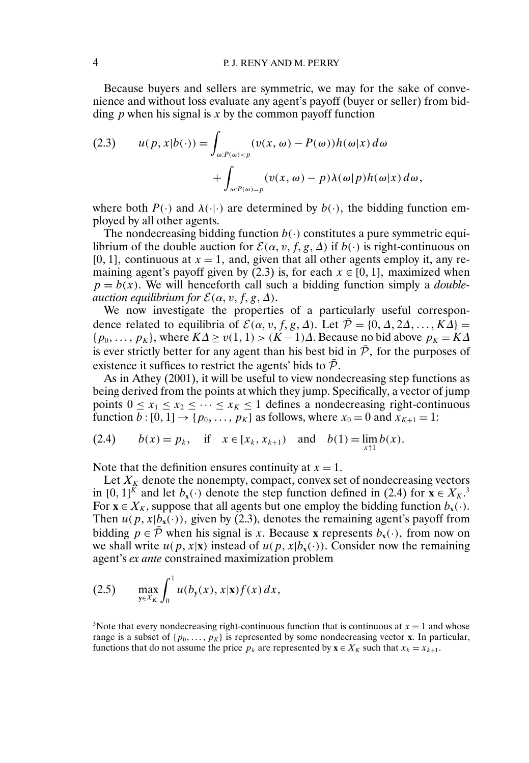Because buyers and sellers are symmetric, we may for the sake of convenience and without loss evaluate any agent's payoff (buyer or seller) from bidding  $p$  when his signal is  $x$  by the common payoff function

(2.3) 
$$
u(p, x|b(\cdot)) = \int_{\omega: P(\omega) < p} (v(x, \omega) - P(\omega))h(\omega|x) d\omega + \int_{\omega: P(\omega) = p} (v(x, \omega) - p)\lambda(\omega|p)h(\omega|x) d\omega,
$$

where both  $P(\cdot)$  and  $\lambda(\cdot | \cdot)$  are determined by  $b(\cdot)$ , the bidding function employed by all other agents.

The nondecreasing bidding function  $b(\cdot)$  constitutes a pure symmetric equilibrium of the double auction for  $\mathcal{E}(\alpha, v, f, g, \Delta)$  if  $b(\cdot)$  is right-continuous on [0, 1], continuous at  $x = 1$ , and, given that all other agents employ it, any remaining agent's payoff given by  $(2.3)$  is, for each  $x \in [0, 1]$ , maximized when  $p = b(x)$ . We will henceforth call such a bidding function simply a *double* $a$ *uction equilibrium for*  $\mathcal{E}(\alpha, v, f, g, \Delta)$ .

We now investigate the properties of a particularly useful correspondence related to equilibria of  $\mathcal{E}(\alpha, v, f, g, \Delta)$ . Let  $\overline{\mathcal{P}} = \{0, \Delta, 2\Delta, ..., K\overline{\Delta}\}$  $\{p_0, \ldots, p_K\}$ , where  $K\Delta \ge v(1, 1) > (K-1)\Delta$ . Because no bid above  $p_K = K\Delta$ is ever strictly better for any agent than his best bid in  $\bar{P}$ , for the purposes of existence it suffices to restrict the agents' bids to  $\bar{P}$ .

As in Athey (2001), it will be useful to view nondecreasing step functions as being derived from the points at which they jump. Specifically, a vector of jump points  $0 \le x_1 \le x_2 \le \cdots \le x_K \le 1$  defines a nondecreasing right-continuous function  $b: [0, 1] \rightarrow \{p_0, \ldots, p_K\}$  as follows, where  $x_0 = 0$  and  $x_{K+1} = 1$ :

(2.4) 
$$
b(x) = p_k
$$
, if  $x \in [x_k, x_{k+1})$  and  $b(1) = \lim_{x \uparrow 1} b(x)$ .

Note that the definition ensures continuity at  $x = 1$ .

Let  $X_K$  denote the nonempty, compact, convex set of nondecreasing vectors in [0, 1]<sup>K</sup> and let  $b_x(\cdot)$  denote the step function defined in (2.4) for  $\mathbf{x} \in X_K$ <sup>3</sup> For  $\mathbf{x} \in X_K$ , suppose that all agents but one employ the bidding function  $b_{\mathbf{x}}(\cdot)$ . Then  $u(p, x|b_x(\cdot))$ , given by (2.3), denotes the remaining agent's payoff from bidding  $p \in \overline{P}$  when his signal is x. Because **x** represents  $b_x(\cdot)$ , from now on we shall write  $u(p, x | \mathbf{x})$  instead of  $u(p, x | b_x(\cdot))$ . Consider now the remaining agent's *ex ante* constrained maximization problem

(2.5) 
$$
\max_{y \in X_K} \int_0^1 u(b_y(x), x | \mathbf{x}) f(x) dx,
$$

<sup>3</sup>Note that every nondecreasing right-continuous function that is continuous at  $x = 1$  and whose range is a subset of  $\{p_0, \ldots, p_K\}$  is represented by some nondecreasing vector **x**. In particular, functions that do not assume the price  $p_k$  are represented by  $\mathbf{x} \in X_K$  such that  $x_k = x_{k+1}$ .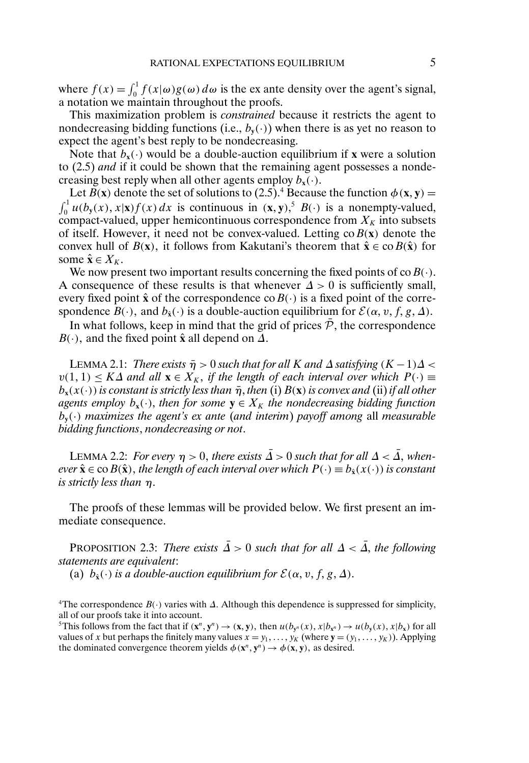where  $f(x) = \int_0^1 f(x|\omega)g(\omega) d\omega$  is the ex ante density over the agent's signal, a notation we maintain throughout the proofs.

This maximization problem is *constrained* because it restricts the agent to nondecreasing bidding functions (i.e.,  $b_{\mathbf{v}}(\cdot)$ ) when there is as yet no reason to expect the agent's best reply to be nondecreasing.

Note that  $b_x(\cdot)$  would be a double-auction equilibrium if **x** were a solution to (2.5) *and* if it could be shown that the remaining agent possesses a nondecreasing best reply when all other agents employ  $b_x(\cdot)$ .

Let  $B(x)$  denote the set of solutions to (2.5).<sup>4</sup> Because the function  $\phi(x, y) =$  $\int_0^1 u(b_y(x), x | \mathbf{x}) f(x) dx$  is continuous in  $(\mathbf{x}, \mathbf{y})$ ,  $B(\cdot)$  is a nonempty-valued, compact-valued, upper hemicontinuous correspondence from  $X_K$  into subsets of itself. However, it need not be convex-valued. Letting  $\cos B(x)$  denote the convex hull of  $B(x)$ , it follows from Kakutani's theorem that  $\hat{x} \in \text{co } B(\hat{x})$  for some  $\hat{\mathbf{x}} \in X_K$ .

We now present two important results concerning the fixed points of co $B(\cdot)$ . A consequence of these results is that whenever  $\Delta > 0$  is sufficiently small, every fixed point  $\hat{x}$  of the correspondence co $B(\cdot)$  is a fixed point of the correspondence  $B(\cdot)$ , and  $b_{\hat{x}}(\cdot)$  is a double-auction equilibrium for  $\mathcal{E}(\alpha, v, f, g, \Delta)$ .

In what follows, keep in mind that the grid of prices  $\bar{\mathcal{P}}$ , the correspondence  $B(·)$ , and the fixed point  $\hat{x}$  all depend on  $\Delta$ .

LEMMA 2.1: *There exists*  $\bar{\eta} > 0$  *such that for all* K *and*  $\Delta$  *satisfying*  $(K - 1)\Delta < \Delta$  $v(1,1) \leq K\Delta$  and all  $\mathbf{x} \in X_K$ , if the length of each interval over which  $P(\cdot) \equiv$  $b_x(x(\cdot))$  *is constant is strictly less than*  $\bar{\eta}$ , *then* (i)  $B(x)$  *is convex and* (ii) *if all other agents employ*  $b_x(\cdot)$ , *then for some*  $y \in X_K$  *the nondecreasing bidding function*  $b_{\mathbf{v}}(\cdot)$  *maximizes the agent's ex ante (and interim) payoff among all measurable bidding functions*, *nondecreasing or not*.

LEMMA 2.2: *For every*  $\eta > 0$ , there exists  $\overline{\Lambda} > 0$  such that for all  $\Delta < \overline{\Lambda}$ , when $ever \hat{\mathbf{x}} \in \text{co } B(\hat{\mathbf{x}})$ , the length of each interval over which  $P(\cdot) \equiv b_{\hat{\mathbf{x}}}(x(\cdot))$  is constant *is strictly less than* η

The proofs of these lemmas will be provided below. We first present an immediate consequence.

PROPOSITION 2.3: *There exists*  $\overline{\Delta} > 0$  *such that for all*  $\Delta < \overline{\Delta}$ *, the following statements are equivalent*:

(a)  $b_{\hat{\mathbf{x}}}(\cdot)$  *is a double-auction equilibrium for*  $\mathcal{E}(\alpha, v, f, g, \Delta)$ *.* 

<sup>4</sup>The correspondence  $B(\cdot)$  varies with  $\Delta$ . Although this dependence is suppressed for simplicity, all of our proofs take it into account.

<sup>5</sup>This follows from the fact that if  $(\mathbf{x}^n, \mathbf{y}^n) \to (\mathbf{x}, \mathbf{y})$ , then  $u(b_{\mathbf{y}^n}(x), x|b_{\mathbf{x}^n}) \to u(b_{\mathbf{y}}(x), x|b_{\mathbf{x}})$  for all values of x but perhaps the finitely many values  $x = y_1, \dots, y_K$  (where  $\mathbf{y} = (y_1, \dots, y_K)$ ). Applying the dominated convergence theorem yields  $\phi(\mathbf{x}^n, \mathbf{y}^n) \rightarrow \phi(\mathbf{x}, \mathbf{y})$ , as desired.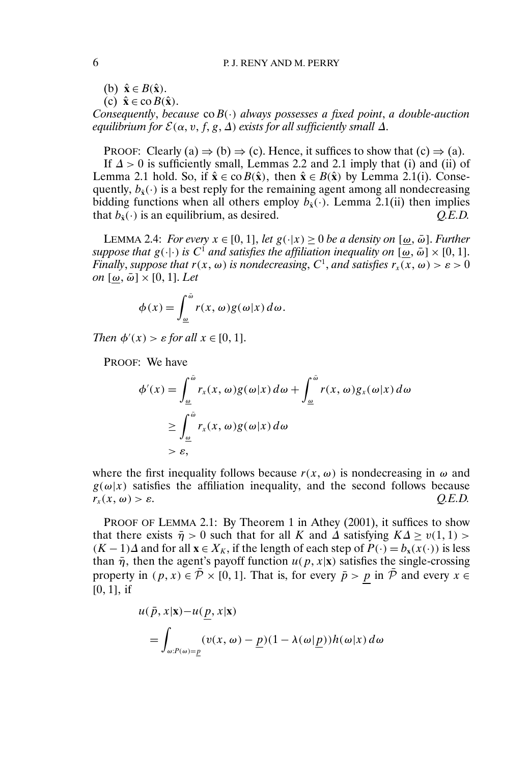(b)  $\hat{\mathbf{x}} \in B(\hat{\mathbf{x}})$ .

 $(c)$   $\hat{\mathbf{x}} \in \text{co } B(\hat{\mathbf{x}})$ .

*Consequently*, *because* coB(·) *always possesses a fixed point*, *a double-auction*  $\epsilon$ quilibrium for  $\mathcal{E}(\alpha, v, f, g, \Delta)$  exists for all sufficiently small  $\Delta$ .

PROOF: Clearly (a)  $\Rightarrow$  (b)  $\Rightarrow$  (c). Hence, it suffices to show that (c)  $\Rightarrow$  (a).

If  $\Delta > 0$  is sufficiently small, Lemmas 2.2 and 2.1 imply that (i) and (ii) of Lemma 2.1 hold. So, if  $\hat{\mathbf{x}} \in \text{co } B(\hat{\mathbf{x}})$ , then  $\hat{\mathbf{x}} \in B(\hat{\mathbf{x}})$  by Lemma 2.1(i). Consequently,  $b_{\hat{x}}(\cdot)$  is a best reply for the remaining agent among all nondecreasing bidding functions when all others employ  $b_{\hat{x}}(\cdot)$ . Lemma 2.1(ii) then implies that  $b_{\hat{x}}(\cdot)$  is an equilibrium, as desired.  $Q.E.D.$ 

LEMMA 2.4: *For every*  $x \in [0, 1]$ , *let*  $g(\cdot|x) \ge 0$  *be a density on*  $[\omega, \bar{\omega}]$ *. Further suppose that*  $g(\cdot|\cdot)$  *is*  $C^1$  *and satisfies the affiliation inequality on*  $[\omega, \bar{\omega}] \times [0, 1]$ *. Finally, suppose that*  $r(x, \omega)$  *is nondecreasing, C*<sup>1</sup>, *and satisfies*  $r_x(x, \omega) > \varepsilon > 0$  $\omega$  ( $\underline{\omega}$ ,  $\bar{\omega}$   $]\times$  [0, 1]. Let

$$
\phi(x) = \int_{\omega}^{\bar{\omega}} r(x, \omega) g(\omega|x) d\omega.
$$

*Then*  $\phi'(x) > \varepsilon$  *for all*  $x \in [0, 1]$ *.* 

PROOF: We have

$$
\phi'(x) = \int_{\underline{\omega}}^{\overline{\omega}} r_x(x, \omega) g(\omega|x) d\omega + \int_{\underline{\omega}}^{\overline{\omega}} r(x, \omega) g_x(\omega|x) d\omega
$$
  
\n
$$
\geq \int_{\underline{\omega}}^{\overline{\omega}} r_x(x, \omega) g(\omega|x) d\omega
$$
  
\n
$$
> \varepsilon,
$$

where the first inequality follows because  $r(x, \omega)$  is nondecreasing in  $\omega$  and  $g(\omega|x)$  satisfies the affiliation inequality, and the second follows because  $r_{r}(x, \omega) > \varepsilon.$  $\omega$ ) >  $\varepsilon$ .  $Q.E.D.$ 

PROOF OF LEMMA 2.1: By Theorem 1 in Athey (2001), it suffices to show that there exists  $\bar{\eta} > 0$  such that for all K and  $\Delta$  satisfying  $K\Delta \ge v(1,1) >$  $(K-1)\Delta$  and for all **x** ∈  $X_K$ , if the length of each step of  $P(\cdot) = b_x(x(\cdot))$  is less than  $\bar{\eta}$ , then the agent's payoff function  $u(p, x|\mathbf{x})$  satisfies the single-crossing property in  $(p, x) \in \bar{\mathcal{P}} \times [0, 1]$ . That is, for every  $\bar{p} > p$  in  $\bar{\mathcal{P}}$  and every  $x \in$  $[0, 1]$ , if

$$
u(\bar{p}, x | \mathbf{x}) - u(\underline{p}, x | \mathbf{x})
$$
  
= 
$$
\int_{\omega: P(\omega) = \underline{p}} (v(x, \omega) - \underline{p})(1 - \lambda(\omega | \underline{p})) h(\omega | x) d\omega
$$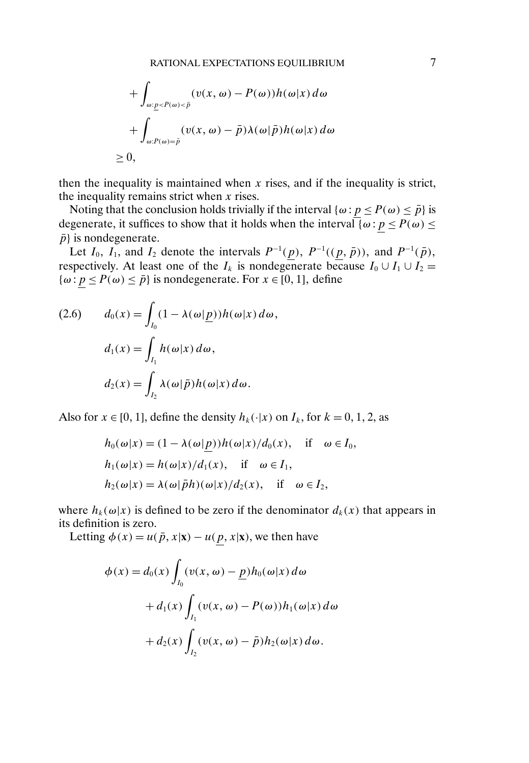$$
+\int_{\omega:\underline{p}  
+
$$
\int_{\omega:P(\omega)=\overline{p}}(v(x,\omega)-\overline{p})\lambda(\omega|\overline{p})h(\omega|x) d\omega
$$
  

$$
\geq 0,
$$
$$

then the inequality is maintained when  $x$  rises, and if the inequality is strict, the inequality remains strict when  $x$  rises.

Noting that the conclusion holds trivially if the interval { $\omega$  :  $p \le P(\omega) \le \bar{p}$ } is degenerate, it suffices to show that it holds when the interval  $\sqrt{\omega}$ :  $p \le P(\omega) \le$  $\bar{p}$ } is nondegenerate.

Let  $I_0$ ,  $I_1$ , and  $I_2$  denote the intervals  $P^{-1}(p)$ ,  $P^{-1}((p, \bar{p}))$ , and  $P^{-1}(\bar{p})$ , respectively. At least one of the  $I_k$  is nondegenerate because  $I_0 \cup I_1 \cup I_2 =$  $\{\omega : p \leq P(\omega) \leq \bar{p}\}\$ is nondegenerate. For  $x \in [0, 1]$ , define

(2.6) 
$$
d_0(x) = \int_{I_0} (1 - \lambda(\omega | \underline{p})) h(\omega | x) d\omega,
$$

$$
d_1(x) = \int_{I_1} h(\omega | x) d\omega,
$$

$$
d_2(x) = \int_{I_2} \lambda(\omega | \overline{p}) h(\omega | x) d\omega.
$$

Also for  $x \in [0, 1]$ , define the density  $h_k(\cdot | x)$  on  $I_k$ , for  $k = 0, 1, 2$ , as

$$
h_0(\omega|x) = (1 - \lambda(\omega|\underline{p}))h(\omega|x)/d_0(x), \quad \text{if} \quad \omega \in I_0,
$$
  
\n
$$
h_1(\omega|x) = h(\omega|x)/d_1(x), \quad \text{if} \quad \omega \in I_1,
$$
  
\n
$$
h_2(\omega|x) = \lambda(\omega|\bar{p}h)(\omega|x)/d_2(x), \quad \text{if} \quad \omega \in I_2,
$$

where  $h_k(\omega|x)$  is defined to be zero if the denominator  $d_k(x)$  that appears in its definition is zero.

Letting  $\phi(x) = u(\bar{p}, x | \mathbf{x}) - u(p, x | \mathbf{x})$ , we then have

$$
\phi(x) = d_0(x) \int_{I_0} (v(x, \omega) - \underline{p}) h_0(\omega | x) d\omega
$$
  
+  $d_1(x) \int_{I_1} (v(x, \omega) - P(\omega)) h_1(\omega | x) d\omega$   
+  $d_2(x) \int_{I_2} (v(x, \omega) - \overline{p}) h_2(\omega | x) d\omega.$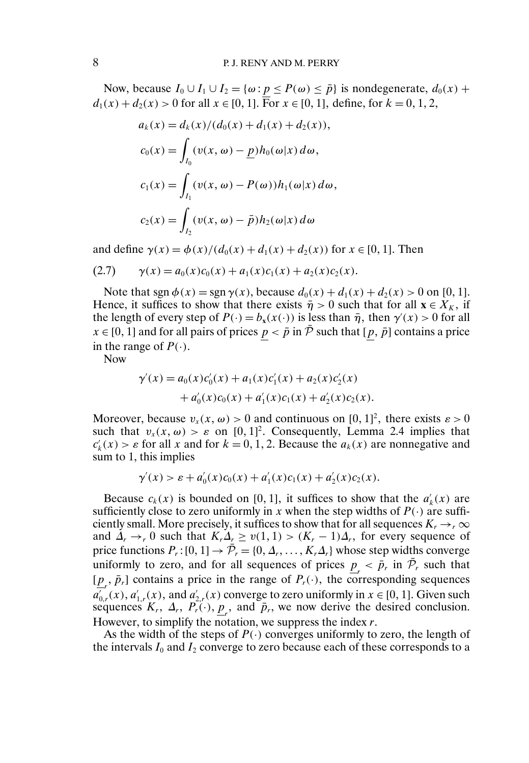Now, because  $I_0 \cup I_1 \cup I_2 = \{\omega : p \leq P(\omega) \leq \overline{p}\}\$ is nondegenerate,  $d_0(x)$  +  $d_1(x) + d_2(x) > 0$  for all  $x \in [0, 1]$ . For  $x \in [0, 1]$ , define, for  $k = 0, 1, 2$ ,

$$
a_k(x) = d_k(x)/(d_0(x) + d_1(x) + d_2(x)),
$$
  
\n
$$
c_0(x) = \int_{I_0} (v(x, \omega) - \underline{p}) h_0(\omega|x) d\omega,
$$
  
\n
$$
c_1(x) = \int_{I_1} (v(x, \omega) - P(\omega)) h_1(\omega|x) d\omega,
$$
  
\n
$$
c_2(x) = \int_{I_2} (v(x, \omega) - \overline{p}) h_2(\omega|x) d\omega
$$

and define  $\gamma(x) = \phi(x)/(d_0(x) + d_1(x) + d_2(x))$  for  $x \in [0, 1]$ . Then

$$
(2.7) \t\t \gamma(x) = a_0(x)c_0(x) + a_1(x)c_1(x) + a_2(x)c_2(x).
$$

Note that sgn  $\phi(x) = \text{sgn }\gamma(x)$ , because  $d_0(x) + d_1(x) + d_2(x) > 0$  on [0, 1]. Hence, it suffices to show that there exists  $\bar{\eta} > 0$  such that for all  $\mathbf{x} \in X_K$ , if the length of every step of  $P(\cdot) = b_x(x(\cdot))$  is less than  $\bar{\eta}$ , then  $\gamma'(x) > 0$  for all  $x \in [0, 1]$  and for all pairs of prices  $\underline{p} < \overline{p}$  in  $\overline{P}$  such that  $[\underline{p}, \overline{p}]$  contains a price in the range of  $P(\cdot)$ .

Now

$$
\gamma'(x) = a_0(x)c'_0(x) + a_1(x)c'_1(x) + a_2(x)c'_2(x) + a'_0(x)c_0(x) + a'_1(x)c_1(x) + a'_2(x)c_2(x).
$$

Moreover, because  $v_x(x, \omega) > 0$  and continuous on  $[0, 1]^2$ , there exists  $\varepsilon > 0$ such that  $v_x(x, \omega) > \varepsilon$  on [0, 1]<sup>2</sup>. Consequently, Lemma 2.4 implies that  $c'_k(x) > \varepsilon$  for all x and for  $k = 0, 1, 2$ . Because the  $a_k(x)$  are nonnegative and sum to 1, this implies

$$
\gamma'(x) > \varepsilon + a'_0(x)c_0(x) + a'_1(x)c_1(x) + a'_2(x)c_2(x).
$$

Because  $c_k(x)$  is bounded on [0, 1], it suffices to show that the  $a'_k(x)$  are sufficiently close to zero uniformly in x when the step widths of  $P(\cdot)$  are sufficiently small. More precisely, it suffices to show that for all sequences  $K_r \rightarrow_r \infty$ and  $\Delta_r \rightarrow_r 0$  such that  $K_r \Delta_r \geq v(1,1) > (K_r - 1)\Delta_r$ , for every sequence of price functions  $P_r$ :  $[0, 1] \rightarrow \overline{P}_r = \{0, \Delta_r, \ldots, K_r\Delta_r\}$  whose step widths converge uniformly to zero, and for all sequences of prices  $p_r < \bar{p}_r$  in  $\bar{\mathcal{P}}_r$  such that  $[\underline{p}_r, \bar{p}_r]$  contains a price in the range of  $P_r(\cdot)$ , the corresponding sequences  $a'_{0,r}(x)$ ,  $a'_{1,r}(x)$ , and  $a'_{2,r}(x)$  converge to zero uniformly in  $x \in [0, 1]$ . Given such sequences  $K_r$ ,  $\Delta_r$ ,  $P_r(\cdot)$ ,  $\underline{p}_r$ , and  $\bar{p}_r$ , we now derive the desired conclusion. However, to simplify the notation, we suppress the index  $r$ .

As the width of the steps of  $P(\cdot)$  converges uniformly to zero, the length of the intervals  $I_0$  and  $I_2$  converge to zero because each of these corresponds to a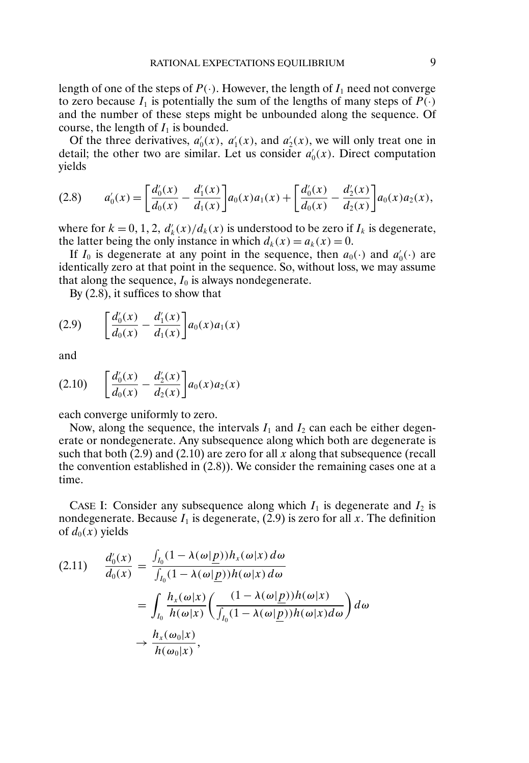length of one of the steps of  $P(\cdot)$ . However, the length of  $I_1$  need not converge to zero because  $I_1$  is potentially the sum of the lengths of many steps of  $P(\cdot)$ and the number of these steps might be unbounded along the sequence. Of course, the length of  $I_1$  is bounded.

Of the three derivatives,  $a'_0(x)$ ,  $a'_1(x)$ , and  $a'_2(x)$ , we will only treat one in detail; the other two are similar. Let us consider  $a'_0(x)$ . Direct computation yields

$$
(2.8) \t a'_0(x) = \left[\frac{d'_0(x)}{d_0(x)} - \frac{d'_1(x)}{d_1(x)}\right]a_0(x)a_1(x) + \left[\frac{d'_0(x)}{d_0(x)} - \frac{d'_2(x)}{d_2(x)}\right]a_0(x)a_2(x),
$$

where for  $k = 0, 1, 2, d'_{k}(x)/d_{k}(x)$  is understood to be zero if  $I_{k}$  is degenerate, the latter being the only instance in which  $d_k(x) = a_k(x) = 0$ .

If  $I_0$  is degenerate at any point in the sequence, then  $a_0(\cdot)$  and  $a'_0(\cdot)$  are identically zero at that point in the sequence. So, without loss, we may assume that along the sequence,  $I_0$  is always nondegenerate.

By (2.8), it suffices to show that

$$
(2.9) \qquad \left[\frac{d_0'(x)}{d_0(x)} - \frac{d_1'(x)}{d_1(x)}\right] a_0(x) a_1(x)
$$

and

$$
(2.10) \quad \left[\frac{d_0'(x)}{d_0(x)} - \frac{d_2'(x)}{d_2(x)}\right] a_0(x) a_2(x)
$$

each converge uniformly to zero.

Now, along the sequence, the intervals  $I_1$  and  $I_2$  can each be either degenerate or nondegenerate. Any subsequence along which both are degenerate is such that both  $(2.9)$  and  $(2.10)$  are zero for all x along that subsequence (recall the convention established in (2.8)). We consider the remaining cases one at a time.

CASE I: Consider any subsequence along which  $I_1$  is degenerate and  $I_2$  is nondegenerate. Because  $I_1$  is degenerate, (2.9) is zero for all x. The definition of  $d_0(x)$  yields

$$
(2.11) \quad \frac{d_0'(x)}{d_0(x)} = \frac{\int_{I_0} (1 - \lambda(\omega | \underline{p})) h_x(\omega | x) d\omega}{\int_{I_0} (1 - \lambda(\omega | \underline{p})) h(\omega | x) d\omega}
$$

$$
= \int_{I_0} \frac{h_x(\omega | x)}{h(\omega | x)} \left( \frac{(1 - \lambda(\omega | \underline{p})) h(\omega | x)}{\int_{I_0} (1 - \lambda(\omega | \underline{p})) h(\omega | x) d\omega} \right) d\omega
$$

$$
\rightarrow \frac{h_x(\omega_0 | x)}{h(\omega_0 | x)},
$$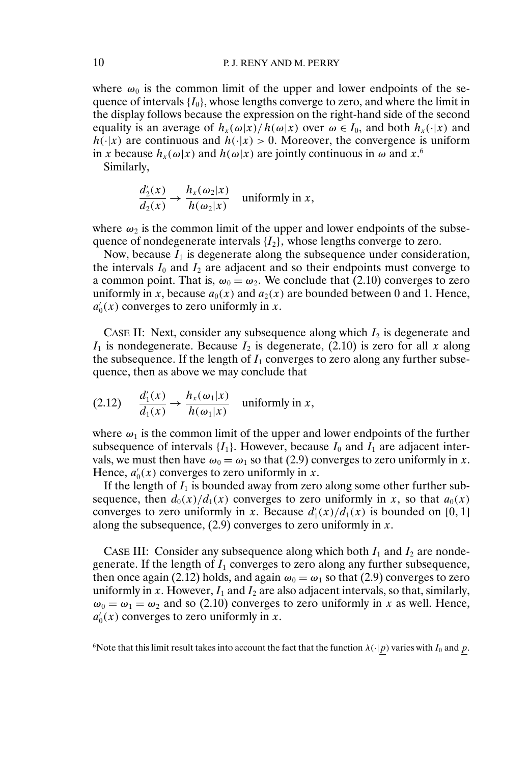where  $\omega_0$  is the common limit of the upper and lower endpoints of the sequence of intervals  $\{I_0\}$ , whose lengths converge to zero, and where the limit in the display follows because the expression on the right-hand side of the second equality is an average of  $h_x(\omega|x)/h(\omega|x)$  over  $\omega \in I_0$ , and both  $h_x(\cdot|x)$  and  $h(\cdot|x)$  are continuous and  $h(\cdot|x) > 0$ . Moreover, the convergence is uniform in x because  $h_x(\omega|x)$  and  $h(\omega|x)$  are jointly continuous in  $\omega$  and  $x$ .<sup>6</sup>

Similarly,

$$
\frac{d_2'(x)}{d_2(x)} \to \frac{h_x(\omega_2|x)}{h(\omega_2|x)}
$$
 uniformly in x,

where  $\omega_2$  is the common limit of the upper and lower endpoints of the subsequence of nondegenerate intervals  $\{I_2\}$ , whose lengths converge to zero.

Now, because  $I_1$  is degenerate along the subsequence under consideration, the intervals  $I_0$  and  $I_2$  are adjacent and so their endpoints must converge to a common point. That is,  $\omega_0 = \omega_2$ . We conclude that (2.10) converges to zero uniformly in x, because  $a_0(x)$  and  $a_2(x)$  are bounded between 0 and 1. Hence,  $a'_0(x)$  converges to zero uniformly in x.

CASE II: Next, consider any subsequence along which  $I_2$  is degenerate and  $I_1$  is nondegenerate. Because  $I_2$  is degenerate, (2.10) is zero for all x along the subsequence. If the length of  $I_1$  converges to zero along any further subsequence, then as above we may conclude that

(2.12) 
$$
\frac{d_1'(x)}{d_1(x)} \to \frac{h_x(\omega_1|x)}{h(\omega_1|x)}
$$
 uniformly in x,

where  $\omega_1$  is the common limit of the upper and lower endpoints of the further subsequence of intervals  $\{I_1\}$ . However, because  $I_0$  and  $I_1$  are adjacent intervals, we must then have  $\omega_0 = \omega_1$  so that (2.9) converges to zero uniformly in x. Hence,  $a'_0(x)$  converges to zero uniformly in x.

If the length of  $I_1$  is bounded away from zero along some other further subsequence, then  $d_0(x)/d_1(x)$  converges to zero uniformly in x, so that  $a_0(x)$ converges to zero uniformly in x. Because  $d'_{1}(x)/d_{1}(x)$  is bounded on [0, 1] along the subsequence,  $(2.9)$  converges to zero uniformly in x.

CASE III: Consider any subsequence along which both  $I_1$  and  $I_2$  are nondegenerate. If the length of  $I_1$  converges to zero along any further subsequence, then once again (2.12) holds, and again  $\omega_0 = \omega_1$  so that (2.9) converges to zero uniformly in x. However,  $I_1$  and  $I_2$  are also adjacent intervals, so that, similarly,  $\omega_0 = \omega_1 = \omega_2$  and so (2.10) converges to zero uniformly in x as well. Hence,  $a'_0(x)$  converges to zero uniformly in x.

<sup>6</sup>Note that this limit result takes into account the fact that the function  $\lambda(\cdot|p)$  varies with  $I_0$  and p.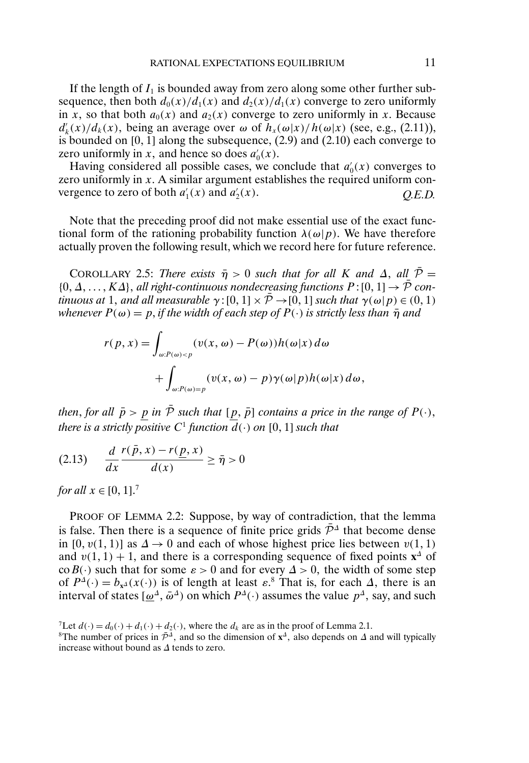If the length of  $I_1$  is bounded away from zero along some other further subsequence, then both  $d_0(x)/d_1(x)$  and  $d_2(x)/d_1(x)$  converge to zero uniformly in x, so that both  $a_0(x)$  and  $a_2(x)$  converge to zero uniformly in x. Because  $d'_{k}(x)/d_{k}(x)$ , being an average over  $\omega$  of  $h_{x}(\omega|x)/h(\omega|x)$  (see, e.g., (2.11)), is bounded on  $[0, 1]$  along the subsequence,  $(2.9)$  and  $(2.10)$  each converge to zero uniformly in x, and hence so does  $a'_0(x)$ .

Having considered all possible cases, we conclude that  $a'_0(x)$  converges to zero uniformly in  $x$ . A similar argument establishes the required uniform convergence to zero of both  $a'_1(x)$  and  $a'_2$ <sup>2</sup>(x) *Q.E.D.*

Note that the preceding proof did not make essential use of the exact functional form of the rationing probability function  $\lambda(\omega|p)$ . We have therefore actually proven the following result, which we record here for future reference.

COROLLARY 2.5: *There exists*  $\bar{\eta} > 0$  *such that for all* K *and*  $\Delta$ , *all*  $\bar{P} =$  $\{0, \Delta, \ldots, K\Delta\}$ , all right-continuous nondecreasing functions  $P$ :  $[0, 1] \rightarrow \overline{P}$  con*tinuous at* 1, and all measurable  $\gamma$ :  $[0, 1] \times \overline{P} \rightarrow [0, 1]$  *such that*  $\gamma(\omega|p) \in (0, 1)$ *whenever*  $P(\omega) = p$ , *if the width of each step of*  $P(\cdot)$  *is strictly less than*  $\bar{\eta}$  *and* 

$$
r(p, x) = \int_{\omega: P(\omega) < p} (v(x, \omega) - P(\omega)) h(\omega|x) \, d\omega + \int_{\omega: P(\omega) = p} (v(x, \omega) - p) \gamma(\omega|p) h(\omega|x) \, d\omega,
$$

*then, for all*  $\bar{p} > p$  *in*  $\bar{P}$  *such that*  $[p, \bar{p}]$  *contains a price in the range of*  $P(\cdot)$ *, there is a strictly positive*  $C^1$  *function*  $d(\cdot)$  *on*  $[0,1]$  *such that* 

$$
(2.13) \quad \frac{d}{dx} \frac{r(\bar{p}, x) - r(\underline{p}, x)}{d(x)} \ge \bar{\eta} > 0
$$

*for all*  $x \in [0, 1]$ .<sup>7</sup>

PROOF OF LEMMA 2.2: Suppose, by way of contradiction, that the lemma is false. Then there is a sequence of finite price grids  $\bar{\mathcal{P}}^{\Delta}$  that become dense in [0,  $v(1, 1)$ ] as  $\Delta \rightarrow 0$  and each of whose highest price lies between  $v(1, 1)$ and  $v(1, 1) + 1$ , and there is a corresponding sequence of fixed points **x**<sup>∆</sup> of co  $B(\cdot)$  such that for some  $\varepsilon > 0$  and for every  $\Delta > 0$ , the width of some step of  $P^{\Delta}(\cdot) = b_{x^{\Delta}}(x(\cdot))$  is of length at least  $\varepsilon$ .<sup>8</sup> That is, for each  $\Delta$ , there is an interval of states  $[\omega^{\Delta}, \bar{\omega}^{\Delta}]$  on which  $P^{\Delta}(\cdot)$  assumes the value  $p^{\Delta}$ , say, and such

<sup>&</sup>lt;sup>7</sup>Let  $d(\cdot) = d_0(\cdot) + d_1(\cdot) + d_2(\cdot)$ , where the  $d_k$  are as in the proof of Lemma 2.1.

<sup>&</sup>lt;sup>8</sup>The number of prices in  $\bar{P}^{\Delta}$ , and so the dimension of  $\mathbf{x}^{\Delta}$ , also depends on  $\Delta$  and will typically increase without bound as ∆ tends to zero.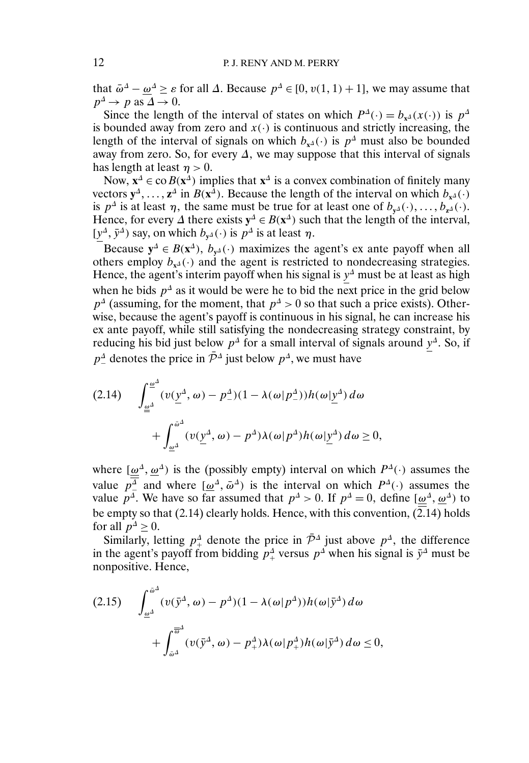that  $\bar{\omega}^{\Delta} - \underline{\omega}^{\Delta} \ge \varepsilon$  for all  $\Delta$ . Because  $p^{\Delta} \in [0, v(1, 1) + 1]$ , we may assume that  $p^{\Delta} \rightarrow p$  as  $\Delta \rightarrow 0$ .

Since the length of the interval of states on which  $P^{\Delta}(\cdot) = b_{x^{\Delta}}(x(\cdot))$  is  $p^{\Delta}$ is bounded away from zero and  $x(\cdot)$  is continuous and strictly increasing, the length of the interval of signals on which  $b_{x^{\Delta}}(\cdot)$  is  $p^{\Delta}$  must also be bounded away from zero. So, for every  $\Delta$ , we may suppose that this interval of signals has length at least  $\eta > 0$ .

Now,  $\mathbf{x}^{\Delta} \in \mathbf{co} B(\mathbf{x}^{\Delta})$  implies that  $\mathbf{x}^{\Delta}$  is a convex combination of finitely many vectors  $y^{\Delta}$ , ...,  $z^{\Delta}$  in  $B(x^{\Delta})$ . Because the length of the interval on which  $b_{x^{\Delta}}(\cdot)$ is  $p^{\Delta}$  is at least  $\eta$ , the same must be true for at least one of  $b_{y^{\Delta}}(\cdot), \ldots, b_{z^{\Delta}}(\cdot)$ . Hence, for every  $\Delta$  there exists  $y^{\Delta} \in B(x^{\Delta})$  such that the length of the interval,  $[y^{\Delta}, \bar{y}^{\Delta})$  say, on which  $b_{y^{\Delta}}(\cdot)$  is  $p^{\Delta}$  is at least  $\eta$ .

Because  $y^{\Delta} \in B(x^{\Delta})$ ,  $b_{y^{\Delta}}(\cdot)$  maximizes the agent's ex ante payoff when all others employ  $b_{x^{\Delta}}(\cdot)$  and the agent is restricted to nondecreasing strategies. Hence, the agent's interim payoff when his signal is  $y^{\Delta}$  must be at least as high when he bids  $p^{\Delta}$  as it would be were he to bid the next price in the grid below  $p^{\Delta}$  (assuming, for the moment, that  $p^{\Delta} > 0$  so that such a price exists). Otherwise, because the agent's payoff is continuous in his signal, he can increase his ex ante payoff, while still satisfying the nondecreasing strategy constraint, by reducing his bid just below  $p^{\Delta}$  for a small interval of signals around  $y^{\Delta}$ . So, if  $p_{-}^{\Delta}$  denotes the price in  $\bar{\mathcal{P}}^{\Delta}$  just below  $p^{\Delta}$ , we must have

$$
(2.14) \qquad \int_{\underline{\omega}^{\Delta}}^{\underline{\omega}^{\Delta}} (v(\underline{y}^{\Delta}, \omega) - p^{\Delta})(1 - \lambda(\omega|p^{\Delta}))h(\omega|\underline{y}^{\Delta}) d\omega + \int_{\underline{\omega}^{\Delta}}^{\bar{\omega}^{\Delta}} (v(\underline{y}^{\Delta}, \omega) - p^{\Delta})\lambda(\omega|p^{\Delta})h(\omega|\underline{y}^{\Delta}) d\omega \ge 0,
$$

where  $[\omega^{\Delta}, \omega^{\Delta}]$  is the (possibly empty) interval on which  $P^{\Delta}(\cdot)$  assumes the value  $p_{-}^{\Delta}$  and where  $[\underline{\omega}^{\Delta}, \overline{\omega}^{\Delta}]$  is the interval on which  $P^{\Delta}(\cdot)$  assumes the value  $p^{\Delta}$ . We have so far assumed that  $p^{\Delta} > 0$ . If  $p^{\Delta} = 0$ , define  $[\omega^{\Delta}, \omega^{\Delta}]$  to be empty so that (2.14) clearly holds. Hence, with this convention,  $(2.14)$  holds for all  $p^4 \geq 0$ .

Similarly, letting  $p^{\Delta}_+$  denote the price in  $\bar{\mathcal{P}}^{\Delta}$  just above  $p^{\Delta}$ , the difference in the agent's payoff from bidding  $p^{\Delta}$  versus  $p^{\Delta}$  when his signal is  $\bar{y}^{\Delta}$  must be nonpositive. Hence,

$$
(2.15) \qquad \int_{\underline{\omega}^{\Delta}}^{\bar{\omega}^{\Delta}} (v(\bar{y}^{\Delta}, \omega) - p^{\Delta})(1 - \lambda(\omega|p^{\Delta}))h(\omega|\bar{y}^{\Delta}) d\omega + \int_{\bar{\omega}^{\Delta}}^{\overline{\omega}^{\Delta}} (v(\bar{y}^{\Delta}, \omega) - p^{\Delta}_{+})\lambda(\omega|p^{\Delta}_{+})h(\omega|\bar{y}^{\Delta}) d\omega \le 0,
$$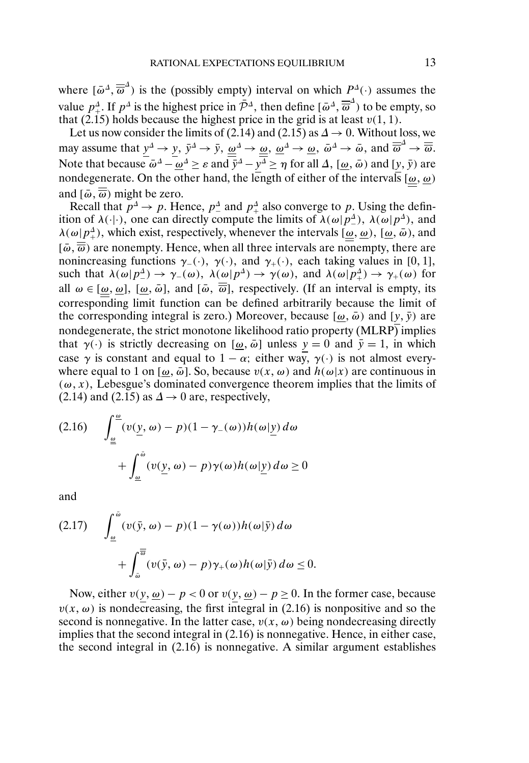where  $[\bar{\omega}^{\Delta}, \overline{\overline{\omega}}^{\Delta}]$  is the (possibly empty) interval on which  $P^{\Delta}(\cdot)$  assumes the value  $p^{\Delta}_+$ . If  $p^{\Delta}$  is the highest price in  $\bar{\mathcal{P}}^{\Delta}$ , then define  $\left[\bar{\omega}^{\Delta}, \overline{\overline{\omega}}^{\Delta}\right)$  to be empty, so that (2.15) holds because the highest price in the grid is at least  $v(1, 1)$ .

Let us now consider the limits of (2.14) and (2.15) as  $\Delta \rightarrow 0$ . Without loss, we may assume that  $y^{\Delta} \to y$ ,  $\bar{y}^{\Delta} \to \bar{y}$ ,  $\underline{\omega}^{\Delta} \to \underline{\omega}$ ,  $\underline{\omega}^{\Delta} \to \underline{\omega}$ ,  $\bar{\omega}^{\Delta} \to \bar{\omega}$ , and  $\overline{\overline{\omega}}^{\Delta} \to \overline{\overline{\omega}}$ . Note that because  $\bar{\omega}^{\Delta} - \underline{\omega}^{\Delta} \ge \varepsilon$  and  $\bar{y}^{\Delta} - y^{\Delta} \ge \eta$  for all  $\Delta$ ,  $[\underline{\omega}, \bar{\omega})$  and  $[y, \bar{y})$  are nondegenerate. On the other hand, the length of either of the intervals  $(\omega, \omega)$ and  $[\bar{\omega}, \overline{\overline{\omega}})$  might be zero.

Recall that  $p^{\Delta} \rightarrow p$ . Hence,  $p^{\Delta}$  and  $p^{\Delta}$  also converge to p. Using the definition of  $\lambda(\cdot|\cdot)$ , one can directly compute the limits of  $\lambda(\omega|p^{\Delta})$ ,  $\lambda(\omega|p^{\Delta})$ , and  $\lambda(\omega|p^{\Delta}_+)$ , which exist, respectively, whenever the intervals  $[\omega, \omega)$ ,  $[\omega, \bar{\omega})$ , and  $[\bar{\omega}, \overline{\overline{\omega}})$  are nonempty. Hence, when all three intervals are nonempty, there are nonincreasing functions  $\gamma$ <sub>-</sub>(·),  $\gamma$ (·), and  $\gamma$ <sub>+</sub>(·), each taking values in [0, 1], such that  $\lambda(\omega|p_{-}^{\Delta}) \to \gamma_{-}(\omega)$ ,  $\lambda(\omega|p_{-}^{\Delta}) \to \gamma(\omega)$ , and  $\lambda(\omega|p_{+}^{\Delta}) \to \gamma_{+}(\omega)$  for all  $\omega \in [\omega, \omega]$ ,  $[\omega, \bar{\omega}]$ , and  $[\bar{\omega}, \bar{\overline{\omega}}]$ , respectively. (If an interval is empty, its corresponding limit function can be defined arbitrarily because the limit of the corresponding integral is zero.) Moreover, because  $[\omega, \bar{\omega})$  and  $[y, \bar{y})$  are nondegenerate, the strict monotone likelihood ratio property (MLRP) implies that  $\gamma(\cdot)$  is strictly decreasing on  $[\omega, \bar{\omega}]$  unless  $y = 0$  and  $\bar{y} = 1$ , in which case  $\gamma$  is constant and equal to  $1 - \alpha$ ; either way,  $\gamma(\cdot)$  is not almost everywhere equal to 1 on  $[\omega, \bar{\omega}]$ . So, because  $v(x, \omega)$  and  $h(\omega|x)$  are continuous in  $(\omega, x)$ , Lebesgue's dominated convergence theorem implies that the limits of (2.14) and (2.15) as  $\Delta \rightarrow 0$  are, respectively,

$$
(2.16) \qquad \int_{\underline{\omega}}^{\underline{\omega}} (v(\underline{y}, \omega) - p)(1 - \gamma_{-}(\omega))h(\omega|\underline{y}) d\omega
$$

$$
+ \int_{\underline{\omega}}^{\bar{\omega}} (v(\underline{y}, \omega) - p)\gamma(\omega)h(\omega|\underline{y}) d\omega \ge 0
$$

and

$$
(2.17) \qquad \int_{\underline{\omega}}^{\overline{\omega}} (\upsilon(\overline{y}, \omega) - p)(1 - \gamma(\omega))h(\omega|\overline{y}) d\omega + \int_{\overline{\omega}}^{\overline{\omega}} (\upsilon(\overline{y}, \omega) - p)\gamma_{+}(\omega)h(\omega|\overline{y}) d\omega \le 0.
$$

Now, either  $v(y, \omega) - p < 0$  or  $v(y, \omega) - p \ge 0$ . In the former case, because  $v(x, \omega)$  is nondecreasing, the first integral in (2.16) is nonpositive and so the second is nonnegative. In the latter case,  $v(x, \omega)$  being nondecreasing directly implies that the second integral in (2.16) is nonnegative. Hence, in either case, the second integral in (2.16) is nonnegative. A similar argument establishes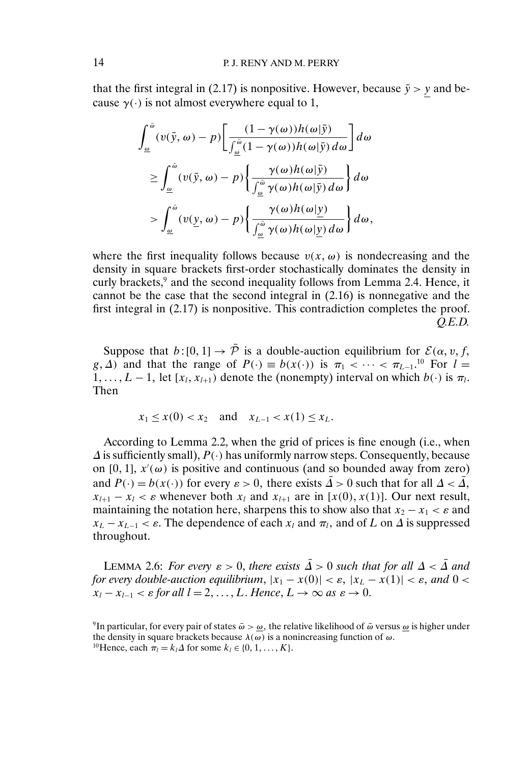that the first integral in (2.17) is nonpositive. However, because  $\bar{y} > y$  and because  $\gamma(\cdot)$  is not almost everywhere equal to 1,

$$
\int_{\underline{\omega}}^{\bar{\omega}} (v(\bar{y}, \omega) - p) \left[ \frac{(1 - \gamma(\omega))h(\omega|\bar{y})}{\int_{\underline{\omega}}^{\bar{\omega}} (1 - \gamma(\omega))h(\omega|\bar{y}) d\omega} \right] d\omega
$$
\n
$$
\geq \int_{\underline{\omega}}^{\bar{\omega}} (v(\bar{y}, \omega) - p) \left\{ \frac{\gamma(\omega)h(\omega|\bar{y})}{\int_{\underline{\omega}}^{\bar{\omega}} \gamma(\omega)h(\omega|\bar{y}) d\omega} \right\} d\omega
$$
\n
$$
> \int_{\underline{\omega}}^{\bar{\omega}} (v(\underline{y}, \omega) - p) \left\{ \frac{\gamma(\omega)h(\omega|\underline{y})}{\int_{\underline{\omega}}^{\bar{\omega}} \gamma(\omega)h(\omega|\underline{y}) d\omega} \right\} d\omega,
$$

where the first inequality follows because  $v(x, \omega)$  is nondecreasing and the density in square brackets first-order stochastically dominates the density in curly brackets,<sup>9</sup> and the second inequality follows from Lemma 2.4. Hence, it cannot be the case that the second integral in (2.16) is nonnegative and the first integral in (2.17) is nonpositive. This contradiction completes the proof. *Q.E.D.*

Suppose that  $b: [0, 1] \to \overline{P}$  is a double-auction equilibrium for  $\mathcal{E}(\alpha, v, f, \alpha)$ g,  $\Delta$ ) and that the range of  $P(\cdot) \equiv b(x(\cdot))$  is  $\pi_1 < \cdots < \pi_{L-1}$ <sup>10</sup> For  $l =$  $1, \ldots, L-1$ , let  $[x_l, x_{l+1})$  denote the (nonempty) interval on which  $b(\cdot)$  is  $\pi_l$ . Then

$$
x_1 \le x(0) < x_2
$$
 and  $x_{L-1} < x(1) \le x_L$ .

According to Lemma 2.2, when the grid of prices is fine enough (i.e., when  $\Delta$  is sufficiently small),  $P(\cdot)$  has uniformly narrow steps. Consequently, because on [0, 1],  $x'(\omega)$  is positive and continuous (and so bounded away from zero) and  $P(\cdot) = b(x(\cdot))$  for every  $\varepsilon > 0$ , there exists  $\overline{\Delta} > 0$  such that for all  $\Delta < \overline{\Delta}$ ,  $x_{l+1} - x_l < \varepsilon$  whenever both  $x_l$  and  $x_{l+1}$  are in [x(0), x(1)]. Our next result, maintaining the notation here, sharpens this to show also that  $x_2 - x_1 < \varepsilon$  and  $x_L - x_{L-1} < \varepsilon$ . The dependence of each  $x_l$  and  $\pi_l$ , and of L on  $\Delta$  is suppressed throughout.

LEMMA 2.6: *For every*  $\varepsilon > 0$ , *there exists*  $\overline{\Delta} > 0$  *such that for all*  $\Delta < \overline{\Delta}$  *and for every double-auction equilibrium,*  $|x_1 - x(0)| < \varepsilon$ ,  $|x_L - x(1)| < \varepsilon$ , and  $0 < \varepsilon$  $x_l - x_{l-1} < \varepsilon$  for all  $l = 2, \ldots, L$ . Hence,  $L \to \infty$  as  $\varepsilon \to 0$ .

<sup>&</sup>lt;sup>9</sup>In particular, for every pair of states  $\bar{\omega} > \underline{\omega}$ , the relative likelihood of  $\bar{\omega}$  versus <u> $\omega$ </u> is higher under the density in square brackets because  $\lambda(\omega)$  is a nonincreasing function of  $\omega$ . <sup>10</sup>Hence, each  $\pi_l = k_l \Delta$  for some  $k_l \in \{0, 1, ..., K\}.$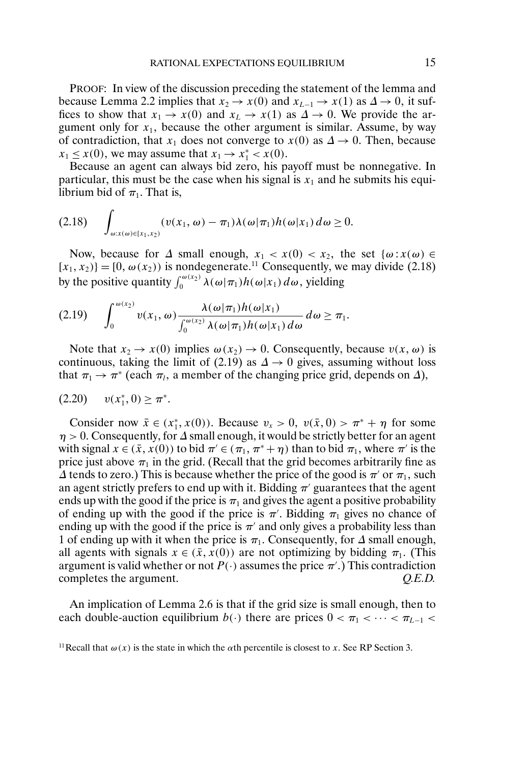PROOF: In view of the discussion preceding the statement of the lemma and because Lemma 2.2 implies that  $x_2 \to x(0)$  and  $x_{L-1} \to x(1)$  as  $\Delta \to 0$ , it suffices to show that  $x_1 \to x(0)$  and  $x_L \to x(1)$  as  $\Delta \to 0$ . We provide the argument only for  $x_1$ , because the other argument is similar. Assume, by way of contradiction, that  $x_1$  does not converge to  $x(0)$  as  $\Delta \rightarrow 0$ . Then, because  $x_1 \leq x(0)$ , we may assume that  $x_1 \rightarrow x_1^* < x(0)$ .

Because an agent can always bid zero, his payoff must be nonnegative. In particular, this must be the case when his signal is  $x_1$  and he submits his equilibrium bid of  $\pi_1$ . That is,

$$
(2.18) \qquad \int_{\omega:x(\omega)\in[x_1,x_2)}(v(x_1,\omega)-\pi_1)\lambda(\omega|\pi_1)h(\omega|x_1)\,d\omega\geq 0.
$$

Now, because for  $\Delta$  small enough,  $x_1 < x(0) < x_2$ , the set  $\{\omega : x(\omega) \in \Delta\}$  $[x_1, x_2]$  = [0,  $\omega(x_2)$ ) is nondegenerate.<sup>11</sup> Consequently, we may divide (2.18) by the positive quantity  $\int_0^{\omega(x_2)} \lambda(\omega|\pi_1) h(\omega|x_1) d\omega$ , yielding

$$
(2.19) \qquad \int_0^{\omega(x_2)} v(x_1, \omega) \frac{\lambda(\omega | \pi_1) h(\omega | x_1)}{\int_0^{\omega(x_2)} \lambda(\omega | \pi_1) h(\omega | x_1) d\omega} d\omega \geq \pi_1.
$$

Note that  $x_2 \to x(0)$  implies  $\omega(x_2) \to 0$ . Consequently, because  $v(x, \omega)$  is continuous, taking the limit of (2.19) as  $\Delta \rightarrow 0$  gives, assuming without loss that  $\pi_1 \to \pi^*$  (each  $\pi_l$ , a member of the changing price grid, depends on  $\Delta$ ),

$$
(2.20) \t v(x_1^*, 0) \ge \pi^*.
$$

Consider now  $\bar{x} \in (x_1^*, x(0))$ . Because  $v_x > 0$ ,  $v(\bar{x}, 0) > \pi^* + \eta$  for some  $\eta > 0$ . Consequently, for  $\Delta$  small enough, it would be strictly better for an agent with signal  $x \in (\bar{x}, x(0))$  to bid  $\pi' \in (\pi_1, \pi^* + \eta)$  than to bid  $\pi_1$ , where  $\pi'$  is the price just above  $\pi_1$  in the grid. (Recall that the grid becomes arbitrarily fine as  $\Delta$  tends to zero.) This is because whether the price of the good is  $\pi'$  or  $\pi_1$ , such an agent strictly prefers to end up with it. Bidding  $\pi'$  guarantees that the agent ends up with the good if the price is  $\pi_1$  and gives the agent a positive probability of ending up with the good if the price is  $\pi'$ . Bidding  $\pi_1$  gives no chance of ending up with the good if the price is  $\pi'$  and only gives a probability less than 1 of ending up with it when the price is  $\pi_1$ . Consequently, for  $\Delta$  small enough, all agents with signals  $x \in (\bar{x}, x(0))$  are not optimizing by bidding  $\pi_1$ . (This argument is valid whether or not  $P(\cdot)$  assumes the price  $\pi'$ .) This contradiction completes the argument. *Q.E.D.*

An implication of Lemma 2.6 is that if the grid size is small enough, then to each double-auction equilibrium  $b(\cdot)$  there are prices  $0 < \pi_1 < \cdots < \pi_{L-1} <$ 

<sup>&</sup>lt;sup>11</sup> Recall that  $\omega(x)$  is the state in which the  $\alpha$ th percentile is closest to x. See RP Section 3.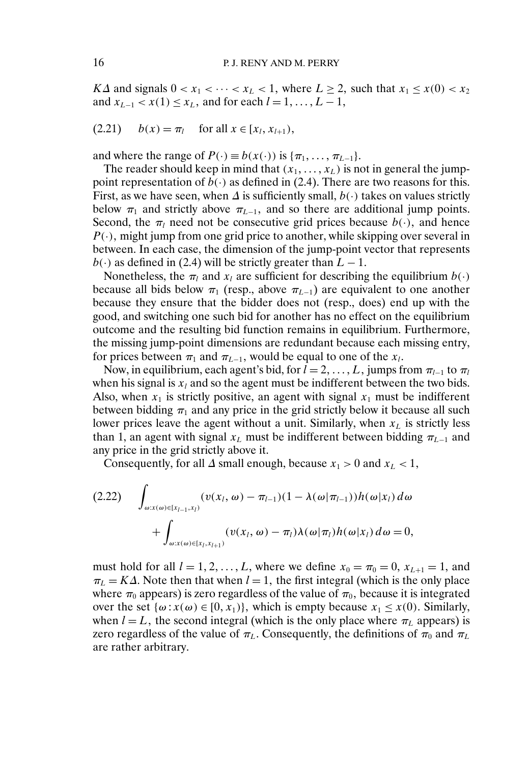K $\Delta$  and signals  $0 < x_1 < \cdots < x_L < 1$ , where  $L \ge 2$ , such that  $x_1 \le x(0) < x_2$ and  $x_{L-1}$  <  $x(1)$  ≤  $x_L$ , and for each  $l = 1, ..., L - 1$ ,

$$
(2.21) \t b(x) = \pi_l \t for all  $x \in [x_l, x_{l+1}),$
$$

and where the range of  $P(\cdot) \equiv b(x(\cdot))$  is  $\{\pi_1, \dots, \pi_{L-1}\}.$ 

The reader should keep in mind that  $(x_1, \ldots, x_L)$  is not in general the jumppoint representation of  $b(.)$  as defined in (2.4). There are two reasons for this. First, as we have seen, when  $\Delta$  is sufficiently small,  $b(\cdot)$  takes on values strictly below  $\pi_1$  and strictly above  $\pi_{L-1}$ , and so there are additional jump points. Second, the  $\pi_l$  need not be consecutive grid prices because  $b(\cdot)$ , and hence  $P(\cdot)$ , might jump from one grid price to another, while skipping over several in between. In each case, the dimension of the jump-point vector that represents  $b(\cdot)$  as defined in (2.4) will be strictly greater than  $L - 1$ .

Nonetheless, the  $\pi_l$  and  $x_l$  are sufficient for describing the equilibrium  $b(\cdot)$ because all bids below  $\pi_1$  (resp., above  $\pi_{L-1}$ ) are equivalent to one another because they ensure that the bidder does not (resp., does) end up with the good, and switching one such bid for another has no effect on the equilibrium outcome and the resulting bid function remains in equilibrium. Furthermore, the missing jump-point dimensions are redundant because each missing entry, for prices between  $\pi_1$  and  $\pi_{L-1}$ , would be equal to one of the  $x_l$ .

Now, in equilibrium, each agent's bid, for  $l = 2, \ldots, L$ , jumps from  $\pi_{l-1}$  to  $\pi_l$ when his signal is  $x_l$  and so the agent must be indifferent between the two bids. Also, when  $x_1$  is strictly positive, an agent with signal  $x_1$  must be indifferent between bidding  $\pi_1$  and any price in the grid strictly below it because all such lower prices leave the agent without a unit. Similarly, when  $x_L$  is strictly less than 1, an agent with signal  $x_L$  must be indifferent between bidding  $\pi_{L-1}$  and any price in the grid strictly above it.

Consequently, for all  $\Delta$  small enough, because  $x_1 > 0$  and  $x_L < 1$ ,

$$
(2.22) \quad \int_{\omega:x(\omega)\in[x_{l-1},x_l)} (v(x_l,\omega)-\pi_{l-1})(1-\lambda(\omega|\pi_{l-1}))h(\omega|x_l) d\omega +\int_{\omega:x(\omega)\in[x_l,x_{l+1})} (v(x_l,\omega)-\pi_l)\lambda(\omega|\pi_l)h(\omega|x_l) d\omega = 0,
$$

must hold for all  $l = 1, 2, ..., L$ , where we define  $x_0 = \pi_0 = 0$ ,  $x_{L+1} = 1$ , and  $\pi_L = K\Delta$ . Note then that when  $l = 1$ , the first integral (which is the only place where  $\pi_0$  appears) is zero regardless of the value of  $\pi_0,$  because it is integrated over the set  $\{\omega : x(\omega) \in [0, x_1)\}\$ , which is empty because  $x_1 \leq x(0)$ . Similarly, when  $l = L$ , the second integral (which is the only place where  $\pi_L$  appears) is zero regardless of the value of  $\pi_L$ . Consequently, the definitions of  $\pi_0$  and  $\pi_L$ are rather arbitrary.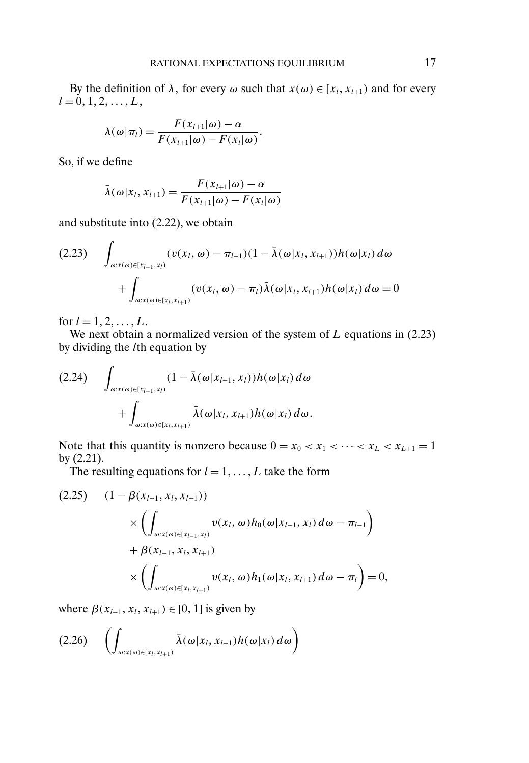By the definition of  $\lambda$ , for every  $\omega$  such that  $x(\omega) \in [x_l, x_{l+1})$  and for every  $l = 0, 1, 2, \ldots, L,$ 

$$
\lambda(\omega|\pi_l) = \frac{F(x_{l+1}|\omega) - \alpha}{F(x_{l+1}|\omega) - F(x_l|\omega)}.
$$

So, if we define

$$
\bar{\lambda}(\omega|x_l, x_{l+1}) = \frac{F(x_{l+1}|\omega) - \alpha}{F(x_{l+1}|\omega) - F(x_l|\omega)}
$$

and substitute into (2.22), we obtain

$$
(2.23) \quad \int_{\omega:x(\omega)\in[x_{l-1},x_l)} (v(x_l,\omega)-\pi_{l-1})(1-\bar{\lambda}(\omega|x_l,x_{l+1}))h(\omega|x_l) d\omega +\int_{\omega:x(\omega)\in[x_l,x_{l+1})} (v(x_l,\omega)-\pi_l)\bar{\lambda}(\omega|x_l,x_{l+1})h(\omega|x_l) d\omega = 0
$$

for  $l = 1, 2, ..., L$ .

We next obtain a normalized version of the system of  $L$  equations in (2.23) by dividing the lth equation by

$$
(2.24) \quad \int_{\omega:x(\omega)\in[x_{l-1},x_l)} (1-\bar{\lambda}(\omega|x_{l-1},x_l))h(\omega|x_l)\,d\omega
$$

$$
+\int_{\omega:x(\omega)\in[x_l,x_{l+1})} \bar{\lambda}(\omega|x_l,x_{l+1})h(\omega|x_l)\,d\omega.
$$

Note that this quantity is nonzero because  $0 = x_0 < x_1 < \cdots < x_L < x_{L+1} = 1$ by (2.21).

The resulting equations for  $l = 1, \ldots, L$  take the form

$$
(2.25) \quad (1 - \beta(x_{l-1}, x_l, x_{l+1}))
$$
  
\$\times \left( \int\_{\omega: x(\omega) \in [x\_{l-1}, x\_l)} v(x\_l, \omega) h\_0(\omega | x\_{l-1}, x\_l) d\omega - \pi\_{l-1} \right) \$  
\$+ \beta(x\_{l-1}, x\_l, x\_{l+1})\$  
\$\times \left( \int\_{\omega: x(\omega) \in [x\_l, x\_{l+1})} v(x\_l, \omega) h\_1(\omega | x\_l, x\_{l+1}) d\omega - \pi\_l \right) = 0\$,

where  $\beta(x_{l-1}, x_l, x_{l+1}) \in [0, 1]$  is given by

$$
(2.26)\quad\left(\int_{\omega:x(\omega)\in[x_l,x_{l+1})}\bar{\lambda}(\omega|x_l,x_{l+1})h(\omega|x_l)\,d\omega\right)
$$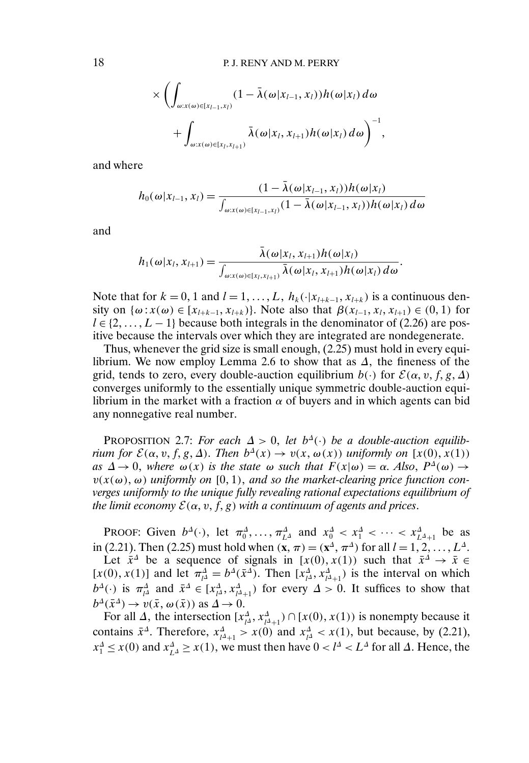$$
\times \left( \int_{\omega: x(\omega) \in [x_{l-1},x_l)} (1 - \bar{\lambda}(\omega | x_{l-1}, x_l)) h(\omega | x_l) d\omega + \int_{\omega: x(\omega) \in [x_l, x_{l+1})} \bar{\lambda}(\omega | x_l, x_{l+1}) h(\omega | x_l) d\omega \right)^{-1},
$$

and where

$$
h_0(\omega | x_{l-1}, x_l) = \frac{(1 - \bar{\lambda}(\omega | x_{l-1}, x_l))h(\omega | x_l)}{\int_{\omega : x(\omega) \in [x_{l-1}, x_l)} (1 - \bar{\lambda}(\omega | x_{l-1}, x_l))h(\omega | x_l) d\omega}
$$

and

$$
h_1(\omega|x_l,x_{l+1})=\frac{\bar{\lambda}(\omega|x_l,x_{l+1})h(\omega|x_l)}{\int_{\omega:x(\omega)\in[x_l,x_{l+1})}\bar{\lambda}(\omega|x_l,x_{l+1})h(\omega|x_l)\,d\omega}.
$$

Note that for  $k = 0, 1$  and  $l = 1, ..., L$ ,  $h_k(\cdot | x_{l+k-1}, x_{l+k})$  is a continuous density on  $\{\omega : x(\omega) \in [x_{l+k-1}, x_{l+k})\}$ . Note also that  $\beta(x_{l-1}, x_l, x_{l+1}) \in (0, 1)$  for  $l \in \{2, \ldots, L-1\}$  because both integrals in the denominator of (2.26) are positive because the intervals over which they are integrated are nondegenerate.

Thus, whenever the grid size is small enough, (2.25) must hold in every equilibrium. We now employ Lemma 2.6 to show that as  $\Delta$ , the fineness of the grid, tends to zero, every double-auction equilibrium  $b(\cdot)$  for  $\mathcal{E}(\alpha, v, f, g, \Delta)$ converges uniformly to the essentially unique symmetric double-auction equilibrium in the market with a fraction  $\alpha$  of buyers and in which agents can bid any nonnegative real number.

PROPOSITION 2.7: *For each*  $\Delta > 0$ , *let*  $b^{\Delta}(\cdot)$  *be a double-auction equilibrium for*  $\mathcal{E}(\alpha, v, f, g, \Delta)$ . *Then*  $b^{\Delta}(x) \to v(x, \omega(x))$  *uniformly on* [ $x(0), x(1)$ )  $as \Delta \to 0$ , where  $\omega(x)$  *is the state*  $\omega$  *such that*  $F(x|\omega) = \alpha$ . Also,  $P^{\Delta}(\omega) \to$  $v(x(\omega), \omega)$  uniformly on  $[0, 1)$ , and so the market-clearing price function con*verges uniformly to the unique fully revealing rational expectations equilibrium of the limit economy*  $\mathcal{E}(\alpha, v, f, g)$  *with a continuum of agents and prices.* 

PROOF: Given  $b^{\Delta}(\cdot)$ , let  $\pi_0^{\Delta}, \ldots, \pi_{L^{\Delta}}^{\Delta}$  and  $x_0^{\Delta} < x_1^{\Delta} < \cdots < x_{L^{\Delta}+1}^{\Delta}$  be as in (2.21). Then (2.25) must hold when  $({\bf x}, \pi) = ({\bf x}^{\Delta}, \pi^{\Delta})$  for all  $l = 1, 2, ..., L^{\Delta}$ . Let  $\bar{x}^{\Delta}$  be a sequence of signals in [x(0), x(1)) such that  $\bar{x}^{\Delta} \to \bar{x} \in$ 

[ $x(0)$ ,  $x(1)$ ] and let  $\pi_{\mu}^{\Delta} = b^{\Delta}(\bar{x}^{\Delta})$ . Then  $[x_{\mu}^{\Delta}, x_{\mu+1}^{\Delta}]$  is the interval on which  $b^{\Delta}(\cdot)$  is  $\pi^{\Delta}_{l^{\Delta}}$  and  $\bar{x}^{\Delta} \in [x^{\Delta}_{l^{\Delta}}, x^{\Delta}_{l^{\Delta}+1})$  for every  $\Delta > 0$ . It suffices to show that  $b^{\Delta}(\bar{x}^{\Delta}) \rightarrow v(\bar{x}, \omega(\bar{x}))$  as  $\Delta \rightarrow 0$ .

For all  $\Delta$ , the intersection  $[x_{\mu\lambda}^{\Delta}, x_{\mu\lambda+1}^{\Delta}) \cap [x(0), x(1))$  is nonempty because it contains  $\bar{x}^{\Delta}$ . Therefore,  $x_{l^{\Delta}+1}^{\Delta} > x(0)$  and  $x_{l^{\Delta}}^{\Delta} < x(1)$ , but because, by (2.21),  $x_1^{\Delta} \leq x(0)$  and  $x_{L^{\Delta}}^{\Delta} \geq x(1)$ , we must then have  $0 < l^{\Delta} < L^{\Delta}$  for all  $\Delta$ . Hence, the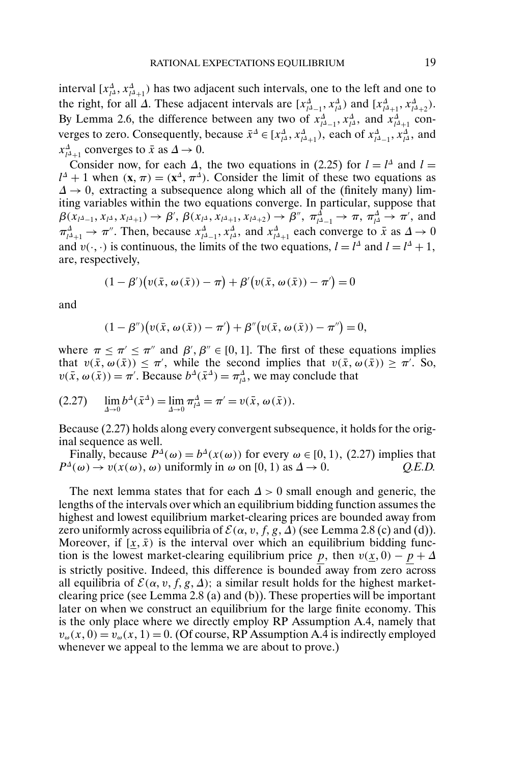interval  $[x_{\mu\lambda}^{\Delta}, x_{\mu\lambda+1}^{\Delta}]$  has two adjacent such intervals, one to the left and one to the right, for all  $\Delta$ . These adjacent intervals are  $[x_{\mu-1}^{\Delta}, x_{\mu}^{\Delta})$  and  $[x_{\mu+1}^{\Delta}, x_{\mu+2}^{\Delta})$ . By Lemma 2.6, the difference between any two of  $x_{l^{\Delta}-1}^{\Delta}$ ,  $x_{l^{\Delta}}^{\Delta}$ , and  $x_{l^{\Delta}+1}^{\Delta}$  converges to zero. Consequently, because  $\bar{x}^{\Delta} \in [x_{l\Delta}^{\Delta}, x_{l\Delta+1}^{\Delta})$ , each of  $x_{l\Delta-1}^{\Delta}, x_{l\Delta}^{\Delta}$ , and  $x_{l^{\Delta}+1}^{\Delta}$  converges to  $\bar{x}$  as  $\Delta \to 0$ .

Consider now, for each  $\Delta$ , the two equations in (2.25) for  $l = l^{\Delta}$  and  $l =$  $l^{\Delta} + 1$  when  $(\mathbf{x}, \pi) = (\mathbf{x}^{\Delta}, \pi^{\Delta})$ . Consider the limit of these two equations as  $\Delta \rightarrow 0$ , extracting a subsequence along which all of the (finitely many) limiting variables within the two equations converge. In particular, suppose that  $\beta(x_{l^{\Delta}-1}, x_{l^{\Delta}}, x_{l^{\Delta}+1}) \rightarrow \beta', \beta(x_{l^{\Delta}}, x_{l^{\Delta}+1}, x_{l^{\Delta}+2}) \rightarrow \beta'', \pi_{l^{\Delta}-1}^{\Delta} \rightarrow \pi, \pi_{l^{\Delta}}^{\Delta} \rightarrow \pi',$  and  $\pi_{l^{\Delta}+1}^{\Delta} \to \pi^{n}$ . Then, because  $x_{l^{\Delta}-1}^{\Delta}, x_{l^{\Delta}}^{\Delta}$ , and  $x_{l^{\Delta}+1}^{\Delta}$  each converge to  $\bar{x}$  as  $\Delta \to 0$ and  $v(\cdot, \cdot)$  is continuous, the limits of the two equations,  $l = l^{\Delta}$  and  $l = l^{\Delta} + 1$ , are, respectively,

$$
(1 - \beta')\big(v(\bar{x}, \omega(\bar{x})) - \pi\big) + \beta'\big(v(\bar{x}, \omega(\bar{x})) - \pi'\big) = 0
$$

and

$$
(1 - \beta'')\big(v(\bar{x}, \omega(\bar{x})) - \pi'\big) + \beta''\big(v(\bar{x}, \omega(\bar{x})) - \pi''\big) = 0,
$$

where  $\pi \leq \pi' \leq \pi''$  and  $\beta', \beta'' \in [0, 1]$ . The first of these equations implies that  $v(\bar{x}, \omega(\bar{x})) \leq \pi'$ , while the second implies that  $v(\bar{x}, \omega(\bar{x})) \geq \pi'$ . So,  $v(\bar{x}, \omega(\bar{x})) = \pi'$ . Because  $b^{\Delta}(\bar{x}^{\Delta}) = \pi_{l\Delta}^{\Delta}$ , we may conclude that

(2.27) 
$$
\lim_{\Delta \to 0} b^{\Delta}(\bar{x}^{\Delta}) = \lim_{\Delta \to 0} \pi_{l\Delta}^{\Delta} = \pi' = v(\bar{x}, \omega(\bar{x})).
$$

Because (2.27) holds along every convergent subsequence, it holds for the original sequence as well.

Finally, because  $P^{\Delta}(\omega) = b^{\Delta}(x(\omega))$  for every  $\omega \in [0, 1)$ , (2.27) implies that  $P^{\Delta}(\omega) \to v(x(\omega), \omega)$  uniformly in  $\omega$  on [0, 1) as  $\Delta \to 0$ . Q.E.D.

The next lemma states that for each  $\Delta > 0$  small enough and generic, the lengths of the intervals over which an equilibrium bidding function assumes the highest and lowest equilibrium market-clearing prices are bounded away from zero uniformly across equilibria of  $\mathcal{E}(\alpha, v, f, g, \Delta)$  (see Lemma 2.8 (c) and (d)). Moreover, if  $[\underline{x}, \overline{x})$  is the interval over which an equilibrium bidding function is the lowest market-clearing equilibrium price p, then  $v(\underline{x}, 0) - p + \Delta$ is strictly positive. Indeed, this difference is bounded away from zero across all equilibria of  $\mathcal{E}(\alpha, v, f, g, \Delta)$ ; a similar result holds for the highest marketclearing price (see Lemma 2.8 (a) and (b)). These properties will be important later on when we construct an equilibrium for the large finite economy. This is the only place where we directly employ RP Assumption A.4, namely that  $v_{\omega}(x, 0) = v_{\omega}(x, 1) = 0$ . (Of course, RP Assumption A.4 is indirectly employed whenever we appeal to the lemma we are about to prove.)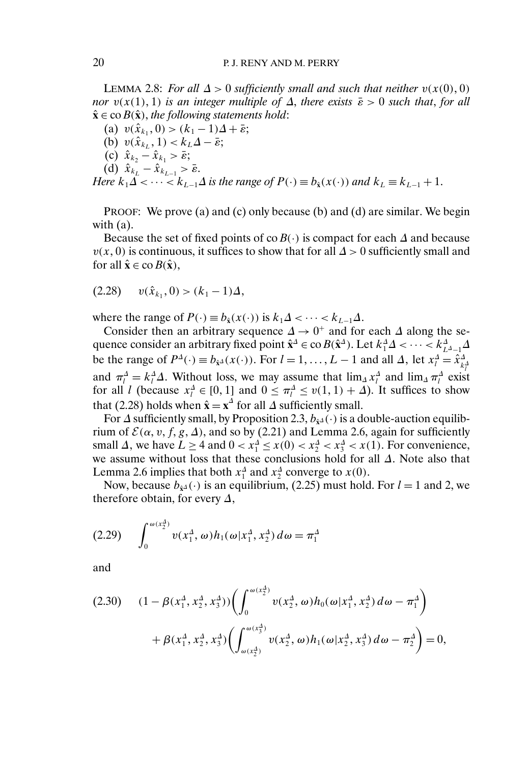LEMMA 2.8: *For all*  $\Delta > 0$  sufficiently small and such that neither  $v(x(0), 0)$ *nor*  $v(x(1), 1)$  *is an integer multiple of*  $\Delta$ , *there exists*  $\bar{\varepsilon} > 0$  *such that*, *for all*  $\hat{\mathbf{x}} \in \text{co } B(\hat{\mathbf{x}})$ , the following statements hold:

(a)  $v(\hat{x}_{k_1}, 0) > (k_1 - 1)\Delta + \bar{\varepsilon};$ (b)  $v(\hat{x}_{k_L}, 1) < k_L \Delta - \bar{\varepsilon};$ (c)  $\hat{x}_{k_2} - \hat{x}_{k_1} > \bar{\varepsilon};$ (d)  $\hat{x}_{k_l} - \hat{x}_{k_{l-1}} > \bar{\varepsilon}$ .

*Here*  $k_1\Delta < \cdots < k_{L-1}\Delta$  *is the range of*  $P(\cdot) \equiv b_{\hat{x}}(x(\cdot))$  *and*  $k_L \equiv k_{L-1} + 1$ .

PROOF: We prove (a) and (c) only because (b) and (d) are similar. We begin with (a).

Because the set of fixed points of coB( $\cdot$ ) is compact for each  $\Delta$  and because  $v(x, 0)$  is continuous, it suffices to show that for all  $\Delta > 0$  sufficiently small and for all  $\hat{\mathbf{x}} \in \text{co } B(\hat{\mathbf{x}})$ ,

$$
(2.28) \t v(\hat{x}_{k_1}, 0) > (k_1 - 1)\Delta,
$$

where the range of  $P(\cdot) \equiv b_{\hat{x}}(x(\cdot))$  is  $k_1\Delta < \cdots < k_{L-1}\Delta$ .

Consider then an arbitrary sequence  $\Delta \rightarrow 0^+$  and for each  $\Delta$  along the sequence consider an arbitrary fixed point  $\hat{\mathbf{x}}^{\Delta} \in \text{co } B(\hat{\mathbf{x}}^{\Delta})$ . Let  $k_1^{\Delta} \Delta < \cdots < k_{L^{\Delta}-1}^{\Delta} \Delta$ be the range of  $P^{\Delta}(\cdot) \equiv b_{\hat{x}^{\Delta}}(x(\cdot))$ . For  $l = 1, ..., L - 1$  and all  $\Delta$ , let  $x_l^{\Delta} = \hat{x}_{k_l^{\Delta}}^{\Delta}$ and  $\pi_l^{\Delta} = k_l^{\Delta} \Delta$ . Without loss, we may assume that  $\lim_{\Delta} x_l^{\Delta}$  and  $\lim_{\Delta} \pi_l^{\Delta}$  exist for all l (because  $x_l^{\Delta} \in [0, 1]$  and  $0 \le \pi_l^{\Delta} \le v(1, 1) + \Delta$ ). It suffices to show that (2.28) holds when  $\hat{\mathbf{x}} = \mathbf{x}^{\Delta}$  for all  $\Delta$  sufficiently small.

For  $\Delta$  sufficiently small, by Proposition 2.3,  $b_{\hat{x}^{\Delta}}(\cdot)$  is a double-auction equilibrium of  $\mathcal{E}(\alpha, v, f, g, \Delta)$ , and so by (2.21) and Lemma 2.6, again for sufficiently small  $\Delta$ , we have  $L \ge 4$  and  $0 < x_1^{\Delta} \le x(0) < x_2^{\Delta} < x_3^{\Delta} < x(1)$ . For convenience, we assume without loss that these conclusions hold for all ∆ Note also that Lemma 2.6 implies that both  $x_1^{\Delta}$  and  $x_2^{\Delta}$  converge to  $x(0)$ .

Now, because  $b_{\hat{x}^{\Delta}}(\cdot)$  is an equilibrium, (2.25) must hold. For  $l = 1$  and 2, we therefore obtain, for every  $\Delta$ ,

$$
(2.29) \qquad \int_0^{\omega(x_2^A)} v(x_1^A, \omega) h_1(\omega | x_1^A, x_2^A) d\omega = \pi_1^A
$$

and

$$
(2.30) \quad (1 - \beta(x_1^{\Delta}, x_2^{\Delta}, x_3^{\Delta})) \left( \int_0^{\omega(x_2^{\Delta})} v(x_2^{\Delta}, \omega) h_0(\omega | x_1^{\Delta}, x_2^{\Delta}) d\omega - \pi_1^{\Delta} \right) + \beta(x_1^{\Delta}, x_2^{\Delta}, x_3^{\Delta}) \left( \int_{\omega(x_2^{\Delta})}^{\omega(x_3^{\Delta})} v(x_2^{\Delta}, \omega) h_1(\omega | x_2^{\Delta}, x_3^{\Delta}) d\omega - \pi_2^{\Delta} \right) = 0,
$$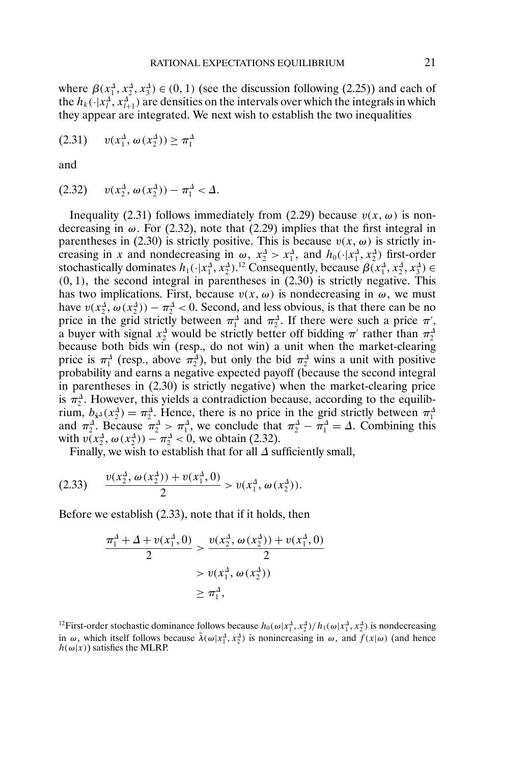where  $\beta(x_1^A, x_2^A, x_3^A) \in (0, 1)$  (see the discussion following (2.25)) and each of the  $h_k(\cdot|x_l^A, x_{l+1}^A)$  are densities on the intervals over which the integrals in which they appear are integrated. We next wish to establish the two inequalities

$$
(2.31) \t v(x_1^4, \omega(x_2^4)) \ge \pi_1^4
$$

and

$$
(2.32) \t v(x_2^4, \omega(x_2^4)) - \pi_1^4 < \Delta.
$$

Inequality (2.31) follows immediately from (2.29) because  $v(x, \omega)$  is nondecreasing in  $\omega$ . For (2.32), note that (2.29) implies that the first integral in parentheses in (2.30) is strictly positive. This is because  $v(x, \omega)$  is strictly increasing in x and nondecreasing in  $\omega$ ,  $x_2^4 > x_1^4$ , and  $h_0(\cdot|x_1^4, x_2^4)$  first-order stochastically dominates  $h_1(\cdot|x_1^{\Delta}, x_2^{\Delta})$ .<sup>12</sup> Consequently, because  $\beta(x_1^{\Delta}, x_2^{\Delta}, x_3^{\Delta}) \in$  $(0, 1)$ , the second integral in parentheses in  $(2.30)$  is strictly negative. This has two implications. First, because  $v(x, \omega)$  is nondecreasing in  $\omega$ , we must have  $v(x_2^4, \omega(x_2^4)) - \pi_2^4 < 0$ . Second, and less obvious, is that there can be no price in the grid strictly between  $\pi_1^{\Delta}$  and  $\pi_2^{\Delta}$ . If there were such a price  $\pi'$ , a buyer with signal  $x_2^{\Delta}$  would be strictly better off bidding  $\pi'$  rather than  $\pi_2^{\Delta}$ because both bids win (resp., do not win) a unit when the market-clearing price is  $\pi_1^{\Delta}$  (resp., above  $\pi_2^{\Delta}$ ), but only the bid  $\pi_2^{\Delta}$  wins a unit with positive probability and earns a negative expected payoff (because the second integral in parentheses in (2.30) is strictly negative) when the market-clearing price is  $\pi_2^{\Delta}$ . However, this yields a contradiction because, according to the equilibrium,  $b_{\hat{x}^{\Delta}}(x_2^{\Delta}) = \pi_2^{\Delta}$ . Hence, there is no price in the grid strictly between  $\pi_1^{\Delta}$ and  $\pi_2^{\Delta}$ . Because  $\pi_2^{\Delta} > \pi_1^{\Delta}$ , we conclude that  $\pi_2^{\Delta} - \pi_1^{\Delta} = \Delta$ . Combining this with  $v(x_2^4, \omega(x_2^4)) - \pi_2^4 < 0$ , we obtain (2.32).

Finally, we wish to establish that for all ∆ sufficiently small,

$$
(2.33) \qquad \frac{v(x_2^4, \omega(x_2^4)) + v(x_1^4, 0)}{2} > v(x_1^4, \omega(x_2^4)).
$$

Before we establish (2.33), note that if it holds, then

$$
\frac{\pi_1^{\Delta} + \Delta + v(x_1^{\Delta}, 0)}{2} > \frac{v(x_2^{\Delta}, \omega(x_2^{\Delta})) + v(x_1^{\Delta}, 0)}{2}
$$

$$
> v(x_1^{\Delta}, \omega(x_2^{\Delta}))
$$

$$
\geq \pi_1^{\Delta},
$$

<sup>12</sup>First-order stochastic dominance follows because  $h_0(\omega|x_1^A, x_2^A)/h_1(\omega|x_1^A, x_2^A)$  is nondecreasing in  $\omega$ , which itself follows because  $\bar{\lambda}(\omega | x_1^A, x_2^A)$  is nonincreasing in  $\omega$ , and  $f(x | \omega)$  (and hence  $h(\omega|x)$ ) satisfies the MLRP.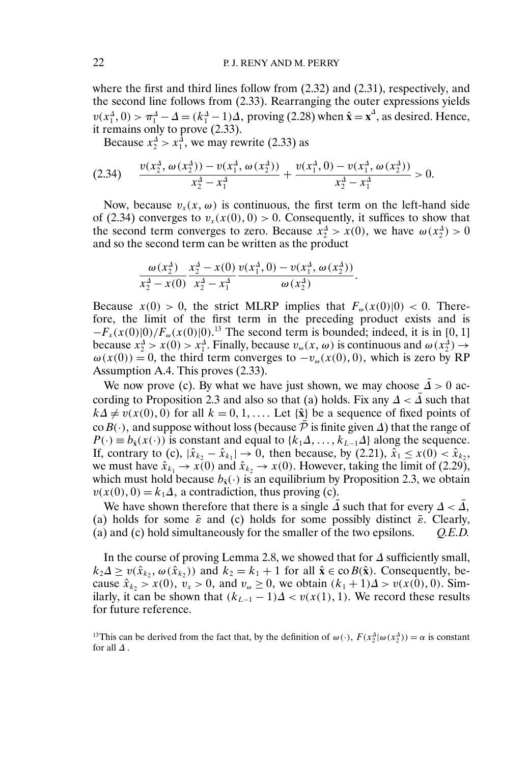where the first and third lines follow from  $(2.32)$  and  $(2.31)$ , respectively, and the second line follows from (2.33). Rearranging the outer expressions yields  $v(x_1^{\Delta}, 0) > \pi_1^{\Delta} - \Delta = (k_1^{\Delta} - 1)\Delta$ , proving (2.28) when  $\hat{\mathbf{x}} = \mathbf{x}^{\Delta}$ , as desired. Hence, it remains only to prove (2.33).

Because  $x_2^{\Delta} > x_1^{\Delta}$ , we may rewrite (2.33) as

$$
(2.34) \qquad \frac{v(x_2^4, \omega(x_2^4)) - v(x_1^4, \omega(x_2^4))}{x_2^4 - x_1^4} + \frac{v(x_1^4, 0) - v(x_1^4, \omega(x_2^4))}{x_2^4 - x_1^4} > 0.
$$

Now, because  $v_x(x, \omega)$  is continuous, the first term on the left-hand side of (2.34) converges to  $v_x(x(0),0) > 0$ . Consequently, it suffices to show that the second term converges to zero. Because  $x_2^4 > x(0)$ , we have  $\omega(x_2^4) > 0$ and so the second term can be written as the product

$$
\frac{\omega(x_2^4)}{x_2^4-x(0)}\frac{x_2^4-x(0)}{x_2^4-x_1^4}\frac{v(x_1^4,0)-v(x_1^4,\omega(x_2^4))}{\omega(x_2^4)}.
$$

Because  $x(0) > 0$ , the strict MLRP implies that  $F_{\omega}(x(0)|0) < 0$ . Therefore, the limit of the first term in the preceding product exists and is  $-F_x(x(0)|0)/F_\omega(x(0)|0)$ <sup>13</sup> The second term is bounded; indeed, it is in [0, 1] because  $x_2^4 > x(0) > x_1^4$ . Finally, because  $v_\omega(x, \omega)$  is continuous and  $\omega(x_2^4) \rightarrow$  $\omega(x(0)) = 0$ , the third term converges to  $-v_{\omega}(x(0), 0)$ , which is zero by RP Assumption A.4. This proves (2.33).

We now prove (c). By what we have just shown, we may choose  $\Delta > 0$  according to Proposition 2.3 and also so that (a) holds. Fix any  $\Delta < \Delta$  such that  $k\Delta \neq v(x(0), 0)$  for all  $k = 0, 1, \ldots$  Let  $\{\hat{\mathbf{x}}\}$  be a sequence of fixed points of coB(·), and suppose without loss (because  $\bar{P}$  is finite given  $\Delta$ ) that the range of  $P(\cdot) \equiv b_{\hat{\mathbf{x}}}(x(\cdot))$  is constant and equal to  $\{k_1 \Delta, \ldots, k_{L-1} \Delta\}$  along the sequence. If, contrary to (c),  $|\hat{x}_{k_2} - \hat{x}_{k_1}| \to 0$ , then because, by (2.21),  $\hat{x}_1 \le x(0) < \hat{x}_{k_2}$ , we must have  $\hat{x}_{k_1} \to x(0)$  and  $\hat{x}_{k_2} \to x(0)$ . However, taking the limit of (2.29), which must hold because  $b_{\hat{x}}(\cdot)$  is an equilibrium by Proposition 2.3, we obtain  $v(x(0), 0) = k_1 \Delta$ , a contradiction, thus proving (c).

We have shown therefore that there is a single  $\bar{\Delta}$  such that for every  $\Delta < \bar{\Delta}$ , (a) holds for some  $\bar{\varepsilon}$  and (c) holds for some possibly distinct  $\bar{\varepsilon}$ . Clearly, (a) and (c) hold simultaneously for the smaller of the two epsilons. *Q.E.D.*

In the course of proving Lemma 2.8, we showed that for ∆ sufficiently small,  $k_2 \Delta \ge v(\hat{x}_{k_2}, \omega(\hat{x}_{k_2}))$  and  $k_2 = k_1 + 1$  for all  $\hat{\mathbf{x}} \in \text{co } B(\hat{\mathbf{x}})$ . Consequently, because  $\hat{x}_{k_2} > x(0), v_x > 0$ , and  $v_\omega \ge 0$ , we obtain  $(k_1 + 1)\Delta > v(x(0), 0)$ . Similarly, it can be shown that  $(k_{L-1} - 1)\Delta < v(x(1), 1)$ . We record these results for future reference.

<sup>13</sup>This can be derived from the fact that, by the definition of  $\omega(\cdot)$ ,  $F(x_2^4 | \omega(x_2^4)) = \alpha$  is constant for all  $\Delta$ .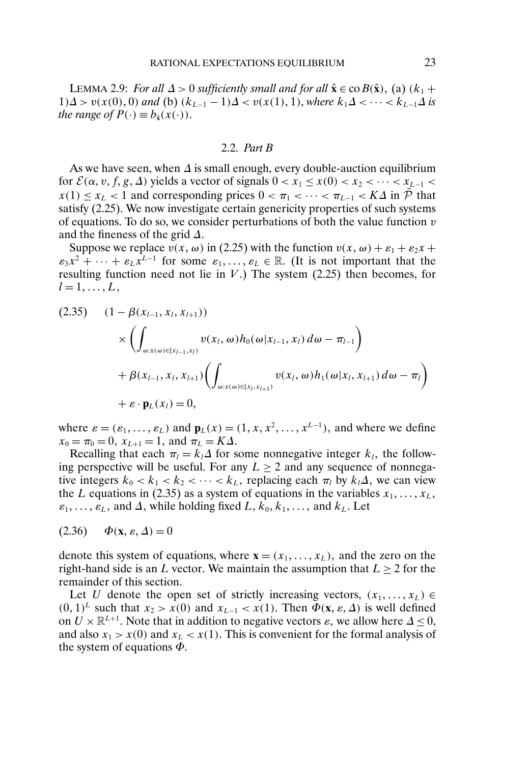LEMMA 2.9: *For all*  $\Delta > 0$  *sufficiently small and for all*  $\hat{\mathbf{x}} \in \text{co } B(\hat{\mathbf{x}})$ , (a)  $(k_1 +$ 1) $\Delta$  >  $v(x(0),0)$  and (b)  $(k_{L-1}-1)\Delta < v(x(1),1)$ , where  $k_1\Delta < \cdots < k_{L-1}\Delta$  is *the range of*  $P(\cdot) \equiv b_{\hat{x}}(x(\cdot)).$ 

### 2.2. *Part B*

As we have seen, when  $\Delta$  is small enough, every double-auction equilibrium for  $\mathcal{E}(\alpha, v, f, g, \Delta)$  yields a vector of signals  $0 < x_1 \leq x(0) < x_2 < \cdots < x_{L-1} <$  $x(1) \le x_i < 1$  and corresponding prices  $0 \le \pi_1 < \cdots < \pi_{i-1} < K\Delta$  in  $\overline{\mathcal{P}}$  that satisfy (2.25). We now investigate certain genericity properties of such systems of equations. To do so, we consider perturbations of both the value function  $v$ and the fineness of the grid  $\Delta$ .

Suppose we replace  $v(x, \omega)$  in (2.25) with the function  $v(x, \omega) + \varepsilon_1 + \varepsilon_2 x +$  $\varepsilon_3 x^2 + \cdots + \varepsilon_L x^{L-1}$  for some  $\varepsilon_1, \ldots, \varepsilon_L \in \mathbb{R}$ . (It is not important that the resulting function need not lie in  $V$ .) The system (2.25) then becomes, for  $l = 1, \ldots, L$ ,

$$
(2.35) \quad (1 - \beta(x_{l-1}, x_l, x_{l+1}))
$$
  
\$\times \left( \int\_{\omega: x(\omega) \in [x\_{l-1}, x\_l)} v(x\_l, \omega) h\_0(\omega | x\_{l-1}, x\_l) d\omega - \pi\_{l-1} \right) \$  
\$+ \beta(x\_{l-1}, x\_l, x\_{l+1}) \left( \int\_{\omega: x(\omega) \in [x\_l, x\_{l+1})} v(x\_l, \omega) h\_1(\omega | x\_l, x\_{l+1}) d\omega - \pi\_l \right) \$  
\$+ \varepsilon \cdot \mathbf{p}\_L(x\_l) = 0\$,

where  $\varepsilon = (\varepsilon_1, \dots, \varepsilon_L)$  and  $\mathbf{p}_L(x) = (1, x, x^2, \dots, x^{L-1})$ , and where we define  $x_0 = \pi_0 = 0$ ,  $x_{L+1} = 1$ , and  $\pi_L = K\Delta$ .

Recalling that each  $\pi_l = k_l \Delta$  for some nonnegative integer  $k_l$ , the following perspective will be useful. For any  $L \geq 2$  and any sequence of nonnegative integers  $k_0 < k_1 < k_2 < \cdots < k_L$ , replacing each  $\pi_l$  by  $k_l \Delta$ , we can view the L equations in (2.35) as a system of equations in the variables  $x_1, \ldots, x_L$ ,  $\varepsilon_1, \ldots, \varepsilon_L$ , and  $\Delta$ , while holding fixed  $L, k_0, k_1, \ldots$ , and  $k_L$ . Let

$$
(2.36) \qquad \Phi(\mathbf{x}, \varepsilon, \Delta) = 0
$$

denote this system of equations, where  $\mathbf{x} = (x_1, \dots, x_L)$ , and the zero on the right-hand side is an L vector. We maintain the assumption that  $L \ge 2$  for the remainder of this section.

Let U denote the open set of strictly increasing vectors,  $(x_1, \ldots, x_L)$ (0, 1)<sup>L</sup> such that  $x_2 > x(0)$  and  $x_{L-1} < x(1)$ . Then  $\Phi$ (**x**,  $\varepsilon$ ,  $\Delta$ ) is well defined on  $U \times \mathbb{R}^{L+1}$ . Note that in addition to negative vectors  $\varepsilon$ , we allow here  $\Delta \leq 0$ , and also  $x_1 > x(0)$  and  $x_L < x(1)$ . This is convenient for the formal analysis of the system of equations  $\Phi$ .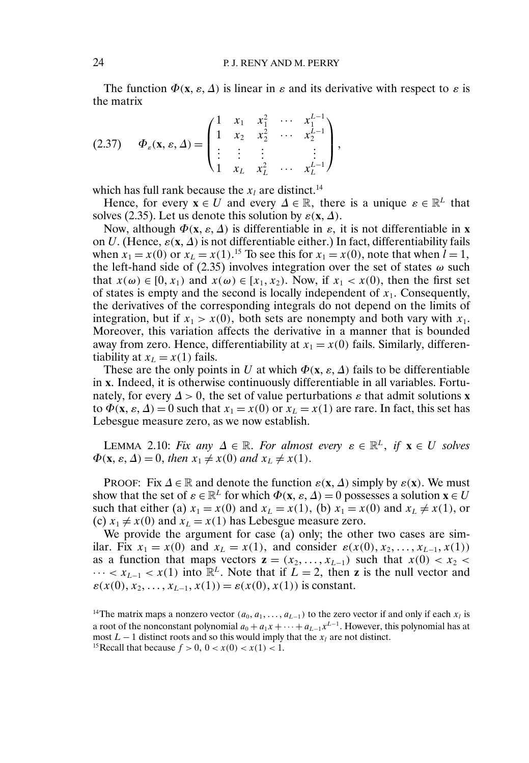The function  $\Phi(\mathbf{x}, \varepsilon, \Delta)$  is linear in  $\varepsilon$  and its derivative with respect to  $\varepsilon$  is the matrix

$$
(2.37) \quad \Phi_{\varepsilon}(\mathbf{x}, \varepsilon, \Delta) = \begin{pmatrix} 1 & x_1 & x_1^2 & \cdots & x_1^{L-1} \\ 1 & x_2 & x_2^2 & \cdots & x_2^{L-1} \\ \vdots & \vdots & \vdots & & \vdots \\ 1 & x_L & x_L^2 & \cdots & x_L^{L-1} \end{pmatrix},
$$

which has full rank because the  $x_i$  are distinct.<sup>14</sup>

Hence, for every  $x \in U$  and every  $\Delta \in \mathbb{R}$ , there is a unique  $\varepsilon \in \mathbb{R}^L$  that solves (2.35). Let us denote this solution by  $\varepsilon$ (**x**,  $\Delta$ ).

Now, although  $\Phi(\mathbf{x}, \varepsilon, \Delta)$  is differentiable in  $\varepsilon$ , it is not differentiable in **x** on U. (Hence,  $\varepsilon(x, \Delta)$  is not differentiable either.) In fact, differentiability fails when  $x_1 = x(0)$  or  $x_L = x(1)$ .<sup>15</sup> To see this for  $x_1 = x(0)$ , note that when  $l = 1$ , the left-hand side of (2.35) involves integration over the set of states  $\omega$  such that  $x(\omega) \in [0, x_1)$  and  $x(\omega) \in [x_1, x_2)$ . Now, if  $x_1 < x(0)$ , then the first set of states is empty and the second is locally independent of  $x_1$ . Consequently, the derivatives of the corresponding integrals do not depend on the limits of integration, but if  $x_1 > x(0)$ , both sets are nonempty and both vary with  $x_1$ . Moreover, this variation affects the derivative in a manner that is bounded away from zero. Hence, differentiability at  $x_1 = x(0)$  fails. Similarly, differentiability at  $x_L = x(1)$  fails.

These are the only points in U at which  $\Phi(\mathbf{x}, \varepsilon, \Delta)$  fails to be differentiable in **x** Indeed, it is otherwise continuously differentiable in all variables. Fortunately, for every  $\Delta > 0$ , the set of value perturbations  $\varepsilon$  that admit solutions **x** to  $\Phi(\mathbf{x}, \varepsilon, \Delta) = 0$  such that  $x_1 = x(0)$  or  $x_L = x(1)$  are rare. In fact, this set has Lebesgue measure zero, as we now establish.

LEMMA 2.10: *Fix any*  $\Delta \in \mathbb{R}$ . *For almost every*  $\varepsilon \in \mathbb{R}^L$ , *if*  $\mathbf{x} \in U$  *solves*  $\Phi(\mathbf{x}, \varepsilon, \Delta) = 0$ , then  $x_1 \neq x(0)$  and  $x_L \neq x(1)$ .

PROOF: Fix  $\Delta \in \mathbb{R}$  and denote the function  $\varepsilon(\mathbf{x}, \Delta)$  simply by  $\varepsilon(\mathbf{x})$ . We must show that the set of  $\varepsilon \in \mathbb{R}^L$  for which  $\Phi(\mathbf{x}, \varepsilon, \Delta) = 0$  possesses a solution  $\mathbf{x} \in U$ such that either (a)  $x_1 = x(0)$  and  $x_L = x(1)$ , (b)  $x_1 = x(0)$  and  $x_L \neq x(1)$ , or (c)  $x_1 \neq x(0)$  and  $x_L = x(1)$  has Lebesgue measure zero.

We provide the argument for case (a) only; the other two cases are similar. Fix  $x_1 = x(0)$  and  $x_L = x(1)$ , and consider  $\varepsilon(x(0), x_2, ..., x_{L-1}, x(1))$ as a function that maps vectors  $z = (x_2, \dots, x_{L-1})$  such that  $x(0) < x_2 <$  $\cdots < x_{L-1} < x(1)$  into  $\mathbb{R}^L$ . Note that if  $L = 2$ , then **z** is the null vector and  $\varepsilon(x(0), x_2, \dots, x_{L-1}, x(1)) = \varepsilon(x(0), x(1))$  is constant.

<sup>&</sup>lt;sup>14</sup>The matrix maps a nonzero vector  $(a_0, a_1, \ldots, a_{L-1})$  to the zero vector if and only if each  $x_l$  is a root of the nonconstant polynomial  $a_0 + a_1x + \cdots + a_{L-1}x^{L-1}$ . However, this polynomial has at most  $L - 1$  distinct roots and so this would imply that the  $x_l$  are not distinct. <sup>15</sup> Recall that because  $f > 0$ ,  $0 < x(0) < x(1) < 1$ .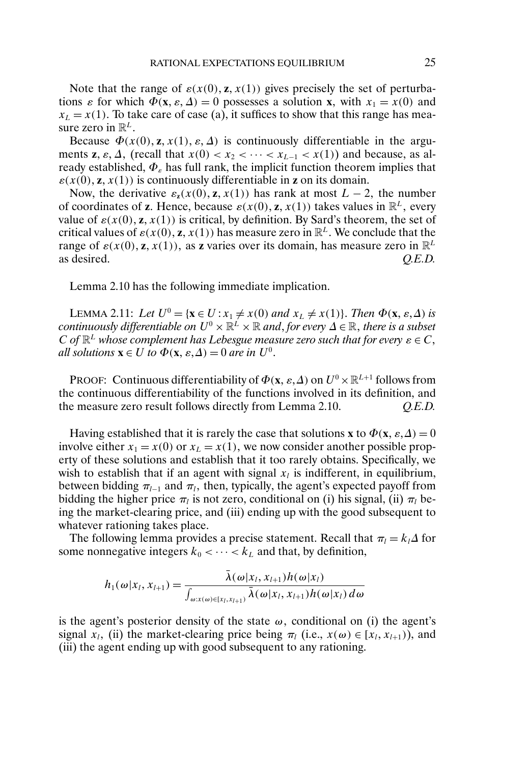Note that the range of  $\varepsilon(x(0), \mathbf{z}, x(1))$  gives precisely the set of perturbations  $\varepsilon$  for which  $\Phi(\mathbf{x}, \varepsilon, \Delta) = 0$  possesses a solution **x**, with  $x_1 = x(0)$  and  $x_L = x(1)$ . To take care of case (a), it suffices to show that this range has measure zero in  $\mathbb{R}^L$ .

Because  $\Phi(x(0), \mathbf{z}, x(1), \varepsilon, \Delta)$  is continuously differentiable in the arguments **z**,  $\varepsilon$ ,  $\Delta$ , (recall that  $x(0) < x_2 < \cdots < x_{L-1} < x(1)$ ) and because, as already established,  $\Phi_{\varepsilon}$  has full rank, the implicit function theorem implies that  $\varepsilon(x(0), \mathbf{z}, x(1))$  is continuously differentiable in **z** on its domain.

Now, the derivative  $\varepsilon_{z}(x(0), z, x(1))$  has rank at most  $L - 2$ , the number of coordinates of **z**. Hence, because  $\varepsilon(x(0), \mathbf{z}, x(1))$  takes values in  $\mathbb{R}^L$ , every value of  $\varepsilon(x(0), \mathbf{z}, x(1))$  is critical, by definition. By Sard's theorem, the set of critical values of  $\varepsilon(x(0), \mathbf{z}, x(1))$  has measure zero in  $\mathbb{R}^L$ . We conclude that the range of  $\varepsilon(x(0), \mathbf{z}, x(1))$ , as **z** varies over its domain, has measure zero in  $\mathbb{R}^L$ as desired. *Q.E.D.*

Lemma 2.10 has the following immediate implication.

LEMMA 2.11: Let  $U^0 = {\mathbf{x} \in U : x_1 \neq x(0) \text{ and } x_L \neq x(1)}$ . Then  $\Phi(\mathbf{x}, \varepsilon, \Delta)$  is  $\emph{continuously differentiable on } U^0\times\mathbb{R}^L\times\mathbb{R}$  and, for every  $\Delta\in\mathbb{R},$  there is a subset C of  $\mathbb{R}^L$  whose complement has Lebesgue measure zero such that for every  $\varepsilon \in C$ , *all solutions*  $\mathbf{x} \in U$  *to*  $\Phi(\mathbf{x}, \varepsilon, \Delta) = 0$  *are in*  $U^0$ .

PROOF: Continuous differentiability of  $\Phi(\mathbf{x}, \varepsilon, \Delta)$  on  $U^0 \times \mathbb{R}^{L+1}$  follows from the continuous differentiability of the functions involved in its definition, and the measure zero result follows directly from Lemma 2.10. *Q.E.D.*

Having established that it is rarely the case that solutions **x** to  $\Phi(\mathbf{x}, \varepsilon, \Delta) = 0$ involve either  $x_1 = x(0)$  or  $x_L = x(1)$ , we now consider another possible property of these solutions and establish that it too rarely obtains. Specifically, we wish to establish that if an agent with signal  $x_l$  is indifferent, in equilibrium, between bidding  $\pi_{l-1}$  and  $\pi_l$ , then, typically, the agent's expected payoff from bidding the higher price  $\pi_l$  is not zero, conditional on (i) his signal, (ii)  $\pi_l$  being the market-clearing price, and (iii) ending up with the good subsequent to whatever rationing takes place.

The following lemma provides a precise statement. Recall that  $\pi_l = k_l \Delta$  for some nonnegative integers  $k_0 < \cdots < k_L$  and that, by definition,

$$
h_1(\omega|x_l, x_{l+1}) = \frac{\bar{\lambda}(\omega|x_l, x_{l+1})h(\omega|x_l)}{\int_{\omega:x(\omega)\in[x_l, x_{l+1})}\bar{\lambda}(\omega|x_l, x_{l+1})h(\omega|x_l) d\omega}
$$

is the agent's posterior density of the state  $\omega$ , conditional on (i) the agent's signal  $x_l$ , (ii) the market-clearing price being  $\pi_l$  (i.e.,  $x(\omega) \in [x_l, x_{l+1})$ ), and (iii) the agent ending up with good subsequent to any rationing.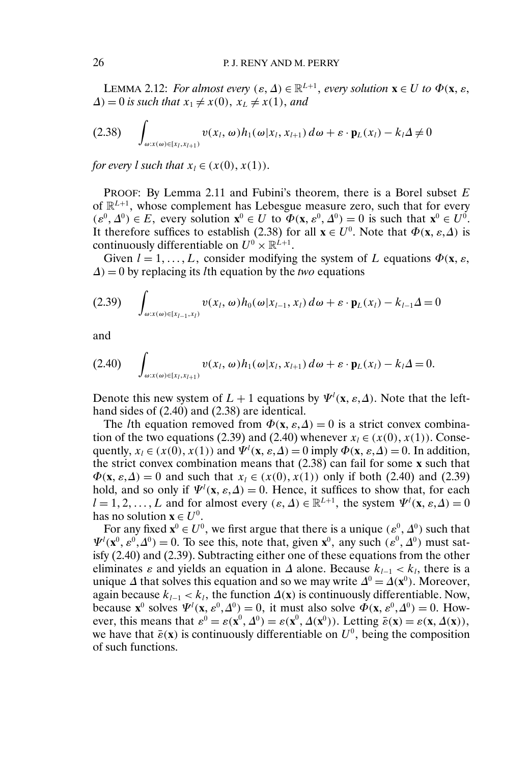LEMMA 2.12: *For almost every*  $(\varepsilon, \Delta) \in \mathbb{R}^{L+1}$ *, every solution*  $\mathbf{x} \in U$  to  $\Phi(\mathbf{x}, \varepsilon)$  $\Delta$ ) = 0 *is such that*  $x_1 \neq x(0)$ ,  $x_L \neq x(1)$ , and

$$
(2.38) \quad \int_{\omega:x(\omega)\in[x_l,x_{l+1})} v(x_l,\omega)h_1(\omega|x_l,x_{l+1})\,d\omega + \varepsilon \cdot \mathbf{p}_L(x_l) - k_l\Delta \neq 0
$$

*for every l such that*  $x_l \in (x(0), x(1))$ .

PROOF: By Lemma 2.11 and Fubini's theorem, there is a Borel subset  $E$ of  $\mathbb{R}^{L+1}$ , whose complement has Lebesgue measure zero, such that for every  $(\varepsilon^0, \Delta^0) \in E$ , every solution  $\mathbf{x}^0 \in U$  to  $\Phi(\mathbf{x}, \varepsilon^0, \Delta^0) = 0$  is such that  $\mathbf{x}^0 \in U^0$ . It therefore suffices to establish (2.38) for all  $\mathbf{x} \in U^0$ . Note that  $\Phi(\mathbf{x}, \varepsilon, \Delta)$  is continuously differentiable on  $U^0 \times \mathbb{R}^{L+1}$ .

Given  $l = 1, ..., L$ , consider modifying the system of L equations  $\Phi(\mathbf{x}, \varepsilon)$ ,  $\Delta$ ) = 0 by replacing its *l*th equation by the *two* equations

$$
(2.39) \quad \int_{\omega:x(\omega)\in[x_{l-1},x_l)} v(x_l,\omega)h_0(\omega|x_{l-1},x_l)\,d\omega + \varepsilon \cdot \mathbf{p}_L(x_l) - k_{l-1}\Delta = 0
$$

and

$$
(2.40) \quad \int_{\omega:x(\omega)\in[x_l,x_{l+1})} v(x_l,\omega)h_1(\omega|x_l,x_{l+1})\,d\omega+\varepsilon\cdot\mathbf{p}_L(x_l)-k_l\Delta=0.
$$

Denote this new system of  $L + 1$  equations by  $\Psi^l(\mathbf{x}, \varepsilon, \Delta)$ . Note that the lefthand sides of (2.40) and (2.38) are identical.

The *l*th equation removed from  $\Phi(\mathbf{x}, \varepsilon, \Delta) = 0$  is a strict convex combination of the two equations (2.39) and (2.40) whenever  $x_l \in (x(0), x(1))$ . Consequently,  $x_l \in (x(0), x(1))$  and  $\Psi^l(\mathbf{x}, \varepsilon, \Delta) = 0$  imply  $\Phi(\mathbf{x}, \varepsilon, \Delta) = 0$ . In addition, the strict convex combination means that (2.38) can fail for some **x** such that  $\Phi(\mathbf{x}, \varepsilon, \Delta) = 0$  and such that  $x_l \in (x(0), x(1))$  only if both (2.40) and (2.39) hold, and so only if  $\Psi^l(\mathbf{x}, \varepsilon, \Delta) = 0$ . Hence, it suffices to show that, for each  $l = 1, 2, ..., L$  and for almost every  $(\varepsilon, \Delta) \in \mathbb{R}^{L+1}$ , the system  $\Psi^l(\mathbf{x}, \varepsilon, \Delta) = 0$ has no solution **x**  $\in U^0$ .

For any fixed  $\mathbf{x}^0 \in U^0$ , we first argue that there is a unique  $(\varepsilon^0, \Delta^0)$  such that  $\Psi'(\mathbf{x}^0, \varepsilon^0, \Delta^0) = 0$ . To see this, note that, given  $\mathbf{x}^0$ , any such  $(\varepsilon^0, \Delta^0)$  must satisfy (2.40) and (2.39). Subtracting either one of these equations from the other eliminates  $\varepsilon$  and yields an equation in  $\Delta$  alone. Because  $k_{l-1} < k_l$ , there is a unique  $\Delta$  that solves this equation and so we may write  $\Delta^0 = \Delta(\mathbf{x}^0)$ . Moreover, again because  $k_{l-1} < k_l$ , the function  $\Delta(\mathbf{x})$  is continuously differentiable. Now, because  $\mathbf{x}^0$  solves  $\Psi^l(\mathbf{x}, \varepsilon^0, \Delta^0) = 0$ , it must also solve  $\Phi(\mathbf{x}, \varepsilon^0, \Delta^0) = 0$ . However, this means that  $\varepsilon^0 = \varepsilon(\mathbf{x}^0, \Delta^0) = \varepsilon(\mathbf{x}^0, \Delta(\mathbf{x}^0))$ . Letting  $\bar{\varepsilon}(\mathbf{x}) = \varepsilon(\mathbf{x}, \Delta(\mathbf{x}))$ , we have that  $\bar{\varepsilon}(\mathbf{x})$  is continuously differentiable on  $U^0$ , being the composition of such functions.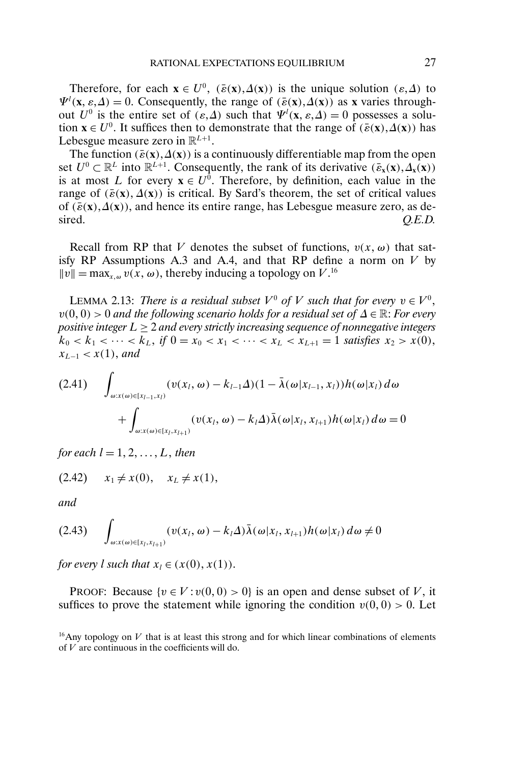Therefore, for each  $\mathbf{x} \in U^0$ ,  $(\bar{\varepsilon}(\mathbf{x}), \Delta(\mathbf{x}))$  is the unique solution  $(\varepsilon, \Delta)$  to  $\Psi^l$ (**x**,  $\varepsilon, \Delta$ ) = 0. Consequently, the range of ( $\bar{\varepsilon}$ (**x**),  $\Delta$ (**x**)) as **x** varies throughout  $U^0$  is the entire set of  $(\varepsilon, \Delta)$  such that  $\Psi^l(\mathbf{x}, \varepsilon, \Delta) = 0$  possesses a solution  $\mathbf{x} \in U^0$ . It suffices then to demonstrate that the range of  $(\bar{\varepsilon}(\mathbf{x}), \Delta(\mathbf{x}))$  has Lebesgue measure zero in  $\mathbb{R}^{L+1}$ .

The function  $(\bar{\varepsilon}(\mathbf{x}), \Delta(\mathbf{x}))$  is a continuously differentiable map from the open set  $U^0 \subset \mathbb{R}^L$  into  $\mathbb{R}^{L+1}$ . Consequently, the rank of its derivative  $(\bar{\varepsilon}_x(\mathbf{x}), \Delta_x(\mathbf{x}))$ is at most L for every  $\mathbf{x} \in U^0$ . Therefore, by definition, each value in the range of  $(\bar{\varepsilon}(\mathbf{x}), \Delta(\mathbf{x}))$  is critical. By Sard's theorem, the set of critical values of  $(\bar{\varepsilon}(\mathbf{x}), \Delta(\mathbf{x}))$ , and hence its entire range, has Lebesgue measure zero, as desired.  $Q.E.D.$ 

Recall from RP that V denotes the subset of functions,  $v(x, \omega)$  that satisfy RP Assumptions A.3 and A.4, and that RP define a norm on  $V$  by  $||v|| = \max_{x,\omega} v(x,\omega)$ , thereby inducing a topology on V.<sup>16</sup>

LEMMA 2.13: *There is a residual subset*  $V^0$  of V such that for every  $v \in V^0$ , v(0- 0) > 0 *and the following scenario holds for a residual set of* ∆ ∈ R: *For every positive integer* L ≥ 2 *and every strictly increasing sequence of nonnegative integers*  $k_0 < k_1 < \cdots < k_L$ , if  $0 = x_0 < x_1 < \cdots < x_L < x_{L+1} = 1$  satisfies  $x_2 > x(0)$ ,  $x_{L-1} < x(1)$ , and

$$
(2.41) \quad \int_{\omega:x(\omega)\in[x_{l-1},x_l)} (v(x_l,\omega)-k_{l-1}\Delta)(1-\bar{\lambda}(\omega|x_{l-1},x_l))h(\omega|x_l) d\omega
$$

$$
+\int_{\omega:x(\omega)\in[x_l,x_{l+1})} (v(x_l,\omega)-k_l\Delta)\bar{\lambda}(\omega|x_l,x_{l+1})h(\omega|x_l) d\omega=0
$$

for each  $l = 1, 2, \ldots, L$ , then

 $(2.42)$   $x_1 \neq x(0),$   $x_L \neq x(1),$ 

*and*

$$
(2.43) \quad \int_{\omega:x(\omega)\in[x_l,x_{l+1})}(v(x_l,\omega)-k_l\Delta)\bar{\lambda}(\omega|x_l,x_{l+1})h(\omega|x_l)\,d\omega\neq 0
$$

*for every l such that*  $x_l \in (x(0), x(1))$ *.* 

PROOF: Because  $\{v \in V : v(0,0) > 0\}$  is an open and dense subset of V, it suffices to prove the statement while ignoring the condition  $v(0,0) > 0$ . Let

 $16$ Any topology on V that is at least this strong and for which linear combinations of elements of  $V$  are continuous in the coefficients will do.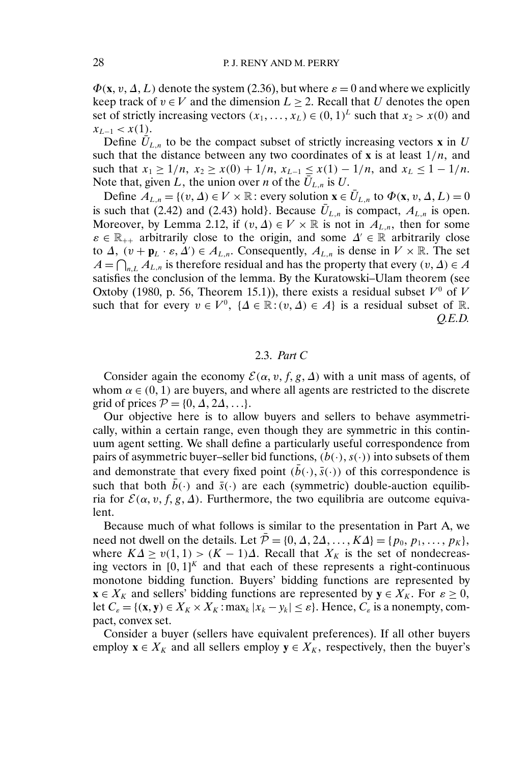$\Phi$ (**x**, *v*,  $\Delta$ , *L*) denote the system (2.36), but where  $\varepsilon = 0$  and where we explicitly keep track of  $v \in V$  and the dimension  $L \geq 2$ . Recall that U denotes the open set of strictly increasing vectors  $(x_1, ..., x_L) \in (0, 1)^L$  such that  $x_2 > x(0)$  and  $x_{L-1} < x(1)$ .

Define  $\hat{U}_{L,n}$  to be the compact subset of strictly increasing vectors **x** in U such that the distance between any two coordinates of **x** is at least  $1/n$ , and such that  $x_1 \geq 1/n$ ,  $x_2 \geq x(0) + 1/n$ ,  $x_{L-1} \leq x(1) - 1/n$ , and  $x_L \leq 1 - 1/n$ . Note that, given L, the union over *n* of the  $\overline{U}_{L,n}$  is U.

Define  $A_{L,n} = \{(v, \Delta) \in V \times \mathbb{R} : \text{every solution } \mathbf{x} \in \overline{U}_{L,n} \text{ to } \Phi(\mathbf{x}, v, \Delta, L) = 0\}$ is such that (2.42) and (2.43) hold}. Because  $\bar{U}_{L,n}$  is compact,  $A_{L,n}$  is open. Moreover, by Lemma 2.12, if  $(v, \Delta) \in V \times \mathbb{R}$  is not in  $A_{L,n}$ , then for some  $\varepsilon \in \mathbb{R}_{++}$  arbitrarily close to the origin, and some  $\Delta' \in \mathbb{R}$  arbitrarily close to  $\Delta$ ,  $(v + \mathbf{p}_L \cdot \varepsilon, \Delta') \in A_{L,n}$ . Consequently,  $A_{L,n}$  is dense in  $V \times \mathbb{R}$ . The set  $A = \bigcap_{n,L} A_{L,n}$  is therefore residual and has the property that every  $(v, \Delta) \in A$ satisfies the conclusion of the lemma. By the Kuratowski–Ulam theorem (see Oxtoby (1980, p. 56, Theorem 15.1)), there exists a residual subset  $V^0$  of V such that for every  $v \in V^0$ ,  $\{\Delta \in \mathbb{R} : (v, \Delta) \in A\}$  is a residual subset of  $\mathbb{R}$ . *Q.E.D.*

## 2.3. *Part C*

Consider again the economy  $\mathcal{E}(\alpha, v, f, g, \Delta)$  with a unit mass of agents, of whom  $\alpha \in (0, 1)$  are buyers, and where all agents are restricted to the discrete grid of prices  $P = \{0, \Delta, 2\Delta, ...\}$ .

Our objective here is to allow buyers and sellers to behave asymmetrically, within a certain range, even though they are symmetric in this continuum agent setting. We shall define a particularly useful correspondence from pairs of asymmetric buyer–seller bid functions,  $(b(\cdot), s(\cdot))$  into subsets of them and demonstrate that every fixed point  $(\bar{b}(\cdot), \bar{s}(\cdot))$  of this correspondence is such that both  $b(\cdot)$  and  $\bar{s}(\cdot)$  are each (symmetric) double-auction equilibria for  $\mathcal{E}(\alpha, v, f, g, \Delta)$ . Furthermore, the two equilibria are outcome equivalent.

Because much of what follows is similar to the presentation in Part A, we need not dwell on the details. Let  $\overline{P} = \{0, \Delta, 2\Delta, \ldots, K\Delta\} = \{p_0, p_1, \ldots, p_K\},\$ where  $K\Delta \ge v(1,1) > (K-1)\Delta$ . Recall that  $X_K$  is the set of nondecreasing vectors in  $[0, 1]^K$  and that each of these represents a right-continuous monotone bidding function. Buyers' bidding functions are represented by **x**  $\in$  X<sub>K</sub> and sellers' bidding functions are represented by **y**  $\in$  X<sub>K</sub>. For  $\varepsilon$   $\geq$  0, let  $C_{\varepsilon} = \{ (\mathbf{x}, \mathbf{y}) \in X_K \times X_K : \max_k |x_k - y_k| \leq \varepsilon \}.$  Hence,  $C_{\varepsilon}$  is a nonempty, compact, convex set.

Consider a buyer (sellers have equivalent preferences). If all other buyers employ  $\mathbf{x} \in X_K$  and all sellers employ  $\mathbf{y} \in X_K$ , respectively, then the buyer's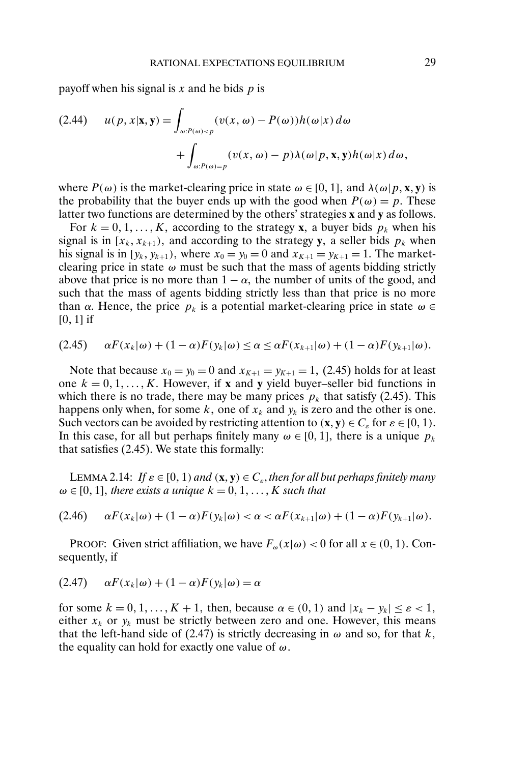payoff when his signal is  $x$  and he bids  $p$  is

(2.44) 
$$
u(p, x | \mathbf{x}, \mathbf{y}) = \int_{\omega : P(\omega) < p} (v(x, \omega) - P(\omega)) h(\omega | x) d\omega + \int_{\omega : P(\omega) = p} (v(x, \omega) - p) \lambda(\omega | p, \mathbf{x}, \mathbf{y}) h(\omega | x) d\omega,
$$

where  $P(\omega)$  is the market-clearing price in state  $\omega \in [0, 1]$ , and  $\lambda(\omega | p, \mathbf{x}, \mathbf{y})$  is the probability that the buyer ends up with the good when  $P(\omega) = p$ . These latter two functions are determined by the others' strategies **x** and **y** as follows.

For  $k = 0, 1, ..., K$ , according to the strategy **x**, a buyer bids  $p_k$  when his signal is in  $[x_k, x_{k+1})$ , and according to the strategy y, a seller bids  $p_k$  when his signal is in  $[y_k, y_{k+1})$ , where  $x_0 = y_0 = 0$  and  $x_{K+1} = y_{K+1} = 1$ . The marketclearing price in state  $\omega$  must be such that the mass of agents bidding strictly above that price is no more than  $1 - \alpha$ , the number of units of the good, and such that the mass of agents bidding strictly less than that price is no more than  $\alpha$ . Hence, the price  $p_k$  is a potential market-clearing price in state  $\omega \in$  $[0, 1]$  if

$$
(2.45) \qquad \alpha F(x_k|\omega) + (1-\alpha)F(y_k|\omega) \le \alpha \le \alpha F(x_{k+1}|\omega) + (1-\alpha)F(y_{k+1}|\omega).
$$

Note that because  $x_0 = y_0 = 0$  and  $x_{K+1} = y_{K+1} = 1$ , (2.45) holds for at least one  $k = 0, 1, ..., K$ . However, if **x** and **y** yield buyer–seller bid functions in which there is no trade, there may be many prices  $p_k$  that satisfy (2.45). This happens only when, for some k, one of  $x_k$  and  $y_k$  is zero and the other is one. Such vectors can be avoided by restricting attention to  $(\mathbf{x}, \mathbf{y}) \in C_{\varepsilon}$  for  $\varepsilon \in [0, 1)$ . In this case, for all but perhaps finitely many  $\omega \in [0, 1]$ , there is a unique  $p_k$ that satisfies (2.45). We state this formally:

LEMMA 2.14: If  $\varepsilon \in [0, 1)$  and  $(\mathbf{x}, \mathbf{y}) \in C_{\varepsilon}$ , then for all but perhaps finitely many  $\omega \in [0, 1]$ , there exists a unique  $k = 0, 1, ..., K$  such that

$$
(2.46) \qquad \alpha F(x_k|\omega) + (1-\alpha)F(y_k|\omega) < \alpha < \alpha F(x_{k+1}|\omega) + (1-\alpha)F(y_{k+1}|\omega).
$$

PROOF: Given strict affiliation, we have  $F_{\omega}(x|\omega) < 0$  for all  $x \in (0, 1)$ . Consequently, if

$$
(2.47) \qquad \alpha F(x_k|\omega) + (1-\alpha)F(y_k|\omega) = \alpha
$$

for some  $k = 0, 1, ..., K + 1$ , then, because  $\alpha \in (0, 1)$  and  $|x_k - y_k| \le \varepsilon < 1$ , either  $x_k$  or  $y_k$  must be strictly between zero and one. However, this means that the left-hand side of (2.47) is strictly decreasing in  $\omega$  and so, for that k, the equality can hold for exactly one value of  $\omega$ .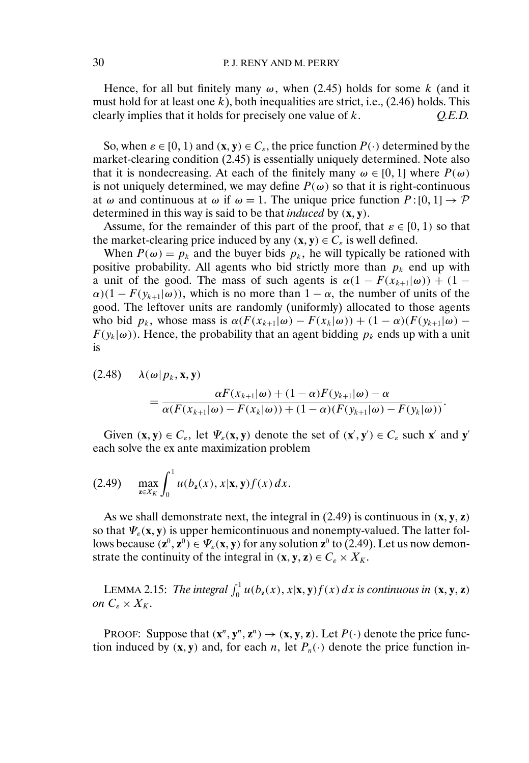Hence, for all but finitely many  $\omega$ , when (2.45) holds for some k (and it must hold for at least one  $k$ ), both inequalities are strict, i.e.,  $(2.46)$  holds. This clearly implies that it holds for precisely one value of k.  $Q.E.D.$ 

So, when  $\varepsilon \in [0, 1)$  and  $(\mathbf{x}, \mathbf{y}) \in C_{\varepsilon}$ , the price function  $P(\cdot)$  determined by the market-clearing condition (2.45) is essentially uniquely determined. Note also that it is nondecreasing. At each of the finitely many  $\omega \in [0, 1]$  where  $P(\omega)$ is not uniquely determined, we may define  $P(\omega)$  so that it is right-continuous at  $\omega$  and continuous at  $\omega$  if  $\omega = 1$ . The unique price function  $P : [0, 1] \rightarrow \mathcal{P}$ determined in this way is said to be that *induced* by (**x**- **y**).

Assume, for the remainder of this part of the proof, that  $\varepsilon \in [0, 1)$  so that the market-clearing price induced by any  $(\mathbf{x}, \mathbf{y}) \in C_{\varepsilon}$  is well defined.

When  $P(\omega) = p_k$  and the buyer bids  $p_k$ , he will typically be rationed with positive probability. All agents who bid strictly more than  $p_k$  end up with a unit of the good. The mass of such agents is  $\alpha(1 - F(x_{k+1}|\omega)) + (1 \alpha$ )(1 –  $F(y_{k+1}|\omega)$ ), which is no more than 1 –  $\alpha$ , the number of units of the good. The leftover units are randomly (uniformly) allocated to those agents who bid  $p_k$ , whose mass is  $\alpha(F(x_{k+1}|\omega) - F(x_k|\omega)) + (1 - \alpha)(F(y_{k+1}|\omega) F(y_k|\omega)$ ). Hence, the probability that an agent bidding  $p_k$  ends up with a unit is

$$
(2.48) \quad \lambda(\omega|p_k, \mathbf{x}, \mathbf{y}) = \frac{\alpha F(x_{k+1}|\omega) + (1-\alpha)F(y_{k+1}|\omega) - \alpha}{\alpha (F(x_{k+1}|\omega) - F(x_k|\omega)) + (1-\alpha) (F(y_{k+1}|\omega) - F(y_k|\omega))}.
$$

Given  $(\mathbf{x}, \mathbf{y}) \in C_{\varepsilon}$ , let  $\Psi_{\varepsilon}(\mathbf{x}, \mathbf{y})$  denote the set of  $(\mathbf{x}', \mathbf{y}') \in C_{\varepsilon}$  such  $\mathbf{x}'$  and  $\mathbf{y}'$ each solve the ex ante maximization problem

(2.49) 
$$
\max_{z \in X_K} \int_0^1 u(b_z(x), x | \mathbf{x}, \mathbf{y}) f(x) dx.
$$

As we shall demonstrate next, the integral in  $(2.49)$  is continuous in  $(\mathbf{x}, \mathbf{y}, \mathbf{z})$ so that  $\Psi_{\varepsilon}(\mathbf{x}, \mathbf{y})$  is upper hemicontinuous and nonempty-valued. The latter follows because  $(\mathbf{z}^0, \mathbf{z}^0) \in \Psi_{\varepsilon}(\mathbf{x}, \mathbf{y})$  for any solution  $\mathbf{z}^0$  to (2.49). Let us now demonstrate the continuity of the integral in  $(\mathbf{x}, \mathbf{y}, \mathbf{z}) \in C_{\varepsilon} \times X_K$ .

LEMMA 2.15: *The integral*  $\int_0^1 u(b_\mathbf{z}(x), x | \mathbf{x}, \mathbf{y}) f(x) dx$  *is continuous in*  $(\mathbf{x}, \mathbf{y}, \mathbf{z})$ *on*  $C_{\varepsilon} \times X_K$ .

PROOF: Suppose that  $(\mathbf{x}^n, \mathbf{y}^n, \mathbf{z}^n) \rightarrow (\mathbf{x}, \mathbf{y}, \mathbf{z})$ . Let  $P(\cdot)$  denote the price function induced by  $(x, y)$  and, for each n, let  $P_n(\cdot)$  denote the price function in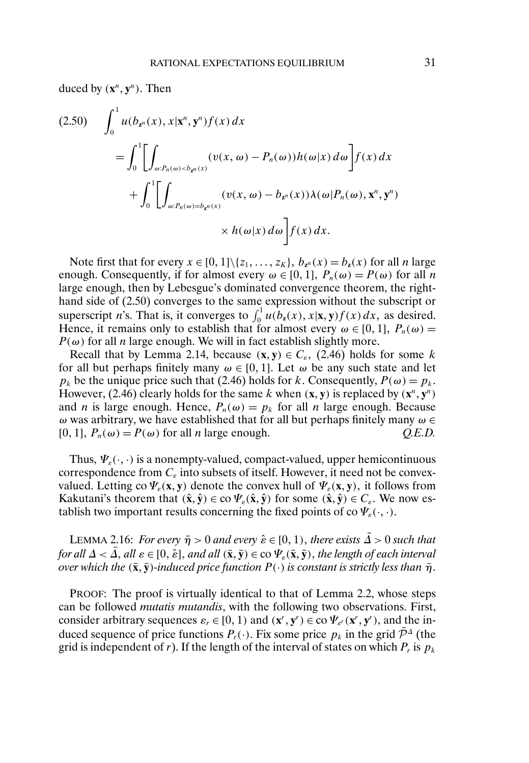duced by  $(\mathbf{x}^n, \mathbf{y}^n)$ . Then

$$
(2.50) \quad \int_0^1 u(b_{\mathbf{z}^n}(x), x | \mathbf{x}^n, \mathbf{y}^n) f(x) dx
$$
  
\n
$$
= \int_0^1 \left[ \int_{\omega: P_n(\omega) < b_{\mathbf{z}^n}(x)} (v(x, \omega) - P_n(\omega)) h(\omega | x) d\omega \right] f(x) dx
$$
  
\n
$$
+ \int_0^1 \left[ \int_{\omega: P_n(\omega) = b_{\mathbf{z}^n}(x)} (v(x, \omega) - b_{\mathbf{z}^n}(x)) \lambda(\omega | P_n(\omega), \mathbf{x}^n, \mathbf{y}^n) \right. \times h(\omega | x) d\omega \right] f(x) dx.
$$

Note first that for every  $x \in [0, 1] \setminus \{z_1, \ldots, z_K\}, b_{\mathbf{z}^n}(x) = b_{\mathbf{z}}(x)$  for all *n* large enough. Consequently, if for almost every  $\omega \in [0, 1]$ ,  $P_n(\omega) = P(\omega)$  for all n large enough, then by Lebesgue's dominated convergence theorem, the righthand side of (2.50) converges to the same expression without the subscript or superscript *n*'s. That is, it converges to  $\int_0^1 u(b_\mathbf{z}(x), \mathbf{x}|\mathbf{x}, \mathbf{y}) f(x) dx$ , as desired. Hence, it remains only to establish that for almost every  $\omega \in [0, 1]$ ,  $P_n(\omega) =$  $P(\omega)$  for all *n* large enough. We will in fact establish slightly more.

Recall that by Lemma 2.14, because  $(x, y) \in C_{\varepsilon}$ , (2.46) holds for some k for all but perhaps finitely many  $\omega \in [0, 1]$ . Let  $\omega$  be any such state and let  $p_k$  be the unique price such that (2.46) holds for k. Consequently,  $P(\omega) = p_k$ . However, (2.46) clearly holds for the same k when  $(\mathbf{x}, \mathbf{y})$  is replaced by  $(\mathbf{x}^n, \mathbf{y}^n)$ and *n* is large enough. Hence,  $P_n(\omega) = p_k$  for all *n* large enough. Because ω was arbitrary, we have established that for all but perhaps finitely many  $ω ∈$ [0, 1],  $P_n(\omega) = P(\omega)$  for all *n* large enough. *Q.E.D.* 

Thus,  $\Psi_{\varepsilon}(\cdot, \cdot)$  is a nonempty-valued, compact-valued, upper hemicontinuous correspondence from  $C_{\varepsilon}$  into subsets of itself. However, it need not be convexvalued. Letting co  $\Psi_{\varepsilon}(\mathbf{x}, \mathbf{y})$  denote the convex hull of  $\Psi_{\varepsilon}(\mathbf{x}, \mathbf{y})$ , it follows from Kakutani's theorem that  $(\hat{x}, \hat{y}) \in \text{co } \Psi_{\varepsilon}(\hat{x}, \hat{y})$  for some  $(\hat{x}, \hat{y}) \in C_{\varepsilon}$ . We now establish two important results concerning the fixed points of co  $\Psi_{\varepsilon}(\cdot,\cdot)$ .

LEMMA 2.16: *For every*  $\bar{\eta} > 0$  and every  $\hat{\varepsilon} \in [0, 1)$ , there exists  $\bar{\Delta} > 0$  such that  $f$ or all  $\varDelta < \bar{\varDelta}$ , all  $\varepsilon \in [0,\hat{\varepsilon}],$  and all  $(\bar{\mathbf{x}},\bar{\mathbf{y}}) \in \mathrm{co}\, \Psi_{\varepsilon}(\bar{\mathbf{x}},\bar{\mathbf{y}}),$  the length of each interval  $\overline{\rm over}$  which the  $(\bar{\bf x}, \bar{\bf y})$ -induced price function  $P(\cdot)$  is constant is strictly less than  $\bar{\eta}$ .

PROOF: The proof is virtually identical to that of Lemma 2.2, whose steps can be followed *mutatis mutandis*, with the following two observations. First, consider arbitrary sequences  $\varepsilon_r \in [0, 1)$  and  $(\mathbf{x}^r, \mathbf{y}^r) \in \text{co } \Psi_{\varepsilon'}(\mathbf{x}^r, \mathbf{y}^r)$ , and the induced sequence of price functions  $P_r(\cdot)$ . Fix some price  $p_k$  in the grid  $\bar{\mathcal{P}}^{\Delta}$  (the grid is independent of r). If the length of the interval of states on which  $P_r$  is  $p_k$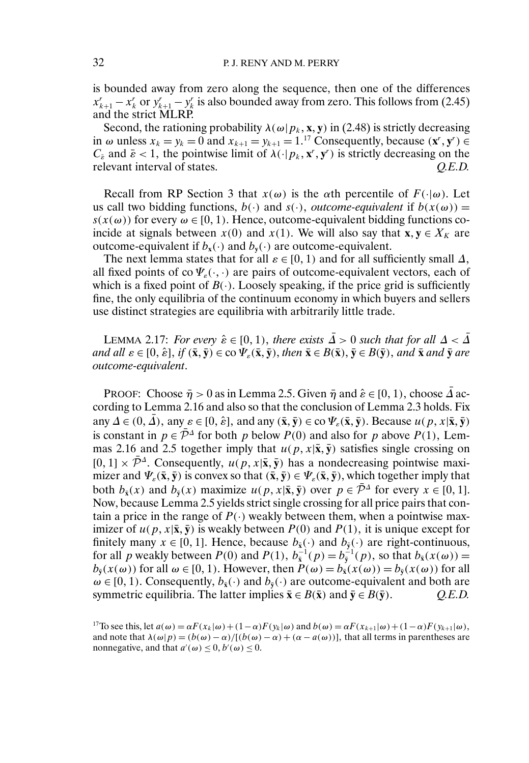is bounded away from zero along the sequence, then one of the differences  $x_{k+1}^r - x_k^r$  or  $y_{k+1}^r - y_k^r$  is also bounded away from zero. This follows from (2.45) and the strict MLRP.

Second, the rationing probability  $\lambda(\omega|p_k, \mathbf{x}, \mathbf{y})$  in (2.48) is strictly decreasing in  $\omega$  unless  $x_k = y_k = 0$  and  $x_{k+1} = y_{k+1} = 1$ .<sup>17</sup> Consequently, because  $(\mathbf{x}^r, \mathbf{y}^r) \in$  $C_{\tilde{\varepsilon}}$  and  $\tilde{\varepsilon}$  < 1, the pointwise limit of  $\lambda(\cdot|p_k, \mathbf{x}^r, \mathbf{y}^r)$  is strictly decreasing on the relevant interval of states.  $Q.E.D.$ 

Recall from RP Section 3 that  $x(\omega)$  is the  $\alpha$ th percentile of  $F(\cdot|\omega)$ . Let us call two bidding functions,  $b(\cdot)$  and  $s(\cdot)$ , *outcome-equivalent* if  $b(x(\omega)) =$  $s(x(\omega))$  for every  $\omega \in [0, 1)$ . Hence, outcome-equivalent bidding functions coincide at signals between  $x(0)$  and  $x(1)$ . We will also say that **x**,  $y \in X_K$  are outcome-equivalent if  $b_x(\cdot)$  and  $b_y(\cdot)$  are outcome-equivalent.

The next lemma states that for all  $\varepsilon \in [0, 1)$  and for all sufficiently small  $\Delta$ , all fixed points of co  $\Psi_{\varepsilon}(\cdot,\cdot)$  are pairs of outcome-equivalent vectors, each of which is a fixed point of  $B(\cdot)$ . Loosely speaking, if the price grid is sufficiently fine, the only equilibria of the continuum economy in which buyers and sellers use distinct strategies are equilibria with arbitrarily little trade.

LEMMA 2.17: *For every*  $\hat{\epsilon} \in [0, 1)$ , there exists  $\overline{\hat{\Delta}} > 0$  such that for all  $\Delta < \overline{\hat{\Delta}}$  $i$  and all  $\varepsilon \in [0, \hat{\varepsilon}],$  if  $(\bar{\mathbf{x}}, \bar{\mathbf{y}}) \in \text{co}\,\Psi_{\varepsilon}(\bar{\mathbf{x}}, \bar{\mathbf{y}}),$  then  $\bar{\mathbf{x}} \in B(\bar{\mathbf{x}}), \bar{\mathbf{y}} \in B(\bar{\mathbf{y}}),$  and  $\bar{\mathbf{x}}$  and  $\bar{\mathbf{y}}$  are *outcome-equivalent*.

PROOF: Choose  $\bar{\eta} > 0$  as in Lemma 2.5. Given  $\bar{\eta}$  and  $\hat{\varepsilon} \in [0, 1)$ , choose  $\bar{\Delta}$  according to Lemma 2.16 and also so that the conclusion of Lemma 2.3 holds. Fix any  $\Delta \in (0, \bar{\Delta})$ , any  $\varepsilon \in [0, \hat{\varepsilon}]$ , and any  $(\bar{\mathbf{x}}, \bar{\mathbf{y}}) \in \text{co }\Psi_{\varepsilon}(\bar{\mathbf{x}}, \bar{\mathbf{y}})$ . Because  $u(p, x | \bar{\mathbf{x}}, \bar{\mathbf{y}})$ is constant in  $p \in \overline{\mathcal{P}}^{\Delta}$  for both p below  $P(0)$  and also for p above  $P(1)$ , Lemmas 2.16 and 2.5 together imply that  $u(p, x | \bar{x}, \bar{y})$  satisfies single crossing on  $[0, 1] \times \overline{\mathcal{P}}^{\Delta}$ . Consequently,  $u(p, x | \overline{\mathbf{x}}, \overline{\mathbf{y}})$  has a nondecreasing pointwise maximizer and  $\Psi_{\varepsilon}(\bar{x}, \bar{y})$  is convex so that  $(\bar{x}, \bar{y}) \in \Psi_{\varepsilon}(\bar{x}, \bar{y})$ , which together imply that both  $b_{\bar{x}}(x)$  and  $b_{\bar{y}}(x)$  maximize  $u(p, x | \bar{x}, \bar{y})$  over  $p \in \bar{\mathcal{P}}^{\Delta}$  for every  $x \in [0, 1]$ . Now, because Lemma 2.5 yields strict single crossing for all price pairs that contain a price in the range of  $P(\cdot)$  weakly between them, when a pointwise maximizer of  $u(p, x | \bar{x}, \bar{y})$  is weakly between  $P(0)$  and  $P(1)$ , it is unique except for finitely many  $x \in [0, 1]$ . Hence, because  $b_{\bar{x}}(\cdot)$  and  $b_{\bar{y}}(\cdot)$  are right-continuous, for all p weakly between  $P(0)$  and  $P(1)$ ,  $b_{\bar{x}}^{-1}(p) = b_{\bar{y}}^{-1}(p)$ , so that  $b_{\bar{x}}(x(\omega)) =$  $b_{\bar{y}}(x(\omega))$  for all  $\omega \in [0, 1)$ . However, then  $P(\omega) = b_{\bar{x}}(x(\omega)) = b_{\bar{y}}(x(\omega))$  for all  $\omega \in [0, 1)$ . Consequently,  $b_{\bar{x}}(\cdot)$  and  $b_{\bar{y}}(\cdot)$  are outcome-equivalent and both are symmetric equilibria. The latter implies  $\bar{\mathbf{x}} \in B(\bar{\mathbf{x}})$  and  $\bar{\mathbf{y}} \in B(\bar{\mathbf{y}})$ .  $Q.E.D.$ 

<sup>&</sup>lt;sup>17</sup>To see this, let  $a(\omega) = \alpha F(x_k|\omega) + (1-\alpha)F(y_k|\omega)$  and  $b(\omega) = \alpha F(x_{k+1}|\omega) + (1-\alpha)F(y_{k+1}|\omega)$ , and note that  $\lambda(\omega|p) = (b(\omega) - \alpha) / [(b(\omega) - \alpha) + (\alpha - a(\omega))]$ , that all terms in parentheses are nonnegative, and that  $a'(\omega) \leq 0$ ,  $b'(\omega) \leq 0$ .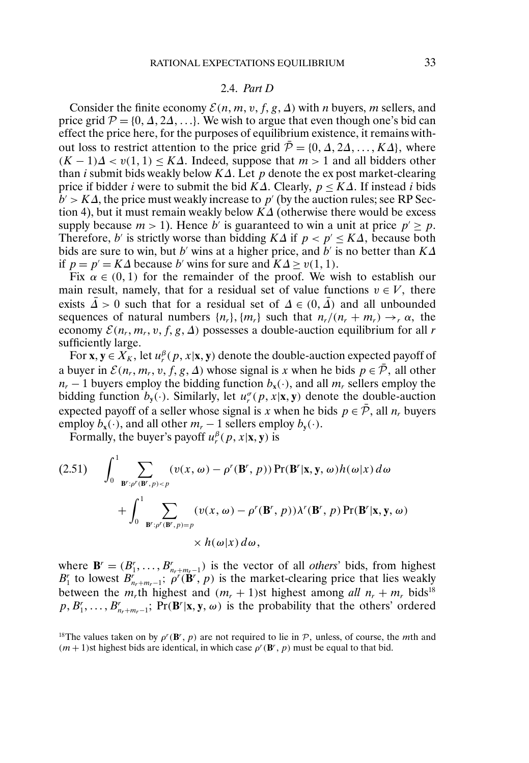### 2.4. *Part D*

Consider the finite economy  $\mathcal{E}(n, m, v, f, g, \Delta)$  with *n* buyers, *m* sellers, and price grid  $P = \{0, \Delta, 2\Delta, \ldots\}$ . We wish to argue that even though one's bid can effect the price here, for the purposes of equilibrium existence, it remains without loss to restrict attention to the price grid  $\overline{P} = \{0, \Delta, 2\Delta, ..., K\Delta\}$ , where  $(K-1)\Delta < v(1,1) \leq K\Delta$ . Indeed, suppose that  $m > 1$  and all bidders other than *i* submit bids weakly below K $\Delta$ . Let p denote the expost market-clearing price if bidder *i* were to submit the bid  $K\Delta$ . Clearly,  $p \leq K\Delta$ . If instead *i* bids  $b' > K\Delta$ , the price must weakly increase to p' (by the auction rules; see RP Section 4), but it must remain weakly below  $K\Delta$  (otherwise there would be excess supply because  $m > 1$ ). Hence b' is guaranteed to win a unit at price  $p' > p$ . Therefore, b' is strictly worse than bidding  $K\Delta$  if  $p < p' \leq K\Delta$ , because both bids are sure to win, but b' wins at a higher price, and b' is no better than  $K\Delta$ if  $p = p' = K\Delta$  because b' wins for sure and  $K\Delta \ge v(1, 1)$ .

Fix  $\alpha \in (0,1)$  for the remainder of the proof. We wish to establish our main result, namely, that for a residual set of value functions  $v \in V$ , there exists  $\bar{\Delta} > 0$  such that for a residual set of  $\Delta \in (0, \bar{\Delta})$  and all unbounded sequences of natural numbers  $\{n_r\}$ ,  $\{m_r\}$  such that  $n_r/(n_r + m_r) \rightarrow_r \alpha$ , the economy  $\mathcal{E}(n_r, m_r, v, f, g, \Delta)$  possesses a double-auction equilibrium for all r sufficiently large.

For  $\mathbf{x}, \mathbf{y} \in X_K$ , let  $u_r^{\beta}(p, x | \mathbf{x}, \mathbf{y})$  denote the double-auction expected payoff of a buyer in  $\mathcal{E}(n_r, m_r, v, f, g, \Delta)$  whose signal is x when he bids  $p \in \overline{\mathcal{P}}$ , all other  $n_r - 1$  buyers employ the bidding function  $b_x(\cdot)$ , and all  $m_r$  sellers employ the bidding function  $b_y(\cdot)$ . Similarly, let  $u_r^{\sigma}(p, x | \mathbf{x}, \mathbf{y})$  denote the double-auction expected payoff of a seller whose signal is x when he bids  $p \in \overline{P}$ , all  $n_r$  buyers employ  $b_x(\cdot)$ , and all other  $m_r - 1$  sellers employ  $b_y(\cdot)$ .

Formally, the buyer's payoff  $u_r^{\beta}(p, x | \mathbf{x}, \mathbf{y})$  is

$$
(2.51) \qquad \int_{0}^{1} \sum_{\mathbf{B}^r : \rho'(\mathbf{B}^r, p) < p} (\upsilon(x, \omega) - \rho^r(\mathbf{B}^r, p)) \Pr(\mathbf{B}^r | \mathbf{x}, \mathbf{y}, \omega) h(\omega | x) \, d\omega + \int_{0}^{1} \sum_{\mathbf{B}^r : \rho^r(\mathbf{B}^r, p) = p} (\upsilon(x, \omega) - \rho^r(\mathbf{B}^r, p)) \lambda^r(\mathbf{B}^r, p) \Pr(\mathbf{B}^r | \mathbf{x}, \mathbf{y}, \omega) \times h(\omega | x) \, d\omega,
$$

where  $\mathbf{B}' = (B'_1, \ldots, B'_{n_r+m_r-1})$  is the vector of all *others*' bids, from highest  $B_1^r$  to lowest  $B_{n_r+m_r-1}^r$ ;  $\rho^r(\mathbf{B}^r, p)$  is the market-clearing price that lies weakly between the  $m_r$ <sup>th</sup> highest and  $(m_r + 1)$ st highest among *all*  $n_r + m_r$  bids<sup>18</sup>  $p, B'_1, \ldots, B'_{n_r+m_r-1}$ ; Pr(**B**<sup>r</sup>|**x**, **y**,  $\omega$ ) is the probability that the others' ordered

<sup>18</sup>The values taken on by  $\rho^r(\mathbf{B}^r, p)$  are not required to lie in  $P$ , unless, of course, the *mth* and  $(m + 1)$ st highest bids are identical, in which case  $\rho^r(\mathbf{B}^r, p)$  must be equal to that bid.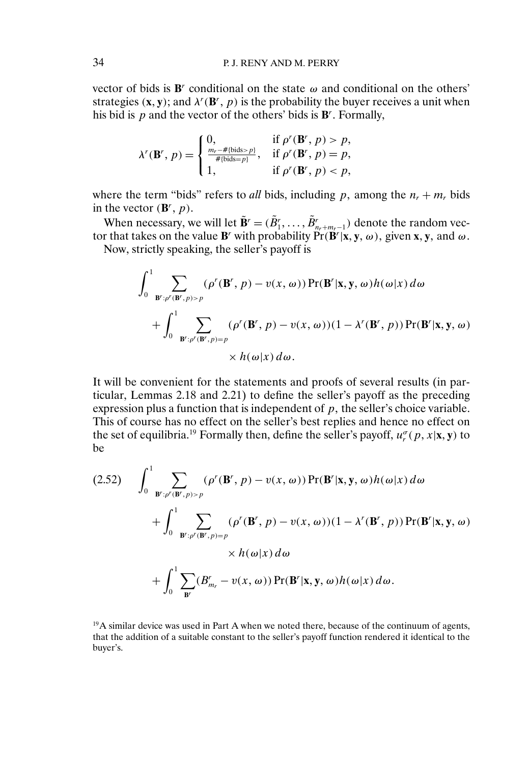vector of bids is  $\mathbf{B}^r$  conditional on the state  $\omega$  and conditional on the others' strategies  $(x, y)$ ; and  $\lambda^r(\mathbf{B}^r, p)$  is the probability the buyer receives a unit when his bid is  $p$  and the vector of the others' bids is  $\mathbf{B}^r$ . Formally,

$$
\lambda^r(\mathbf{B}^r, p) = \begin{cases} 0, & \text{if } p^r(\mathbf{B}^r, p) > p, \\ \frac{m_r - \# \{\text{bids} > p\}}{\# \{\text{bids} = p\}}, & \text{if } p^r(\mathbf{B}^r, p) = p, \\ 1, & \text{if } p^r(\mathbf{B}^r, p) < p, \end{cases}
$$

where the term "bids" refers to *all* bids, including p, among the  $n_r + m_r$  bids in the vector  $(\mathbf{B}^r, p)$ .

When necessary, we will let  $\tilde{\mathbf{B}}^r = (\tilde{B}^r_1, \dots, \tilde{B}^r_{n_r+m_r-1})$  denote the random vector that takes on the value **B**<sup>*r*</sup> with probability  $Pr(B^r | x, y, \omega)$ , given **x**, **y**, and  $\omega$ .

Now, strictly speaking, the seller's payoff is

$$
\int_0^1 \sum_{\mathbf{B}^r : \rho^r(\mathbf{B}^r, p) > p} (\rho^r(\mathbf{B}^r, p) - v(x, \omega)) \Pr(\mathbf{B}^r | \mathbf{x}, \mathbf{y}, \omega) h(\omega | x) d\omega + \int_0^1 \sum_{\mathbf{B}^r : \rho^r(\mathbf{B}^r, p) = p} (\rho^r(\mathbf{B}^r, p) - v(x, \omega)) (1 - \lambda^r(\mathbf{B}^r, p)) \Pr(\mathbf{B}^r | \mathbf{x}, \mathbf{y}, \omega) \times h(\omega | x) d\omega.
$$

It will be convenient for the statements and proofs of several results (in particular, Lemmas 2.18 and 2.21) to define the seller's payoff as the preceding expression plus a function that is independent of  $p$ , the seller's choice variable. This of course has no effect on the seller's best replies and hence no effect on the set of equilibria.<sup>19</sup> Formally then, define the seller's payoff,  $u_r^{\sigma}(p, x | \mathbf{x}, \mathbf{y})$  to be

$$
(2.52) \qquad \int_{0}^{1} \sum_{\mathbf{B}^r : \rho^r(\mathbf{B}^r, p) > p} (\rho^r(\mathbf{B}^r, p) - v(x, \omega)) \Pr(\mathbf{B}^r | \mathbf{x}, \mathbf{y}, \omega) h(\omega | x) d\omega + \int_{0}^{1} \sum_{\mathbf{B}^r : \rho^r(\mathbf{B}^r, p) = p} (\rho^r(\mathbf{B}^r, p) - v(x, \omega)) (1 - \lambda^r(\mathbf{B}^r, p)) \Pr(\mathbf{B}^r | \mathbf{x}, \mathbf{y}, \omega) \times h(\omega | x) d\omega + \int_{0}^{1} \sum_{\mathbf{B}^r} (B_{m_r}^r - v(x, \omega)) \Pr(\mathbf{B}^r | \mathbf{x}, \mathbf{y}, \omega) h(\omega | x) d\omega.
$$

 $19A$  similar device was used in Part A when we noted there, because of the continuum of agents, that the addition of a suitable constant to the seller's payoff function rendered it identical to the buyer's.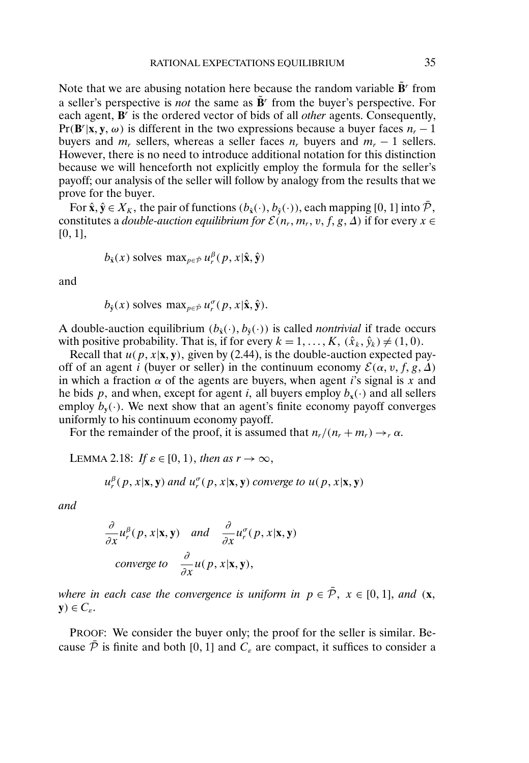Note that we are abusing notation here because the random variable  $\tilde{\mathbf{B}}^r$  from a seller's perspective is *not* the same as  $\mathbf{B}^r$  from the buyer's perspective. For each agent, **B**<sup>r</sup> is the ordered vector of bids of all *other* agents. Consequently,  $Pr(B^r | x, y, \omega)$  is different in the two expressions because a buyer faces  $n_r - 1$ buyers and  $m_r$  sellers, whereas a seller faces  $n_r$  buyers and  $m_r - 1$  sellers. However, there is no need to introduce additional notation for this distinction because we will henceforth not explicitly employ the formula for the seller's payoff; our analysis of the seller will follow by analogy from the results that we prove for the buyer.

For  $\hat{\mathbf{x}}, \hat{\mathbf{y}} \in X_K$ , the pair of functions  $(b_{\hat{\mathbf{x}}}(\cdot), b_{\hat{\mathbf{y}}}(\cdot))$ , each mapping [0, 1] into  $\bar{\mathcal{P}}$ , constitutes a *double-auction equilibrium for*  $\mathcal{E}(n_r, m_r, v, f, g, \Delta)$  if for every  $x \in$  $[0, 1],$ 

$$
b_{\hat{\mathbf{x}}}(x)
$$
 solves  $\max_{p \in \bar{\mathcal{P}}} u_r^{\beta}(p, x | \hat{\mathbf{x}}, \hat{\mathbf{y}})$ 

and

$$
b_{\hat{\mathbf{y}}}(x)
$$
 solves  $\max_{p \in \bar{\mathcal{P}}} u_r^{\sigma}(p, x | \hat{\mathbf{x}}, \hat{\mathbf{y}}).$ 

A double-auction equilibrium  $(b_{\hat{\mathbf{x}}}(\cdot), b_{\hat{\mathbf{y}}}(\cdot))$  is called *nontrivial* if trade occurs with positive probability. That is, if for every  $k = 1, ..., K$ ,  $(\hat{x}_k, \hat{y}_k) \neq (1, 0)$ .

Recall that  $u(p, x | \mathbf{x}, \mathbf{y})$ , given by (2.44), is the double-auction expected payoff of an agent *i* (buyer or seller) in the continuum economy  $\mathcal{E}(\alpha, v, f, g, \Delta)$ in which a fraction  $\alpha$  of the agents are buyers, when agent *i*'s signal is x and he bids p, and when, except for agent i, all buyers employ  $b_x(\cdot)$  and all sellers employ  $b_{\mathbf{v}}(\cdot)$ . We next show that an agent's finite economy payoff converges uniformly to his continuum economy payoff.

For the remainder of the proof, it is assumed that  $n_r/(n_r + m_r) \rightarrow_r \alpha$ .

LEMMA 2.18: *If*  $\varepsilon \in [0, 1)$ , then as  $r \to \infty$ ,

$$
u_r^{\beta}(p, x | \mathbf{x}, \mathbf{y})
$$
 and  $u_r^{\sigma}(p, x | \mathbf{x}, \mathbf{y})$  converge to  $u(p, x | \mathbf{x}, \mathbf{y})$ 

*and*

$$
\frac{\partial}{\partial x} u_r^{\beta}(p, x | \mathbf{x}, \mathbf{y}) \quad \text{and} \quad \frac{\partial}{\partial x} u_r^{\sigma}(p, x | \mathbf{x}, \mathbf{y})
$$
\n
$$
\text{converge to} \quad \frac{\partial}{\partial x} u(p, x | \mathbf{x}, \mathbf{y}),
$$

*where in each case the convergence is uniform in*  $p \in \overline{P}$ ,  $x \in [0, 1]$ , *and* (**x**,  $\mathbf{y}) \in C_{\varepsilon}$ .

PROOF: We consider the buyer only; the proof for the seller is similar. Because  $\bar{\mathcal{P}}$  is finite and both [0, 1] and  $C_{\varepsilon}$  are compact, it suffices to consider a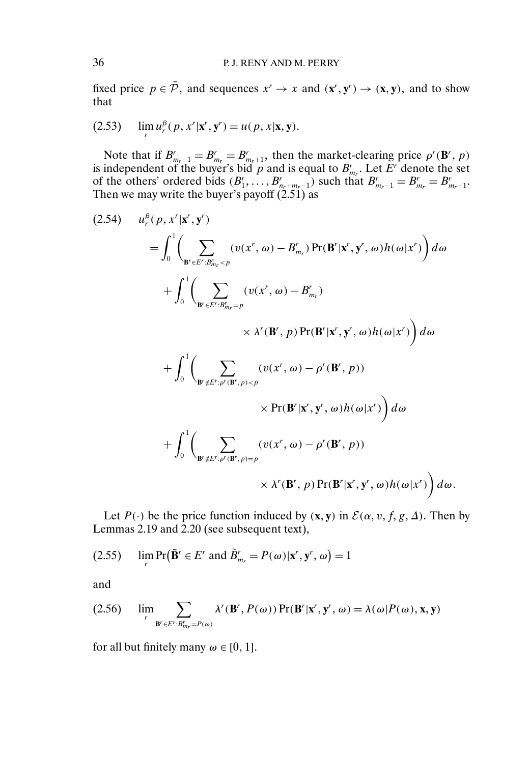fixed price  $p \in \overline{\mathcal{P}}$ , and sequences  $x^r \to x$  and  $(\mathbf{x}^r, \mathbf{y}^r) \to (\mathbf{x}, \mathbf{y})$ , and to show that

(2.53) 
$$
\lim_{r} u_r^{\beta}(p, x^r | \mathbf{x}^r, \mathbf{y}^r) = u(p, x | \mathbf{x}, \mathbf{y}).
$$

Note that if  $B_{m_r-1}^r = B_{m_r}^r = B_{m_r+1}^r$ , then the market-clearing price  $\rho^r(\mathbf{B}^r, p)$ is independent of the buyer's bid p and is equal to  $B_{m_r}^r$ . Let E<sup>r</sup> denote the set of the others' ordered bids  $(B_1^r, \ldots, B_{n_r+m_r-1}^r)$  such that  $B_{m_r-1}^r = B_{m_r}^r = B_{m_r+1}^r$ . Then we may write the buyer's payoff (2.51) as

$$
(2.54) \t u_r^{\beta}(p, x^r | \mathbf{x}', \mathbf{y}')\t= \int_0^1 \left( \sum_{\mathbf{B}' \in E': B'_{m_r} < p} (v(x^r, \omega) - B'_{m_r}) \Pr(\mathbf{B}^r | \mathbf{x}', \mathbf{y}', \omega) h(\omega | x') \right) d\omega
$$
  
+ 
$$
\int_0^1 \left( \sum_{\mathbf{B}' \in E': B'_{m_r} = p} (v(x^r, \omega) - B'_{m_r}) \times \lambda^r(\mathbf{B}', p) \Pr(\mathbf{B}' | \mathbf{x}', \mathbf{y}', \omega) h(\omega | x') \right) d\omega
$$
  
+ 
$$
\int_0^1 \left( \sum_{\mathbf{B}' \notin E': \rho'(\mathbf{B}', p) < p} (v(x^r, \omega) - \rho^r(\mathbf{B}', p)) \times \Pr(\mathbf{B}' | \mathbf{x}', \mathbf{y}', \omega) h(\omega | x') \right) d\omega
$$
  
+ 
$$
\int_0^1 \left( \sum_{\mathbf{B}' \notin E': \rho'(\mathbf{B}', p) = p} (v(x^r, \omega) - \rho^r(\mathbf{B}', p)) \times \lambda^r(\mathbf{B}', p) \Pr(\mathbf{B}' | \mathbf{x}', \mathbf{y}', \omega) h(\omega | x') \right) d\omega.
$$

Let  $P(\cdot)$  be the price function induced by  $(\mathbf{x}, \mathbf{y})$  in  $\mathcal{E}(\alpha, v, f, g, \Delta)$ . Then by Lemmas 2.19 and 2.20 (see subsequent text),

(2.55) 
$$
\lim_{r} \Pr(\tilde{\mathbf{B}}^{r} \in E^{r} \text{ and } \tilde{B}_{m_{r}}^{r} = P(\omega)|\mathbf{x}^{r}, \mathbf{y}^{r}, \omega) = 1
$$

and

(2.56) 
$$
\lim_{r} \sum_{\mathbf{B}' \in E': B'_{mr} = P(\omega)} \lambda^{r}(\mathbf{B}', P(\omega)) \Pr(\mathbf{B}' | \mathbf{x}', \mathbf{y}', \omega) = \lambda(\omega | P(\omega), \mathbf{x}, \mathbf{y})
$$

for all but finitely many  $\omega \in [0, 1]$ .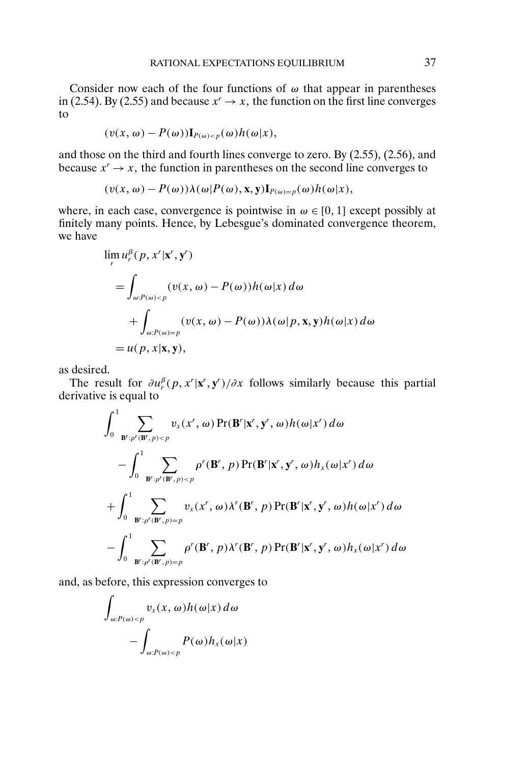Consider now each of the four functions of  $\omega$  that appear in parentheses in (2.54). By (2.55) and because  $x^r \to x$ , the function on the first line converges to

$$
(v(x, \omega) - P(\omega))\mathbf{I}_{P(\omega)<} p(\omega)h(\omega|x),
$$

and those on the third and fourth lines converge to zero. By (2.55), (2.56), and because  $x' \rightarrow x$ , the function in parentheses on the second line converges to

$$
(v(x, \omega) - P(\omega))\lambda(\omega)P(\omega), \mathbf{x}, \mathbf{y})\mathbf{I}_{P(\omega)=p}(\omega)h(\omega|x),
$$

where, in each case, convergence is pointwise in  $\omega \in [0, 1]$  except possibly at finitely many points. Hence, by Lebesgue's dominated convergence theorem, we have

$$
\lim_{r} u_r^{\beta}(p, x^r | \mathbf{x}^r, \mathbf{y}^r)
$$
\n
$$
= \int_{\omega: P(\omega) < p} (v(x, \omega) - P(\omega)) h(\omega | x) \, d\omega
$$
\n
$$
+ \int_{\omega: P(\omega) = p} (v(x, \omega) - P(\omega)) \lambda(\omega | p, \mathbf{x}, \mathbf{y}) h(\omega | x) \, d\omega
$$
\n
$$
= u(p, x | \mathbf{x}, \mathbf{y}),
$$

as desired.

The result for  $\partial u_r^{\beta}(p, x^r | \mathbf{x}^r, \mathbf{y}^r) / \partial x$  follows similarly because this partial derivative is equal to

$$
\int_{0}^{1} \sum_{\mathbf{B}^{r}:p^{r}(\mathbf{B}^{r},p)
$$

and, as before, this expression converges to

$$
\int_{\omega:P(\omega)\n
$$
-\int_{\omega:P(\omega)
$$
$$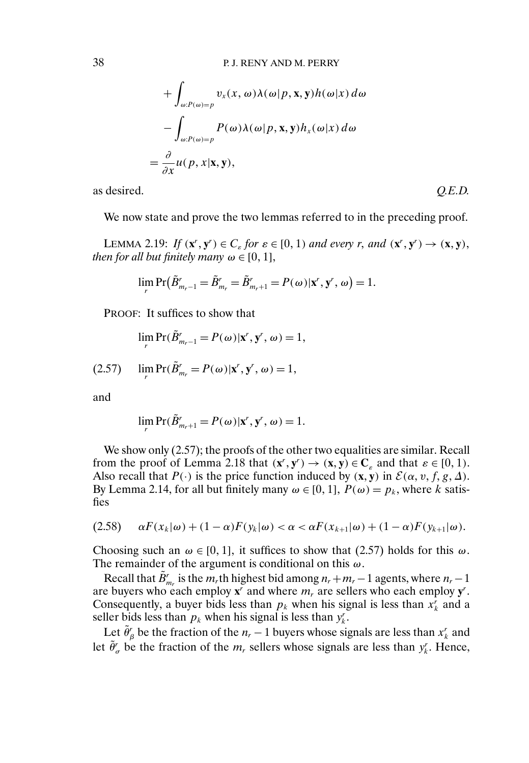$$
+ \int_{\omega:P(\omega)=p} v_x(x, \omega) \lambda(\omega|p, x, y) h(\omega|x) d\omega
$$

$$
- \int_{\omega:P(\omega)=p} P(\omega) \lambda(\omega|p, x, y) h_x(\omega|x) d\omega
$$

$$
= \frac{\partial}{\partial x} u(p, x|x, y),
$$

as desired. *Q.E.D.*

We now state and prove the two lemmas referred to in the preceding proof.

LEMMA 2.19: *If*  $(\mathbf{x}^r, \mathbf{y}^r) \in C_\varepsilon$  for  $\varepsilon \in [0, 1)$  and every r, and  $(\mathbf{x}^r, \mathbf{y}^r) \to (\mathbf{x}, \mathbf{y})$ , *then for all but finitely many*  $\omega \in [0, 1]$ ,

$$
\lim_{r} \Pr(\tilde{B}_{m_{r}-1}^{r} = \tilde{B}_{m_{r}}^{r} = \tilde{B}_{m_{r}+1}^{r} = P(\omega)|\mathbf{x}^{r}, \mathbf{y}^{r}, \omega) = 1.
$$

PROOF: It suffices to show that

$$
\lim_{r} \Pr(\tilde{B}_{m_r-1}^r = P(\omega)|\mathbf{x}^r, \mathbf{y}^r, \omega) = 1,
$$

$$
(2.57) \qquad \lim_{r} \Pr(\tilde{B}_{m_r}^r = P(\omega)|\mathbf{x}^r, \mathbf{y}^r, \omega) = 1,
$$

and

$$
\lim_{r} \Pr(\tilde{B}_{m_r+1}^r = P(\omega)|\mathbf{x}^r, \mathbf{y}^r, \omega) = 1.
$$

We show only  $(2.57)$ ; the proofs of the other two equalities are similar. Recall from the proof of Lemma 2.18 that  $(\mathbf{x}^r, \mathbf{y}^r) \rightarrow (\mathbf{x}, \mathbf{y}) \in \mathbb{C}_{\varepsilon}$  and that  $\varepsilon \in [0, 1)$ . Also recall that  $P(\cdot)$  is the price function induced by  $(\mathbf{x}, \mathbf{y})$  in  $\mathcal{E}(\alpha, v, f, g, \Delta)$ . By Lemma 2.14, for all but finitely many  $\omega \in [0, 1]$ ,  $P(\omega) = p_k$ , where k satisfies

$$
(2.58) \qquad \alpha F(x_k|\omega) + (1-\alpha)F(y_k|\omega) < \alpha < \alpha F(x_{k+1}|\omega) + (1-\alpha)F(y_{k+1}|\omega).
$$

Choosing such an  $\omega \in [0, 1]$ , it suffices to show that (2.57) holds for this  $\omega$ . The remainder of the argument is conditional on this  $\omega$ .

Recall that  $\tilde{B}_{m_r}^r$  is the  $m_r$ th highest bid among  $n_r + m_r - 1$  agents, where  $n_r - 1$ are buyers who each employ  $\mathbf{x}^r$  and where  $m_r$  are sellers who each employ  $\mathbf{y}^r$ . Consequently, a buyer bids less than  $p_k$  when his signal is less than  $x_k^r$  and a seller bids less than  $p_k$  when his signal is less than  $y_k^r$ .

Let  $\tilde{\theta}_\beta^r$  be the fraction of the  $n_r - 1$  buyers whose signals are less than  $x_k^r$  and let  $\tilde{\theta}'_{\sigma}$  be the fraction of the  $m_r$  sellers whose signals are less than  $y_k^r$ . Hence,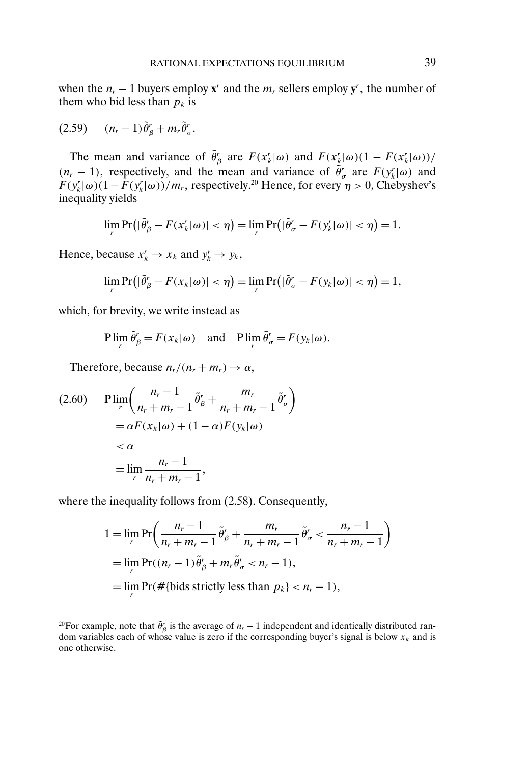when the  $n_r - 1$  buyers employ  $\mathbf{x}^r$  and the  $m_r$  sellers employ  $\mathbf{y}^r$ , the number of them who bid less than  $p_k$  is

$$
(2.59) \qquad (n_r-1)\tilde{\theta}^r_{\beta} + m_r \tilde{\theta}^r_{\sigma}.
$$

The mean and variance of  $\tilde{\theta}_\beta^r$  are  $F(x_k^r | \omega)$  and  $F(x_k^r | \omega)(1 - F(x_k^r | \omega))$ /  $(n_r - 1)$ , respectively, and the mean and variance of  $\tilde{\theta}'_r$  are  $F(y_k^r | \omega)$  and  $F(y_k^r | \omega)(1 - F(y_k^r | \omega)) / m_r$ , respectively.<sup>20</sup> Hence, for every  $\eta > 0$ , Chebyshev's inequality yields

$$
\lim_{r} \Pr(|\tilde{\theta}'_{\beta} - F(x'_{k}|\omega)| < \eta) = \lim_{r} \Pr(|\tilde{\theta}'_{\sigma} - F(y'_{k}|\omega)| < \eta) = 1.
$$

Hence, because  $x_k^r \to x_k$  and  $y_k^r \to y_k$ ,

$$
\lim_{r} \Pr(|\tilde{\theta}_{\beta}' - F(x_{k}|\omega)| < \eta) = \lim_{r} \Pr(|\tilde{\theta}_{\sigma}' - F(y_{k}|\omega)| < \eta) = 1,
$$

which, for brevity, we write instead as

$$
\text{Plim}_{r} \tilde{\theta}_{\beta}^{r} = F(x_{k}|\omega) \quad \text{and} \quad \text{Plim}_{r} \tilde{\theta}_{\sigma}^{r} = F(y_{k}|\omega).
$$

Therefore, because  $n_r/(n_r + m_r) \rightarrow \alpha$ ,

$$
\begin{aligned} \text{(2.60)} \quad & \text{P} \lim_{r} \left( \frac{n_r - 1}{n_r + m_r - 1} \tilde{\theta}_{\beta}^r + \frac{m_r}{n_r + m_r - 1} \tilde{\theta}_{\sigma}^r \right) \\ &= \alpha F(x_k | \omega) + (1 - \alpha) F(y_k | \omega) \\ &< \alpha \\ &= \lim_{r} \frac{n_r - 1}{n_r + m_r - 1}, \end{aligned}
$$

where the inequality follows from (2.58). Consequently,

$$
1 = \lim_{r} \Pr\left(\frac{n_r - 1}{n_r + m_r - 1}\tilde{\theta}'_\beta + \frac{m_r}{n_r + m_r - 1}\tilde{\theta}'_\sigma < \frac{n_r - 1}{n_r + m_r - 1}\right)
$$
\n
$$
= \lim_{r} \Pr((n_r - 1)\tilde{\theta}'_\beta + m_r\tilde{\theta}'_\sigma < n_r - 1),
$$
\n
$$
= \lim_{r} \Pr(\# \{\text{bids strictly less than } p_k\} < n_r - 1),
$$

<sup>&</sup>lt;sup>20</sup>For example, note that  $\tilde{\theta}'_{\beta}$  is the average of  $n_r - 1$  independent and identically distributed random variables each of whose value is zero if the corresponding buyer's signal is below  $x_k$  and is one otherwise.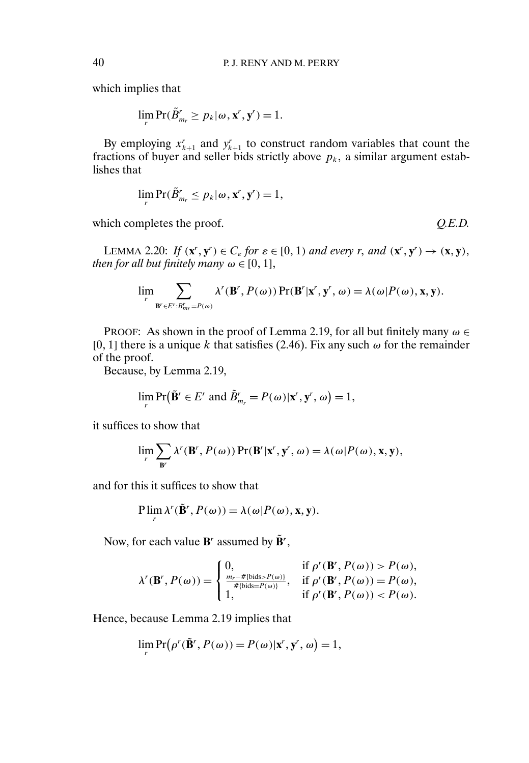which implies that

 $\lim_{r} \Pr(\tilde{B}_{m_r}^r \ge p_k | \omega, \mathbf{x}^r, \mathbf{y}^r) = 1.$ 

By employing  $x_{k+1}^r$  and  $y_{k+1}^r$  to construct random variables that count the fractions of buyer and seller bids strictly above  $p_k$ , a similar argument establishes that

$$
\lim_{r} \Pr(\tilde{B}_{m_r}^r \leq p_k | \omega, \mathbf{x}^r, \mathbf{y}^r) = 1,
$$

which completes the proof.  $Q.E.D.$ 

LEMMA 2.20: If  $(\mathbf{x}^r, \mathbf{y}^r) \in C_\varepsilon$  for  $\varepsilon \in [0, 1)$  and every r, and  $(\mathbf{x}^r, \mathbf{y}^r) \to (\mathbf{x}, \mathbf{y})$ , *then for all but finitely many*  $\omega \in [0, 1]$ ,

$$
\lim_{r} \sum_{\mathbf{B}' \in E': B'_{mr} = P(\omega)} \lambda^{r}(\mathbf{B}', P(\omega)) \Pr(\mathbf{B}' | \mathbf{x}', \mathbf{y}', \omega) = \lambda(\omega | P(\omega), \mathbf{x}, \mathbf{y}).
$$

PROOF: As shown in the proof of Lemma 2.19, for all but finitely many  $\omega \in$ [0, 1] there is a unique k that satisfies (2.46). Fix any such  $\omega$  for the remainder of the proof.

Because, by Lemma 2.19,

$$
\lim_{r} \Pr(\tilde{\mathbf{B}}^r \in E^r \text{ and } \tilde{B}_{m_r}^r = P(\omega) | \mathbf{x}^r, \mathbf{y}^r, \omega) = 1,
$$

it suffices to show that

$$
\lim_{r} \sum_{\mathbf{B}'} \lambda^{r}(\mathbf{B}', P(\omega)) \Pr(\mathbf{B}'|\mathbf{x}', \mathbf{y}', \omega) = \lambda(\omega) P(\omega), \mathbf{x}, \mathbf{y}),
$$

and for this it suffices to show that

$$
P\lim_{r} \lambda^{r}(\tilde{\mathbf{B}}^{r}, P(\omega)) = \lambda(\omega|P(\omega), \mathbf{x}, \mathbf{y}).
$$

Now, for each value  $\mathbf{B}^r$  assumed by  $\tilde{\mathbf{B}}^r$ ,

$$
\lambda^r(\mathbf{B}^r, P(\omega)) = \begin{cases} 0, & \text{if } \rho^r(\mathbf{B}^r, P(\omega)) > P(\omega), \\ \frac{m_r - #\{\text{bids} > P(\omega)\}}{\# \{\text{bids} = P(\omega)\}}, & \text{if } \rho^r(\mathbf{B}^r, P(\omega)) = P(\omega), \\ 1, & \text{if } \rho^r(\mathbf{B}^r, P(\omega)) < P(\omega). \end{cases}
$$

Hence, because Lemma 2.19 implies that

$$
\lim_{r} \Pr(\rho^r(\tilde{\mathbf{B}}^r, P(\omega)) = P(\omega)|\mathbf{x}^r, \mathbf{y}^r, \omega) = 1,
$$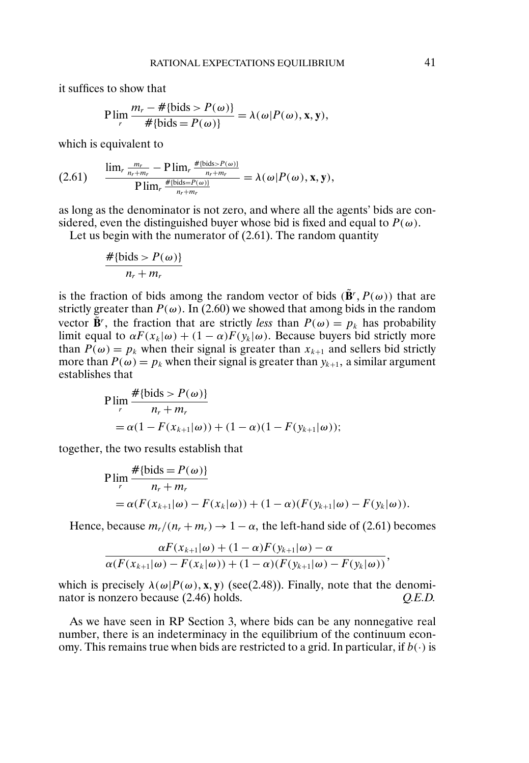it suffices to show that

$$
P\lim_{r}\frac{m_{r}-\#\{\text{bids}>P(\omega)\}}{\#\{\text{bids}=P(\omega)\}}=\lambda(\omega|P(\omega),\mathbf{x},\mathbf{y}),
$$

which is equivalent to

$$
(2.61) \qquad \frac{\lim_{r} \frac{m_r}{n_r+m_r} - P \lim_{r} \frac{\# \{\text{bids} > P(\omega)\}}{n_r+m_r}}{P \lim_{r} \frac{\# \{\text{bids} = P(\omega)\}}{n_r+m_r}} = \lambda(\omega|P(\omega), \mathbf{x}, \mathbf{y}),
$$

as long as the denominator is not zero, and where all the agents' bids are considered, even the distinguished buyer whose bid is fixed and equal to  $P(\omega)$ .

Let us begin with the numerator of (2.61). The random quantity

$$
\frac{\#\{\text{bids} > P(\omega)\}}{n_r + m_r}
$$

is the fraction of bids among the random vector of bids  $(\tilde{B}', P(\omega))$  that are strictly greater than  $P(\omega)$ . In (2.60) we showed that among bids in the random vector  $\tilde{\mathbf{B}}^r$ , the fraction that are strictly *less* than  $P(\omega) = p_k$  has probability limit equal to  $\alpha F(x_k|\omega) + (1-\alpha)F(y_k|\omega)$ . Because buyers bid strictly more than  $P(\omega) = p_k$  when their signal is greater than  $x_{k+1}$  and sellers bid strictly more than  $P(\omega) = p_k$  when their signal is greater than  $y_{k+1}$ , a similar argument establishes that

P 
$$
\lim_{r} \frac{\# \{\text{bids} > P(\omega)\}}{n_r + m_r}
$$
  
= α(1 - F(x<sub>k+1</sub>|ω)) + (1 - α)(1 - F(y<sub>k+1</sub>|ω));

together, the two results establish that

P 
$$
\lim_{r} \frac{\# \{\text{bids} = P(\omega)\}}{n_r + m_r}
$$
  
= α(F(x<sub>k+1</sub>|ω) - F(x<sub>k</sub>|ω)) + (1-α)(F(y<sub>k+1</sub>|ω) - F(y<sub>k</sub>|ω)).

Hence, because  $m_r/(n_r + m_r) \rightarrow 1 - \alpha$ , the left-hand side of (2.61) becomes

$$
\frac{\alpha F(x_{k+1}|\omega) + (1-\alpha)F(y_{k+1}|\omega) - \alpha}{\alpha(F(x_{k+1}|\omega) - F(x_k|\omega)) + (1-\alpha)(F(y_{k+1}|\omega) - F(y_k|\omega))},
$$

which is precisely  $\lambda(\omega|P(\omega), \mathbf{x}, \mathbf{y})$  (see(2.48)). Finally, note that the denominator is nonzero because (2.46) holds. *Q.E.D.*

As we have seen in RP Section 3, where bids can be any nonnegative real number, there is an indeterminacy in the equilibrium of the continuum economy. This remains true when bids are restricted to a grid. In particular, if  $b(\cdot)$  is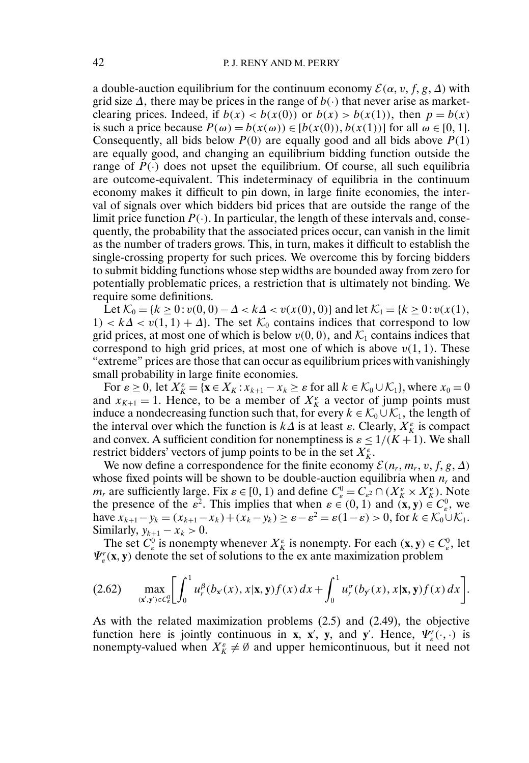a double-auction equilibrium for the continuum economy  $\mathcal{E}(\alpha, v, f, g, \Delta)$  with grid size  $\Delta$ , there may be prices in the range of  $b(\cdot)$  that never arise as marketclearing prices. Indeed, if  $b(x) < b(x(0))$  or  $b(x) > b(x(1))$ , then  $p = b(x)$ is such a price because  $P(\omega) = b(x(\omega)) \in [b(x(0)), b(x(1))]$  for all  $\omega \in [0, 1]$ . Consequently, all bids below  $P(0)$  are equally good and all bids above  $P(1)$ are equally good, and changing an equilibrium bidding function outside the range of  $P(\cdot)$  does not upset the equilibrium. Of course, all such equilibria are outcome-equivalent. This indeterminacy of equilibria in the continuum economy makes it difficult to pin down, in large finite economies, the interval of signals over which bidders bid prices that are outside the range of the limit price function  $P(\cdot)$ . In particular, the length of these intervals and, consequently, the probability that the associated prices occur, can vanish in the limit as the number of traders grows. This, in turn, makes it difficult to establish the single-crossing property for such prices. We overcome this by forcing bidders to submit bidding functions whose step widths are bounded away from zero for potentially problematic prices, a restriction that is ultimately not binding. We require some definitions.

Let  $\mathcal{K}_0 = \{k \ge 0 : v(0,0) - \Delta < k\Delta < v(x(0),0)\}$  and let  $\mathcal{K}_1 = \{k \ge 0 : v(x(1),$ 1) <  $k\Delta < v(1, 1) + \Delta$ . The set  $\mathcal{K}_0$  contains indices that correspond to low grid prices, at most one of which is below  $v(0, 0)$ , and  $\mathcal{K}_1$  contains indices that correspond to high grid prices, at most one of which is above  $v(1, 1)$ . These "extreme" prices are those that can occur as equilibrium prices with vanishingly small probability in large finite economies.

For  $\varepsilon \ge 0$ , let  $X_K^{\varepsilon} = {\mathbf{x} \in X_K : x_{k+1} - x_k \ge \varepsilon \text{ for all } k \in \mathcal{K}_0 \cup \mathcal{K}_1}$ , where  $x_0 = 0$ and  $x_{K+1} = 1$ . Hence, to be a member of  $X_K^{\varepsilon}$  a vector of jump points must induce a nondecreasing function such that, for every  $k \in \mathcal{K}_0 \cup \mathcal{K}_1$ , the length of the interval over which the function is  $k\Delta$  is at least  $\varepsilon$ . Clearly,  $X_K^{\varepsilon}$  is compact and convex. A sufficient condition for nonemptiness is  $\varepsilon \leq 1/(K+1)$ . We shall restrict bidders' vectors of jump points to be in the set  $X_K^{\varepsilon}$ .

We now define a correspondence for the finite economy  $\mathcal{E}(n_r, m_r, v, f, g, \Delta)$ whose fixed points will be shown to be double-auction equilibria when  $n_r$  and  $m_r$  are sufficiently large. Fix  $\varepsilon \in [0, 1)$  and define  $C_e^0 = C_{\varepsilon^2} \cap (X_K^{\varepsilon} \times X_K^{\varepsilon})$ . Note the presence of the  $\varepsilon^2$ . This implies that when  $\varepsilon \in (0, 1)$  and  $(\mathbf{x}, \mathbf{y}) \in C_{\varepsilon}^0$ , we have  $x_{k+1} - y_k = (x_{k+1} - x_k) + (x_k - y_k) \ge \varepsilon - \varepsilon^2 = \varepsilon(1 - \varepsilon) > 0$ , for  $k \in \mathcal{K}_0 \cup \mathcal{K}_1$ . Similarly,  $y_{k+1} - x_k > 0$ .

The set  $C^0_\varepsilon$  is nonempty whenever  $X^{\varepsilon}_K$  is nonempty. For each  $(\mathbf{x}, \mathbf{y}) \in C^0_\varepsilon$ , let  $\Psi_{\varepsilon}^r(\mathbf{x}, \mathbf{y})$  denote the set of solutions to the ex ante maximization problem

$$
(2.62) \quad \max_{(x',y')\in C_e^0}\left[\int_0^1 u_r^{\beta}(b_{x'}(x),x|\mathbf{x},\mathbf{y})f(x)\,dx+\int_0^1 u_r^{\sigma}(b_{y'}(x),x|\mathbf{x},\mathbf{y})f(x)\,dx\right].
$$

As with the related maximization problems (2.5) and (2.49), the objective function here is jointly continuous in **x**, **x**', **y**, and **y**'. Hence,  $\Psi_{\varepsilon}^r(\cdot, \cdot)$  is nonempty-valued when  $X_K^{\varepsilon} \neq \emptyset$  and upper hemicontinuous, but it need not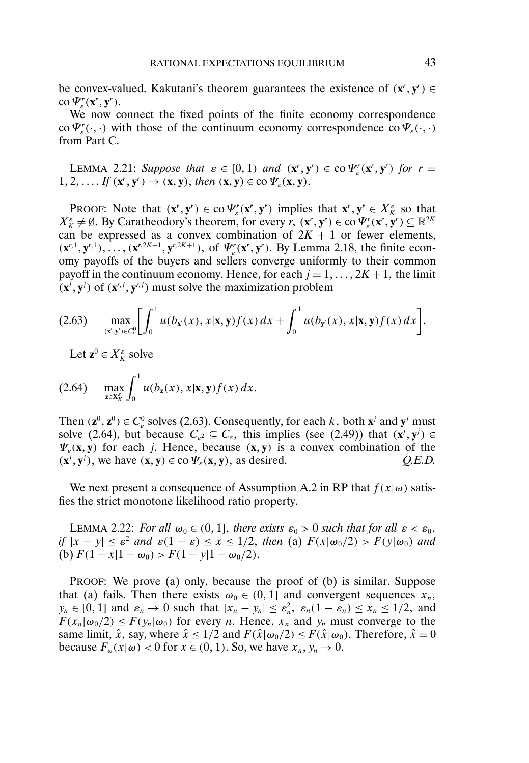be convex-valued. Kakutani's theorem guarantees the existence of  $(x^r, y^r) \in$ co  $\Psi_{\varepsilon}^r(\mathbf{x}^r, \mathbf{y}^r)$ .

We now connect the fixed points of the finite economy correspondence co  $\Psi_{\varepsilon}^r(\cdot,\cdot)$  with those of the continuum economy correspondence co  $\Psi_{\varepsilon}(\cdot,\cdot)$ from Part C.

LEMMA 2.21: *Suppose that*  $\varepsilon \in [0, 1)$  *and*  $(\mathbf{x}^r, \mathbf{y}^r) \in \text{co}\,\Psi_{\varepsilon}^r(\mathbf{x}^r, \mathbf{y}^r)$  *for*  $r =$  $1, 2, \ldots$  *If*  $(\mathbf{x}^r, \mathbf{y}^r) \rightarrow (\mathbf{x}, \mathbf{y})$ , then  $(\mathbf{x}, \mathbf{y}) \in \text{co } \Psi_{\varepsilon}(\mathbf{x}, \mathbf{y})$ .

**PROOF:** Note that  $(\mathbf{x}^r, \mathbf{y}^r) \in \text{co}\,\Psi_\varepsilon^r(\mathbf{x}^r, \mathbf{y}^r)$  implies that  $\mathbf{x}^r, \mathbf{y}^r \in X_K^\varepsilon$  so that  $X_K^{\varepsilon} \neq \emptyset$ . By Caratheodory's theorem, for every  $r, (\mathbf{x}^r, \mathbf{y}^r) \in \text{co}\,\Psi_{\varepsilon}^r(\mathbf{x}^r, \mathbf{y}^r) \subseteq \mathbb{R}^{2K}$ can be expressed as a convex combination of  $2K + 1$  or fewer elements,  $(\mathbf{x}^{r,1}, \mathbf{y}^{r,1}), \ldots, (\mathbf{x}^{r,2K+1}, \mathbf{y}^{r,2K+1}),$  of  $\Psi_{\varepsilon}^r(\mathbf{x}^r, \mathbf{y}^r)$ . By Lemma 2.18, the finite economy payoffs of the buyers and sellers converge uniformly to their common payoff in the continuum economy. Hence, for each  $j = 1, ..., 2K + 1$ , the limit  $(\mathbf{x}^j, \mathbf{y}^j)$  of  $(\mathbf{x}^{r,j}, \mathbf{y}^{r,j})$  must solve the maximization problem

$$
(2.63) \quad \max_{(x',y')\in C_e^0}\left[\int_0^1 u(b_{x'}(x),x|\mathbf{x},\mathbf{y})f(x)\,dx+\int_0^1 u(b_{y'}(x),x|\mathbf{x},\mathbf{y})f(x)\,dx\right].
$$

Let  $z^0 \in X_K^{\varepsilon}$  solve

(2.64) 
$$
\max_{z \in X_K^c} \int_0^1 u(b_z(x), x | \mathbf{x}, \mathbf{y}) f(x) dx.
$$

Then  $(\mathbf{z}^0, \mathbf{z}^0) \in C_{\varepsilon}^0$  solves (2.63). Consequently, for each k, both  $\mathbf{x}^j$  and  $\mathbf{y}^j$  must solve (2.64), but because  $C_{\varepsilon^2} \subseteq C_{\varepsilon}$ , this implies (see (2.49)) that  $(\mathbf{x}^j, \mathbf{y}^j) \in$  $\Psi_{\varepsilon}(\mathbf{x}, \mathbf{y})$  for each j. Hence, because  $(\mathbf{x}, \mathbf{y})$  is a convex combination of the  $(\mathbf{x}^j, \mathbf{y}^j)$ , we have  $(\mathbf{x}, \mathbf{y}) \in \text{co } \Psi_\varepsilon(\mathbf{x}, \mathbf{y})$ , as desired.  $Q.E.D.$ 

We next present a consequence of Assumption A.2 in RP that  $f(x|\omega)$  satisfies the strict monotone likelihood ratio property.

LEMMA 2.22: *For all*  $\omega_0 \in (0, 1]$ , there exists  $\varepsilon_0 > 0$  such that for all  $\varepsilon < \varepsilon_0$ , *if*  $|x - y| \le \varepsilon^2$  *and*  $\varepsilon(1 - \varepsilon) \le x \le 1/2$ , *then* (a)  $F(x|\omega_0/2) > F(y|\omega_0)$  *and* (b)  $F(1-x|1-\omega_0) > F(1-y|1-\omega_0/2)$ .

PROOF: We prove (a) only, because the proof of (b) is similar. Suppose that (a) fails. Then there exists  $\omega_0 \in (0, 1]$  and convergent sequences  $x_n$ ,  $y_n \in [0, 1]$  and  $\varepsilon_n \to 0$  such that  $|x_n - y_n| \le \varepsilon_n^2$ ,  $\varepsilon_n(1 - \varepsilon_n) \le x_n \le 1/2$ , and  $F(x_n|\omega_0/2) \leq F(y_n|\omega_0)$  for every *n*. Hence,  $x_n$  and  $y_n$  must converge to the same limit,  $\hat{x}$ , say, where  $\hat{x} \le 1/2$  and  $F(\hat{x}|\omega_0/2) \le F(\hat{x}|\omega_0)$ . Therefore,  $\hat{x} = 0$ because  $F_{\omega}(x|\omega) < 0$  for  $x \in (0, 1)$ . So, we have  $x_n, y_n \to 0$ .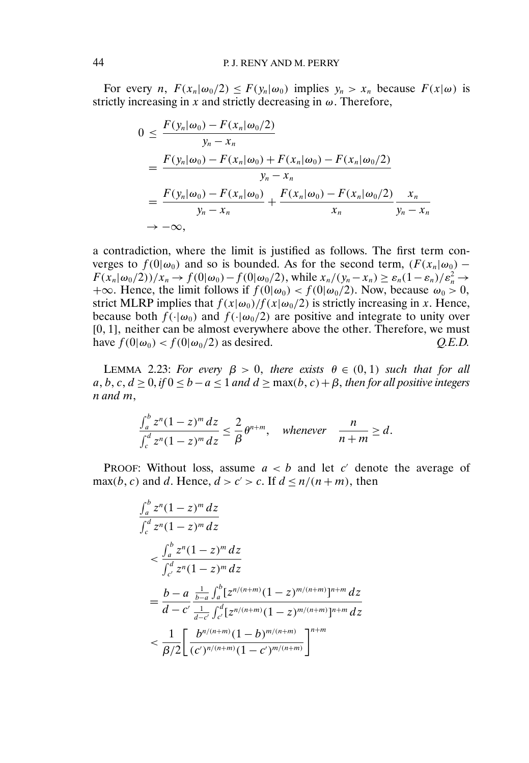For every *n*,  $F(x_n|\omega_0/2) \leq F(y_n|\omega_0)$  implies  $y_n > x_n$  because  $F(x|\omega)$  is strictly increasing in x and strictly decreasing in  $\omega$ . Therefore,

$$
0 \leq \frac{F(y_n|\omega_0) - F(x_n|\omega_0/2)}{y_n - x_n}
$$
  
= 
$$
\frac{F(y_n|\omega_0) - F(x_n|\omega_0) + F(x_n|\omega_0) - F(x_n|\omega_0/2)}{y_n - x_n}
$$
  
= 
$$
\frac{F(y_n|\omega_0) - F(x_n|\omega_0)}{y_n - x_n} + \frac{F(x_n|\omega_0) - F(x_n|\omega_0/2)}{x_n} \frac{x_n}{y_n - x_n}
$$
  

$$
\to -\infty,
$$

a contradiction, where the limit is justified as follows. The first term converges to  $f(0|\omega_0)$  and so is bounded. As for the second term,  $(F(x_n|\omega_0) F(x_n|\omega_0/2))/x_n \to f(0|\omega_0) - f(0|\omega_0/2)$ , while  $x_n/(y_n - x_n) \ge \varepsilon_n(1 - \varepsilon_n)/\varepsilon_n^2 \to$ +∞. Hence, the limit follows if  $f(0|\omega_0) < f(0|\omega_0/2)$ . Now, because  $\omega_0 > 0$ , strict MLRP implies that  $f(x|\omega_0)/f(x|\omega_0/2)$  is strictly increasing in x. Hence, because both  $f(\cdot|\omega_0)$  and  $f(\cdot|\omega_0/2)$  are positive and integrate to unity over [0, 1], neither can be almost everywhere above the other. Therefore, we must have  $f(0|\omega_0) < f(0|\omega_0/2)$  as desired.  $Q.E.D.$ 

LEMMA 2.23: *For every*  $\beta > 0$ , *there exists*  $\theta \in (0,1)$  *such that for all*  $a, b, c, d \geq 0$ , *if*  $0 \leq b - a \leq 1$  *and*  $d \geq \max(b, c) + \beta$ , *then for all positive integers* n *and* m-

$$
\frac{\int_a^b z^n (1-z)^m dz}{\int_c^d z^n (1-z)^m dz} \leq \frac{2}{\beta} \theta^{n+m}, \quad \text{whenever} \quad \frac{n}{n+m} \geq d.
$$

PROOF: Without loss, assume  $a < b$  and let c' denote the average of max(b, c) and d. Hence,  $d > c' > c$ . If  $d \leq n/(n+m)$ , then

$$
\begin{split} &\frac{\int_a^b z^n (1-z)^m \, dz}{\int_c^d z^n (1-z)^m \, dz} \\ &< \frac{\int_a^b z^n (1-z)^m \, dz}{\int_{c'}^d z^n (1-z)^m \, dz} \\ &= \frac{b-a}{d-c'} \frac{\frac{1}{b-a} \int_a^b [z^{n/(n+m)} (1-z)^{m/(n+m)}]^{n+m} \, dz}{\frac{1}{d-c'} \int_{c'}^d [z^{n/(n+m)} (1-z)^{m/(n+m)}]^{n+m} \, dz} \\ &< \frac{1}{\beta/2} \left[ \frac{b^{n/(n+m)} (1-b)^{m/(n+m)}}{(c')^{n/(n+m)} (1-c')^{m/(n+m)}} \right]^{n+m} \end{split}
$$

 $\overline{1}$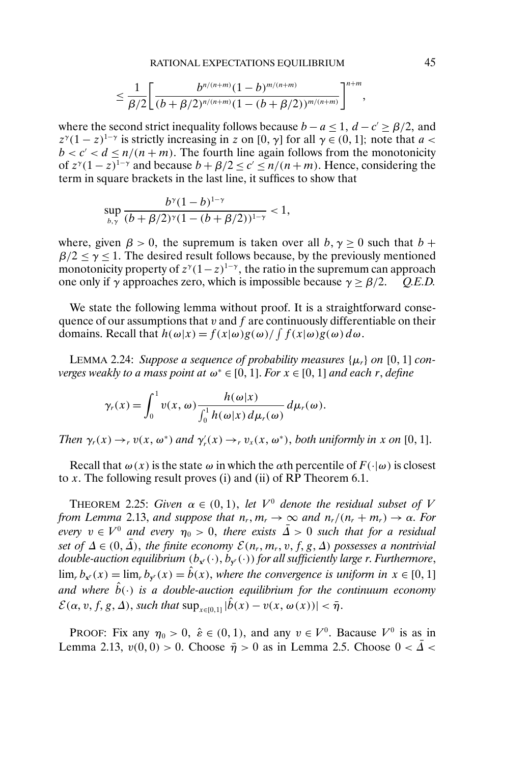$$
\leq \frac{1}{\beta/2}\Bigg[\frac{b^{n/(n+m)}(1-b)^{m/(n+m)}}{(b+\beta/2)^{n/(n+m)}(1-(b+\beta/2))^{m/(n+m)}}\Bigg]^{n+m},
$$

where the second strict inequality follows because  $b - a \le 1$ ,  $d - c' \ge \beta/2$ , and  $z^{\gamma}(1-z)^{1-\gamma}$  is strictly increasing in z on [0,  $\gamma$ ] for all  $\gamma \in (0, 1]$ ; note that  $a <$  $b < c' < d \le n/(n + m)$ . The fourth line again follows from the monotonicity of  $z^{\gamma}(1-z)^{1-\gamma}$  and because  $b + \beta/2 \le c' \le n/(n+m)$ . Hence, considering the term in square brackets in the last line, it suffices to show that

$$
\sup_{b,\gamma} \frac{b^{\gamma}(1-b)^{1-\gamma}}{(b+\beta/2)^{\gamma}(1-(b+\beta/2))^{1-\gamma}} < 1,
$$

where, given  $\beta > 0$ , the supremum is taken over all  $b, \gamma \ge 0$  such that  $b +$  $\beta/2 \le \gamma \le 1$ . The desired result follows because, by the previously mentioned monotonicity property of  $z^{\gamma}(1-z)^{1-\gamma}$ , the ratio in the supremum can approach one only if  $\gamma$  approaches zero, which is impossible because  $\gamma \ge \beta/2$ . Q.E.D.

We state the following lemma without proof. It is a straightforward consequence of our assumptions that  $v$  and  $f$  are continuously differentiable on their domains. Recall that  $h(\omega|x) = f(x|\omega)g(\omega) / \int f(x|\omega)g(\omega) d\omega$ .

LEMMA 2.24: Suppose a sequence of probability measures  $\{\mu_r\}$  on  $[0, 1]$  con*verges weakly to a mass point at*  $ω^* ∈ [0, 1]$ *. For*  $x ∈ [0, 1]$  *and each r, define* 

$$
\gamma_r(x) = \int_0^1 v(x, \omega) \frac{h(\omega|x)}{\int_0^1 h(\omega|x) d\mu_r(\omega)} d\mu_r(\omega).
$$

*Then*  $\gamma_r(x) \to_r v(x, \omega^*)$  *and*  $\gamma'_r(x) \to_r v_x(x, \omega^*)$ , *both uniformly in* x *on* [0, 1].

Recall that  $\omega(x)$  is the state  $\omega$  in which the  $\alpha$ th percentile of  $F(\cdot|\omega)$  is closest to x. The following result proves (i) and (ii) of RP Theorem 6.1.

**THEOREM** 2.25: Given  $\alpha \in (0,1)$ , let  $V^0$  denote the residual subset of V *from Lemma* 2.13, *and suppose that*  $n_r, m_r \to \infty$  *and*  $n_r/(n_r + m_r) \to \alpha$ *. For every*  $v \in V^0$  and every  $\widehat{\eta_0} > 0$ , there exists  $\overline{\Delta} > 0$  such that for a residual set of  $\Delta \in (0, \overline{\Delta})$ , the finite economy  $\mathcal{E}(n_r, m_r, v, f, g, \Delta)$  possesses a nontrivial  $double\text{-}auction\text{-}equilibrium\text{ }(b_{\mathbf{x}^r}(\cdot),b_{\mathbf{y}^r}(\cdot))$  for all sufficiently large r. Furthermore,  $\lim_{r} b_{x}(x) = \lim_{r} b_{y}(x) = \hat{b}(x)$ , where the convergence is uniform in  $x \in [0, 1]$ *and where*  $\hat{b}(\cdot)$  *is a double-auction equilibrium for the continuum economy*  $\mathcal{E}(\alpha, v, f, g, \Delta)$ , such that  $\sup_{x \in [0,1]} |\hat{b}(x) - v(x, \omega(x))| < \bar{\eta}$ .

PROOF: Fix any  $\eta_0 > 0$ ,  $\hat{\varepsilon} \in (0, 1)$ , and any  $v \in V^0$ . Bacause  $V^0$  is as in Lemma 2.13,  $v(0,0) > 0$ . Choose  $\bar{\eta} > 0$  as in Lemma 2.5. Choose  $0 < \bar{\Delta} <$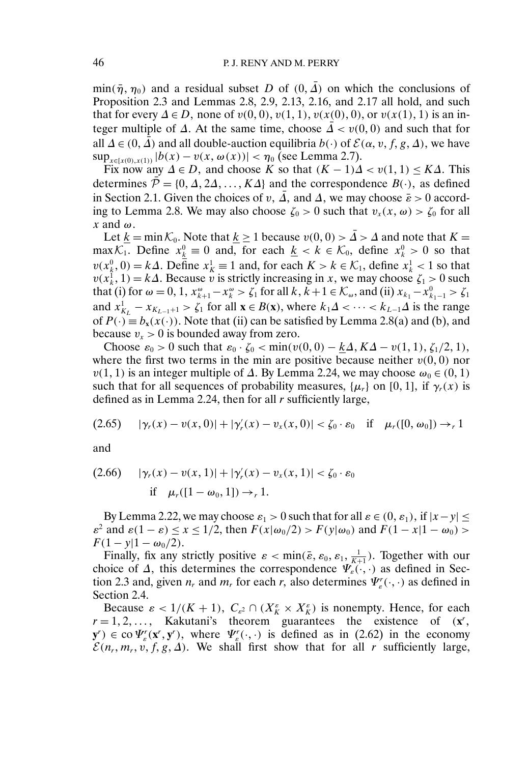min( $\bar{\eta}$ ,  $\eta_0$ ) and a residual subset D of (0,  $\bar{\Delta}$ ) on which the conclusions of Proposition 2.3 and Lemmas 2.8, 2.9, 2.13, 2.16, and 2.17 all hold, and such that for every  $\Delta \in D$ , none of  $v(0, 0)$ ,  $v(1, 1)$ ,  $v(x(0), 0)$ , or  $v(x(1), 1)$  is an integer multiple of  $\Delta$ . At the same time, choose  $\overline{\Delta} < v(0,0)$  and such that for all  $\Delta \in (0, \hat{\Delta})$  and all double-auction equilibria  $b(\cdot)$  of  $\mathcal{E}(\alpha, v, f, g, \Delta)$ , we have  $\sup_{x \in [x(0), x(1))} |b(x) - v(x, \omega(x))| < \eta_0$  (see Lemma 2.7).

Fix now any  $\Delta \in D$ , and choose K so that  $(K - 1)\Delta < v(1, 1) \leq K\Delta$ . This determines  $\overline{\mathcal{P}} = \{0, \Delta, 2\Delta, ..., K\Delta\}$  and the correspondence  $B(\cdot)$ , as defined in Section 2.1. Given the choices of v,  $\overline{\Lambda}$ , and  $\overline{\Delta}$ , we may choose  $\overline{\epsilon} > 0$  according to Lemma 2.8. We may also choose  $\zeta_0 > 0$  such that  $v_x(x, \omega) > \zeta_0$  for all  $x$  and  $\omega$ .

Let  $\underline{k} = \min_{\lambda} \mathcal{K}_0$ . Note that  $\underline{k} \ge 1$  because  $v(0,0) > \overline{\Delta} > \Delta$  and note that  $K =$ max $\mathcal{K}_1$ . Define  $x_k^0 \equiv 0$  and, for each  $\underline{k} < k \in \mathcal{K}_0$ , define  $x_k^0 > 0$  so that  $v(x_k^0, 0) = k\Delta$ . Define  $x_k^1 \equiv 1$  and, for each  $K > k \in \mathcal{K}_1$ , define  $x_k^1 < 1$  so that  $v(x_k^1, 1) = k\Delta$ . Because v is strictly increasing in x, we may choose  $\zeta_1 > 0$  such that (i) for  $\omega = 0, 1, x_{k+1}^{\omega} - x_k^{\omega} > \zeta_1$  for all  $k, k+1 \in \mathcal{K}_{\omega}$ , and (ii)  $x_{k_1} - x_{k_1-1}^0 > \zeta_1$ and  $x_{K_L}^1 - x_{K_{L-1}+1} > \zeta_1$  for all  $\mathbf{x} \in B(\mathbf{x})$ , where  $k_1\Delta < \cdots < k_{L-1}\Delta$  is the range of  $P(\cdot) \equiv b_x(x(\cdot))$ . Note that (ii) can be satisfied by Lemma 2.8(a) and (b), and because  $v_x > 0$  is bounded away from zero.

Choose  $\varepsilon_0 > 0$  such that  $\varepsilon_0 \cdot \zeta_0 < \min(v(0, 0) - \underline{k}\Delta, K\Delta - v(1, 1), \zeta_1/2, 1)$ , where the first two terms in the min are positive because neither  $v(0,0)$  nor  $v(1, 1)$  is an integer multiple of  $\Delta$ . By Lemma 2.24, we may choose  $\omega_0 \in (0, 1)$ such that for all sequences of probability measures,  $\{\mu_r\}$  on [0, 1], if  $\gamma_r(x)$  is defined as in Lemma 2.24, then for all  $r$  sufficiently large,

$$
(2.65) \qquad |\gamma_r(x) - \nu(x,0)| + |\gamma_r'(x) - \nu_x(x,0)| < \zeta_0 \cdot \varepsilon_0 \quad \text{if} \quad \mu_r([0,\omega_0]) \to_r 1
$$

and

$$
(2.66) \quad |\gamma_r(x) - v(x, 1)| + |\gamma'_r(x) - v_x(x, 1)| < \zeta_0 \cdot \varepsilon_0
$$
\nif

\n
$$
\mu_r([1 - \omega_0, 1]) \to_r 1.
$$

By Lemma 2.22, we may choose  $\varepsilon_1 > 0$  such that for all  $\varepsilon \in (0, \varepsilon_1)$ , if  $|x - y| \le$  $\varepsilon^2$  and  $\varepsilon(1-\varepsilon) \le x \le 1/2$ , then  $F(x|\omega_0/2) > F(y|\omega_0)$  and  $F(1-x|1-\omega_0) >$  $F(1 - y|1 - \omega_0/2)$ .

Finally, fix any strictly positive  $\varepsilon < \min(\bar{\varepsilon}, \varepsilon_0, \varepsilon_1, \frac{1}{K+1})$ . Together with our choice of  $\Delta$ , this determines the correspondence  $\Psi_{\varepsilon}(\cdot,\cdot)$  as defined in Section 2.3 and, given  $n_r$  and  $m_r$  for each  $r$ , also determines  $\Psi_{\varepsilon}^r(\cdot, \cdot)$  as defined in Section 2.4.

Because  $\varepsilon < 1/(K + 1)$ ,  $C_{\varepsilon^2} \cap (X_K^{\varepsilon} \times X_K^{\varepsilon})$  is nonempty. Hence, for each  $r = 1, 2, \ldots$ , Kakutani's theorem guarantees the existence of  $(x^r,$  $(\mathbf{y}^r) \in \text{co}\,\Psi_{\varepsilon}^r(\mathbf{x}^r, \mathbf{y}^r)$ , where  $\Psi_{\varepsilon}^r(\cdot, \cdot)$  is defined as in (2.62) in the economy  $\mathcal{E}(n_r, m_r, v, f, g, \Delta)$ . We shall first show that for all r sufficiently large,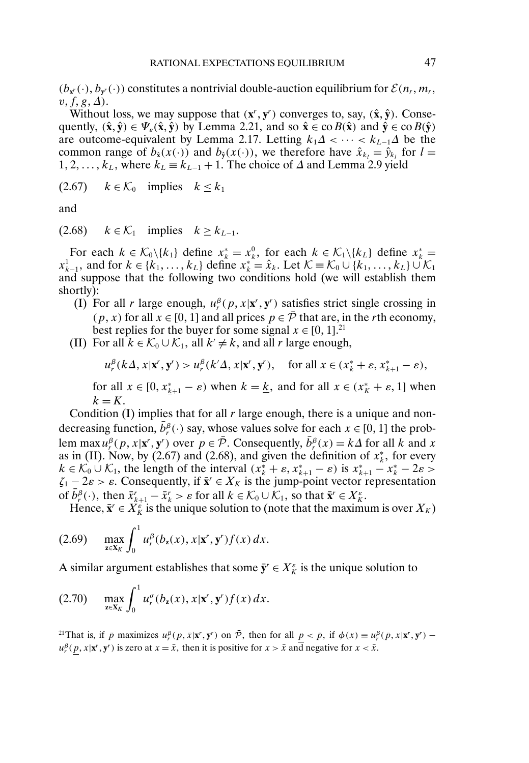$(b_{x}(·), b_{y}(·))$  constitutes a nontrivial double-auction equilibrium for  $\mathcal{E}(n_r, m_r)$ ,  $v, f, g, \Delta$ ).

Without loss, we may suppose that  $(x^r, y^r)$  converges to, say,  $(\hat{x}, \hat{y})$ . Consequently,  $(\hat{x}, \hat{y}) \in \Psi_{\varepsilon}(\hat{x}, \hat{y})$  by Lemma 2.21, and so  $\hat{x} \in \text{co } B(\hat{x})$  and  $\hat{y} \in \text{co } B(\hat{y})$ are outcome-equivalent by Lemma 2.17. Letting  $k_1\Delta < \cdots < k_{L-1}\Delta$  be the common range of  $b_{\hat{\mathbf{x}}}(x(\cdot))$  and  $b_{\hat{\mathbf{y}}}(x(\cdot))$ , we therefore have  $\hat{x}_{k_l} = \hat{y}_{k_l}$  for  $l =$ 1, 2, ...,  $k_L$ , where  $k_L \equiv k_{L-1} + 1$ . The choice of  $\Delta$  and Lemma 2.9 yield

(2.67)  $k \in \mathcal{K}_0$  implies  $k \leq k_1$ 

and

(2.68)  $k \in \mathcal{K}_1$  implies  $k \geq k_{L-1}$ .

For each  $k \in \mathcal{K}_0 \setminus \{k_1\}$  define  $x_k^* = x_k^0$ , for each  $k \in \mathcal{K}_1 \setminus \{k_L\}$  define  $x_k^* =$  $x_{k-1}^1$ , and for  $k \in \{k_1, \ldots, k_L\}$  define  $x_k^* = \hat{x}_k$ . Let  $\mathcal{K} \equiv \mathcal{K}_0 \cup \{k_1, \ldots, k_L\} \cup \mathcal{K}_1$ and suppose that the following two conditions hold (we will establish them shortly):

- (I) For all r large enough,  $u_r^{\beta}(p, x | \mathbf{x}^r, \mathbf{y}^r)$  satisfies strict single crossing in  $(p, x)$  for all  $x \in [0, 1]$  and all prices  $p \in \overline{P}$  that are, in the rth economy, best replies for the buyer for some signal  $x \in [0, 1]$ .<sup>21</sup>
- (II) For all  $k \in \mathcal{K}_0 \cup \mathcal{K}_1$ , all  $k' \neq k$ , and all r large enough,

$$
u_r^{\beta}(k\Delta, x|\mathbf{x}', \mathbf{y}') > u_r^{\beta}(k'\Delta, x|\mathbf{x}', \mathbf{y}'), \quad \text{for all } x \in (x_k^* + \varepsilon, x_{k+1}^* - \varepsilon),
$$

for all  $x \in [0, x_{k+1}^* - \varepsilon)$  when  $k = \underline{k}$ , and for all  $x \in (x_k^* + \varepsilon, 1]$  when  $k = K$ .

Condition  $(I)$  implies that for all r large enough, there is a unique and nondecreasing function,  $\bar{b}_r^{\beta}(\cdot)$  say, whose values solve for each  $x \in [0, 1]$  the problem max  $u_r^{\beta}(p, x | x^r, y^r)$  over  $p \in \overline{\mathcal{P}}$ . Consequently,  $\overline{b}_r^{\beta}(x) = k\Delta$  for all k and x as in (II). Now, by (2.67) and (2.68), and given the definition of  $x_k^*$ , for every  $k \in \mathcal{K}_0 \cup \mathcal{K}_1$ , the length of the interval  $(x_k^* + \varepsilon, x_{k+1}^* - \varepsilon)$  is  $x_{k+1}^* - x_k^* - 2\varepsilon >$  $\zeta_1 - 2\varepsilon > \varepsilon$ . Consequently, if  $\bar{\mathbf{x}}^r \in X_K$  is the jump-point vector representation of  $\bar{b}^{\beta}$ (·), then  $\bar{x}_{k+1}^{r} - \bar{x}_{k}^{r} > \varepsilon$  for all  $k \in \mathcal{K}_{0} \cup \mathcal{K}_{1}$ , so that  $\bar{x}^{r} \in X_{K}^{\varepsilon}$ .

Hence,  $\bar{x}^r \in X_K^{\varepsilon}$  is the unique solution to (note that the maximum is over  $X_K$ )

$$
(2.69) \quad \max_{\mathbf{z}\in\mathbf{X}_K}\int_0^1 u_r^{\beta}(b_{\mathbf{z}}(x),x|\mathbf{x}',\mathbf{y}')f(x)\,dx.
$$

A similar argument establishes that some  $\bar{y}^r \in X_K^{\varepsilon}$  is the unique solution to

$$
(2.70) \quad \max_{\mathbf{z}\in\mathbf{X}_K}\int_0^1 u_r^{\sigma}(b_{\mathbf{z}}(x),x|\mathbf{x}',\mathbf{y}')f(x)\,dx.
$$

<sup>21</sup>That is, if  $\bar{p}$  maximizes  $u_r^{\beta}(p, \bar{x} | \mathbf{x}^r, \mathbf{y}^r)$  on  $\bar{P}$ , then for all  $\underline{p} < \bar{p}$ , if  $\phi(x) \equiv u_r^{\beta}(\bar{p}, x | \mathbf{x}^r, \mathbf{y}^r)$  –  $u_r^{\beta}(\underline{p}, x | \mathbf{x}^r, \mathbf{y}^r)$  is zero at  $x = \bar{x}$ , then it is positive for  $x > \bar{x}$  and negative for  $x < \bar{x}$ .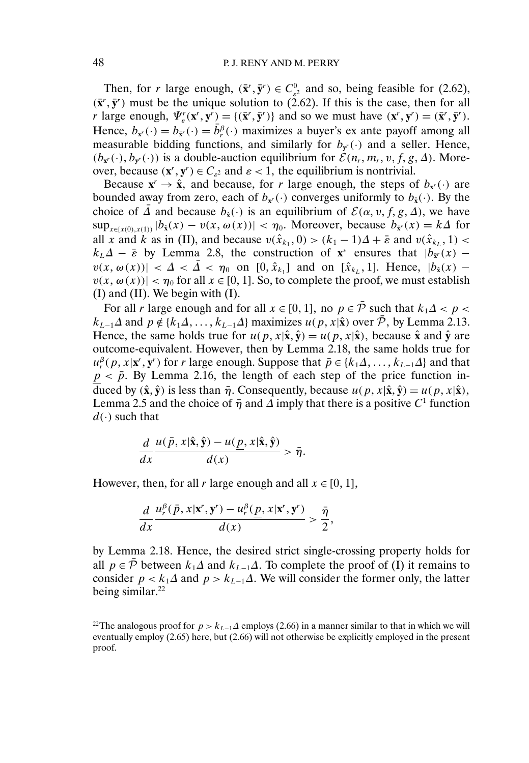Then, for r large enough,  $(\bar{\mathbf{x}}^r, \bar{\mathbf{y}}^r) \in C_{\varepsilon^2}^0$  and so, being feasible for (2.62),  $(\bar{x}', \bar{y}')$  must be the unique solution to (2.62). If this is the case, then for all r large enough,  $\Psi''_s(\mathbf{x}^r, \mathbf{y}^r) = \{(\bar{\mathbf{x}}^r, \bar{\mathbf{y}}^r)\}\$  and so we must have  $(\mathbf{x}^r, \mathbf{y}^r) = (\bar{\mathbf{x}}^r, \bar{\mathbf{y}}^r)$ . Hence,  $b_{x'}(\cdot) = b_{\bar{x}'}(\cdot) = \bar{b}_r^{\beta}(\cdot)$  maximizes a buyer's ex ante payoff among all measurable bidding functions, and similarly for  $b_{\mathbf{v}'}(\cdot)$  and a seller. Hence,  $(b_{x'}(\cdot), b_{y'}(\cdot))$  is a double-auction equilibrium for  $\mathcal{E}(n_r, m_r, v, f, g, \Delta)$ . Moreover, because  $(\mathbf{x}^r, \mathbf{y}^r) \in C_{\varepsilon^2}$  and  $\varepsilon < 1$ , the equilibrium is nontrivial.

Because  $\mathbf{x}^r \to \hat{\mathbf{x}}$ , and because, for r large enough, the steps of  $b_{\mathbf{x}^r}(\cdot)$  are bounded away from zero, each of  $b_{x}(\cdot)$  converges uniformly to  $b_{\hat{x}}(\cdot)$ . By the choice of  $\overline{\Delta}$  and because  $b_{\hat{x}}(\cdot)$  is an equilibrium of  $\mathcal{E}(\alpha, v, f, g, \Delta)$ , we have  $\sup_{x \in [x(0), x(1))} |b_{\hat{x}}(x) - v(x, \omega(x))| < \eta_0$ . Moreover, because  $b_{\tilde{x}'}(x) = k\Delta$  for all x and k as in (II), and because  $v(\hat{x}_{k_1}, 0) > (k_1 - 1)\Delta + \bar{\varepsilon}$  and  $v(\hat{x}_{k_1}, 1)$  $k_L\Delta - \bar{\varepsilon}$  by Lemma 2.8, the construction of **x**<sup>\*</sup> ensures that  $|b_{\bar{x}}(x)$  $v(x, \omega(x))$  <  $\Delta < \overline{\Delta} < \eta_0$  on [0,  $\hat{x}_{k_1}$ ] and on [ $\hat{x}_{k_2}$ , 1]. Hence,  $|b_{\hat{x}}(x)$  $v(x, \omega(x)) < \eta_0$  for all  $x \in [0, 1]$ . So, to complete the proof, we must establish (I) and (II). We begin with (I).

For all r large enough and for all  $x \in [0, 1]$ , no  $p \in \overline{P}$  such that  $k_1 \Delta < p <$  $k_{L-1}\Delta$  and  $p \notin \{k_1\Delta, \ldots, k_{L-1}\Delta\}$  maximizes  $u(p, x|\hat{x})$  over  $\bar{P}$ , by Lemma 2.13. Hence, the same holds true for  $u(p, x | \hat{x}, \hat{y}) = u(p, x | \hat{x})$ , because  $\hat{x}$  and  $\hat{y}$  are outcome-equivalent. However, then by Lemma 2.18, the same holds true for  $u_r^{\beta}(p, x | \mathbf{x}^r, \mathbf{y}^r)$  for r large enough. Suppose that  $\bar{p} \in \{k_1 \Delta, \dots, k_{L-1} \Delta\}$  and that  $p < \bar{p}$ . By Lemma 2.16, the length of each step of the price function induced by  $(\hat{\mathbf{x}}, \hat{\mathbf{y}})$  is less than  $\bar{\eta}$ . Consequently, because  $u(p, x | \hat{\mathbf{x}}, \hat{\mathbf{y}}) = u(p, x | \hat{\mathbf{x}})$ , Lemma 2.5 and the choice of  $\bar{\eta}$  and  $\Delta$  imply that there is a positive C<sup>1</sup> function  $d(\cdot)$  such that

$$
\frac{d}{dx}\frac{u(\bar{p},x|\hat{\mathbf{x}},\hat{\mathbf{y}})-u(\underline{p},x|\hat{\mathbf{x}},\hat{\mathbf{y}})}{d(x)}>\bar{\eta}.
$$

However, then, for all r large enough and all  $x \in [0, 1]$ ,

$$
\frac{d}{dx}\frac{u_r^{\beta}(\bar{p},x|\mathbf{x}',\mathbf{y}')-u_r^{\beta}(\underline{p},x|\mathbf{x}',\mathbf{y}')}{d(x)}>\frac{\bar{\eta}}{2},
$$

by Lemma 2.18. Hence, the desired strict single-crossing property holds for all  $p \in \overline{P}$  between  $k_1\Delta$  and  $k_{L-1}\Delta$ . To complete the proof of (I) it remains to consider  $p < k_1 \Delta$  and  $p > k_{L-1} \Delta$ . We will consider the former only, the latter being similar. $^{22}$ 

<sup>&</sup>lt;sup>22</sup>The analogous proof for  $p > k_{L-1}\Delta$  employs (2.66) in a manner similar to that in which we will eventually employ (2.65) here, but (2.66) will not otherwise be explicitly employed in the present proof.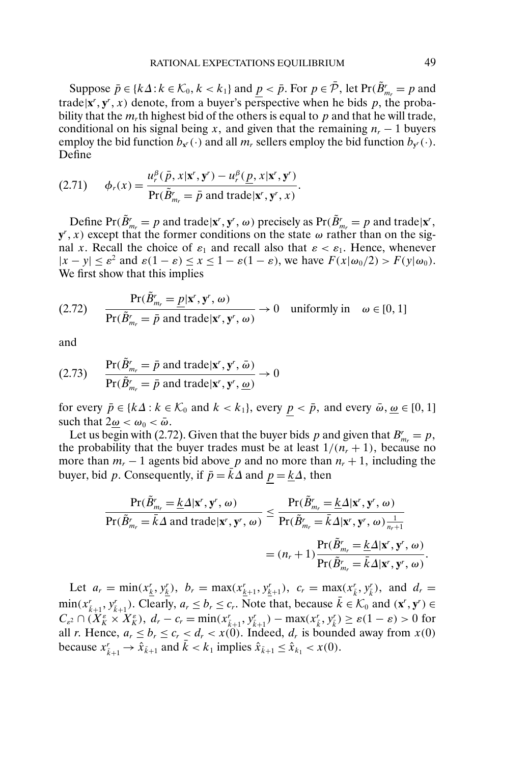Suppose  $\bar{p} \in \{k\Delta : k \in \mathcal{K}_0, k < k_1\}$  and  $\underline{p} < \bar{p}$ . For  $p \in \bar{\mathcal{P}}$ , let  $\text{Pr}(\tilde{B}_{m_r}^r = p$  and trade $|\mathbf{x}^r, \mathbf{y}^r, x)$  denote, from a buyer's perspective when he bids p, the probability that the  $m<sub>r</sub>$ th highest bid of the others is equal to p and that he will trade, conditional on his signal being x, and given that the remaining  $n_r - 1$  buyers employ the bid function  $b_{x'}(\cdot)$  and all  $m_r$  sellers employ the bid function  $b_{y'}(\cdot)$ . Define

(2.71) 
$$
\phi_r(x) = \frac{u_r^{\beta}(\bar{p}, x | \mathbf{x}', \mathbf{y}') - u_r^{\beta}(\underline{p}, x | \mathbf{x}', \mathbf{y}')}{\Pr(\tilde{B}_{m_r}' = \bar{p} \text{ and trade} | \mathbf{x}', \mathbf{y}', x)}.
$$

Define  $Pr(\tilde{B}_{m_r}^r = p \text{ and trade} | \mathbf{x}^r, \mathbf{y}^r, \omega)$  precisely as  $Pr(\tilde{B}_{m_r}^r = p \text{ and trade} | \mathbf{x}^r,$  $\mathbf{y}^r$ , x) except that the former conditions on the state  $\omega$  rather than on the signal x. Recall the choice of  $\varepsilon_1$  and recall also that  $\varepsilon < \varepsilon_1$ . Hence, whenever  $|x - y| \le \varepsilon^2$  and  $\varepsilon(1 - \varepsilon) \le x \le 1 - \varepsilon(1 - \varepsilon)$ , we have  $F(x|\omega_0/2) > F(y|\omega_0)$ . We first show that this implies

$$
(2.72) \qquad \frac{\Pr(\tilde{B}_{m_r}^r = \underline{p} | \mathbf{x}^r, \mathbf{y}^r, \omega)}{\Pr(\tilde{B}_{m_r}^r = \bar{p} \text{ and trade} | \mathbf{x}^r, \mathbf{y}^r, \omega)} \to 0 \quad \text{uniformly in} \quad \omega \in [0, 1]
$$

and

(2.73) 
$$
\frac{\Pr(\tilde{B}_{m_r}^r = \bar{p} \text{ and trade} | \mathbf{x}^r, \mathbf{y}^r, \bar{\omega})}{\Pr(\tilde{B}_{m_r}^r = \bar{p} \text{ and trade} | \mathbf{x}^r, \mathbf{y}^r, \underline{\omega})} \rightarrow 0
$$

for every  $\bar{p} \in \{k\Delta : k \in \mathcal{K}_0 \text{ and } k < k_1\}$ , every  $\underline{p} < \bar{p}$ , and every  $\bar{\omega}, \underline{\omega} \in [0, 1]$ such that  $2\omega < \omega_0 < \bar{\omega}$ .

Let us begin with (2.72). Given that the buyer bids p and given that  $B_{m_r}^r = p$ , the probability that the buyer trades must be at least  $1/(n_r + 1)$ , because no more than  $m_r - 1$  agents bid above p and no more than  $n_r + 1$ , including the buyer, bid p. Consequently, if  $\bar{p} = \bar{k} \Delta$  and  $p = k\Delta$ , then

$$
\frac{\Pr(\tilde{B}_{m_r}^r = \underline{k}\Delta|\mathbf{x}^r, \mathbf{y}^r, \omega)}{\Pr(\tilde{B}_{m_r}^r = \bar{k}\Delta \text{ and trade}|\mathbf{x}^r, \mathbf{y}^r, \omega)} \leq \frac{\Pr(\tilde{B}_{m_r}^r = \underline{k}\Delta|\mathbf{x}^r, \mathbf{y}^r, \omega)}{\Pr(\tilde{B}_{m_r}^r = \bar{k}\Delta|\mathbf{x}^r, \mathbf{y}^r, \omega)\frac{1}{n_r+1}} = (n_r+1)\frac{\Pr(\tilde{B}_{m_r}^r = \underline{k}\Delta|\mathbf{x}^r, \mathbf{y}^r, \omega)}{\Pr(\tilde{B}_{m_r}^r = \bar{k}\Delta|\mathbf{x}^r, \mathbf{y}^r, \omega)}.
$$

Let  $a_r = \min(x_{\underline{k}}^r, y_{\underline{k}}^r), b_r = \max(x_{\underline{k}+1}^r, y_{\underline{k}+1}^r), c_r = \max(x_{\overline{k}}^r, y_{\overline{k}}^r),$  and  $d_r =$  $\min(x_{\bar{k}+1}^r, y_{\bar{k}+1}^r)$ . Clearly,  $a_r \leq b_r \leq c_r$ . Note that, because  $\bar{k} \in \mathcal{K}_0$  and  $(\mathbf{x}^r, \mathbf{y}^r) \in$  $C_{\varepsilon^2} \cap (\bar{X}_{K}^{\varepsilon} \times \bar{X}_{K}^{\varepsilon}), d_r - c_r = \min(x_{\bar{k}+1}^r, y_{\bar{k}+1}^r) - \max(x_{\bar{k}}^r, y_{\bar{k}}^r) \geq \varepsilon(1-\varepsilon) > 0$  for all r. Hence,  $a_r \leq b_r \leq c_r < d_r < x(0)$ . Indeed,  $d_r$  is bounded away from  $x(0)$ because  $x_{\bar{k}+1}^r \to \hat{x}_{\bar{k}+1}$  and  $\bar{k} < k_1$  implies  $\hat{x}_{\bar{k}+1} \le \hat{x}_{k_1} < x(0)$ .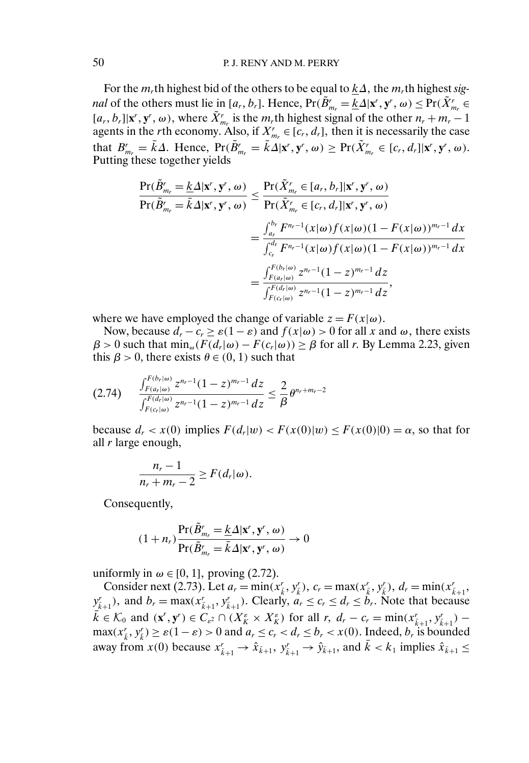For the  $m_r$ th highest bid of the others to be equal to  $\underline{k}\Delta$ , the  $m_r$ th highest *signal* of the others must lie in  $[a_r, b_r]$ . Hence,  $Pr(\tilde{B}_{m_r}^r = \underline{k} \Delta | \mathbf{x}^r, \mathbf{y}^r, \omega) \leq Pr(\tilde{X}_{m_r}^r \in$  $[a_r, b_r] | \mathbf{x}^r, \mathbf{y}^r, \omega)$ , where  $\tilde{X}^r_{m_r}$  is the  $m_r$ <sup>th</sup> highest signal of the other  $n_r + m_r - 1$ agents in the *r*th economy. Also, if  $X_{m_r}^r \in [c_r, d_r]$ , then it is necessarily the case that  $B_{m_r}^r = \bar{k}\Delta$ . Hence,  $Pr(\tilde{B}_{m_r}^r = \bar{k}\Delta | \mathbf{x}^r, \mathbf{y}^r, \omega) \geq Pr(\tilde{X}_{m_r}^r \in [c_r, d_r] | \mathbf{x}^r, \mathbf{y}^r, \omega)$ . Putting these together yields

$$
\frac{\Pr(\tilde{B}_{m_r}^r = \underline{k}\Delta|\mathbf{x}^r, \mathbf{y}^r, \omega)}{\Pr(\tilde{B}_{m_r}^r = \overline{k}\Delta|\mathbf{x}^r, \mathbf{y}^r, \omega)} \leq \frac{\Pr(\tilde{X}_{m_r}^r \in [a_r, b_r]|\mathbf{x}^r, \mathbf{y}^r, \omega)}{\Pr(\tilde{X}_{m_r}^r \in [c_r, d_r]|\mathbf{x}^r, \mathbf{y}^r, \omega)}
$$
\n
$$
= \frac{\int_{a_r}^{b_r} F^{n_r-1}(x|\omega) f(x|\omega)(1 - F(x|\omega))^{m_r-1} dx}{\int_{c_r}^{d_r} F^{n_r-1}(x|\omega) f(x|\omega)(1 - F(x|\omega))^{m_r-1} dx}
$$
\n
$$
= \frac{\int_{F(a_r|\omega)}^{F(b_r|\omega)} z^{n_r-1}(1 - z)^{m_r-1} dz}{\int_{F(c_r|\omega)}^{F(d_r|\omega)} z^{n_r-1}(1 - z)^{m_r-1} dz},
$$

where we have employed the change of variable  $z = F(x|\omega)$ .

Now, because  $d_r - c_r \ge \varepsilon(1 - \varepsilon)$  and  $f(x|\omega) > 0$  for all x and  $\omega$ , there exists  $\beta > 0$  such that  $\min_{\omega} (F(d_r|\omega) - F(c_r|\omega)) \ge \beta$  for all r. By Lemma 2.23, given this  $\beta > 0$ , there exists  $\theta \in (0, 1)$  such that

$$
(2.74) \qquad \frac{\int_{F(a_r(\omega))}^{F(b_r(\omega))} z^{n_r-1} (1-z)^{m_r-1} dz}{\int_{F(c_r(\omega))}^{F(d_r(\omega))} z^{n_r-1} (1-z)^{m_r-1} dz} \leq \frac{2}{\beta} \theta^{n_r+m_r-2}
$$

because  $d_r < x(0)$  implies  $F(d_r|w) < F(x(0)|w) \leq F(x(0)|0) = \alpha$ , so that for all r large enough,

$$
\frac{n_r-1}{n_r+m_r-2}\geq F(d_r|\omega).
$$

Consequently,

$$
(1 + n_r) \frac{\Pr(\tilde{B}_{m_r}^r = \underline{k} \Delta | \mathbf{x}^r, \mathbf{y}^r, \omega)}{\Pr(\tilde{B}_{m_r}^r = \bar{k} \Delta | \mathbf{x}^r, \mathbf{y}^r, \omega)} \to 0
$$

uniformly in  $\omega \in [0, 1]$ , proving (2.72).

Consider next (2.73). Let  $a_r = \min(x_{\bar{k}}^r, y_{\bar{k}}^r)$ ,  $c_r = \max(x_{\bar{k}}^r, y_{\bar{k}}^r)$ ,  $d_r = \min(x_{\bar{k}+1}^r,$  $y_{\bar{k}+1}^r$ ), and  $b_r = \max(x_{\bar{k}+1}^r, y_{\bar{k}+1}^r)$ . Clearly,  $a_r \le c_r \le d_r \le b_r$ . Note that because  $k \in \mathcal{K}_0$  and  $(\mathbf{x}', \mathbf{y}') \in C_{\varepsilon^2} \cap (X_K^{\varepsilon} \times X_K^{\varepsilon})$  for all  $r, d_r - c_r = \min(x_{\tilde{k}+1}'', y_{\tilde{k}+1}'') \max(x_{\bar{k}}^r, y_{\bar{k}}^r) \ge \varepsilon(1-\varepsilon) > 0$  and  $a_r \le c_r < d_r \le b_r < x(0)$ . Indeed,  $b_r$  is bounded away from  $x(0)$  because  $x_{\bar{k}+1}^r \to \hat{x}_{\bar{k}+1}$ ,  $y_{\bar{k}+1}^r \to \hat{y}_{\bar{k}+1}$ , and  $\bar{k} < k_1$  implies  $\hat{x}_{\bar{k}+1} \leq$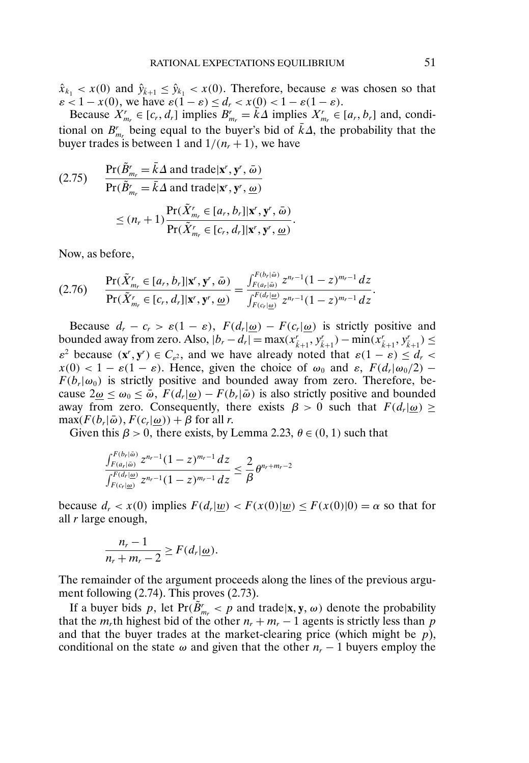$\hat{x}_{k_1} < x(0)$  and  $\hat{y}_{k+1} \leq \hat{y}_{k_1} < x(0)$ . Therefore, because  $\varepsilon$  was chosen so that  $\varepsilon < 1 - x(0)$ , we have  $\varepsilon(1 - \varepsilon) \le d_r < x(0) < 1 - \varepsilon(1 - \varepsilon)$ .

Because  $X_{m_r}^r \in [c_r, d_r]$  implies  $B_{m_r}^r = \overline{k}\Delta$  implies  $X_{m_r}^r \in [a_r, b_r]$  and, conditional on  $B_{m_r}^r$  being equal to the buyer's bid of  $\bar{k}\Delta$ , the probability that the buyer trades is between 1 and  $1/(n_r + 1)$ , we have

$$
(2.75) \quad \frac{\Pr(\tilde{B}_{m_r}^r = \bar{k}\Delta \text{ and trade}|\mathbf{x}^r, \mathbf{y}^r, \bar{\omega})}{\Pr(\tilde{B}_{m_r}^r = \bar{k}\Delta \text{ and trade}|\mathbf{x}^r, \mathbf{y}^r, \underline{\omega})}
$$

$$
\leq (n_r + 1) \frac{\Pr(\tilde{X}_{m_r}^r \in [a_r, b_r]|\mathbf{x}^r, \mathbf{y}^r, \bar{\omega})}{\Pr(\tilde{X}_{m_r}^r \in [c_r, d_r]|\mathbf{x}^r, \mathbf{y}^r, \underline{\omega})}.
$$

Now, as before,

$$
(2.76) \qquad \frac{\Pr(\tilde{X}_{m_r}^r \in [a_r, b_r] | \mathbf{x}^r, \mathbf{y}^r, \bar{\omega})}{\Pr(\tilde{X}_{m_r}^r \in [c_r, d_r] | \mathbf{x}^r, \mathbf{y}^r, \underline{\omega})} = \frac{\int_{F(a_r | \bar{\omega})}^{F(b_r | \bar{\omega})} z^{n_r - 1} (1 - z)^{m_r - 1} dz}{\int_{F(c_r | \underline{\omega})}^{F(d_r | \underline{\omega})} z^{n_r - 1} (1 - z)^{m_r - 1} dz}.
$$

Because  $d_r - c_r > \varepsilon(1 - \varepsilon)$ ,  $F(d_r | \omega) - F(c_r | \omega)$  is strictly positive and bounded away from zero. Also,  $|b_r - d_r| = \max(x_{\bar{k}+1}^r, y_{\bar{k}+1}^r) - \min(x_{\bar{k}+1}^r, y_{\bar{k}+1}^r) \le$  $\varepsilon^2$  because  $(\mathbf{x}^r, \mathbf{y}^r) \in C_{\varepsilon^2}$ , and we have already noted that  $\varepsilon(1 - \varepsilon) \leq d_r$  $x(0) < 1 - \varepsilon(1 - \varepsilon)$ . Hence, given the choice of  $\omega_0$  and  $\varepsilon$ ,  $F(d_r|\omega_0/2)$  –  $F(b_r|\omega_0)$  is strictly positive and bounded away from zero. Therefore, because  $2\omega \leq \omega_0 \leq \bar{\omega}$ ,  $F(d_r|\omega) - F(b_r|\bar{\omega})$  is also strictly positive and bounded away from zero. Consequently, there exists  $\beta > 0$  such that  $F(d_r|\omega) \ge$  $\max(F(b_r|\bar{\omega}), F(c_r|\underline{\omega})) + \beta$  for all *r*.

Given this  $\beta > 0$ , there exists, by Lemma 2.23,  $\theta \in (0, 1)$  such that

$$
\frac{\int_{F(a_r|\bar{\omega})}^{F(b_r|\bar{\omega})} z^{n_r-1} (1-z)^{m_r-1} dz}{\int_{F(c_r|\bar{\omega})}^{F(d_r|\bar{\omega})} z^{n_r-1} (1-z)^{m_r-1} dz} \leq \frac{2}{\beta} \theta^{n_r+m_r-2}
$$

because  $d_r < x(0)$  implies  $F(d_r|w) < F(x(0)|w) \leq F(x(0)|0) = \alpha$  so that for all  $r$  large enough,

$$
\frac{n_r-1}{n_r+m_r-2}\geq F(d_r|\underline{\omega}).
$$

The remainder of the argument proceeds along the lines of the previous argument following (2.74). This proves (2.73).

If a buyer bids p, let  $Pr(\tilde{B}_{m_r}^r < p$  and trade  $|\mathbf{x}, \mathbf{y}, \omega)$  denote the probability that the m<sub>r</sub>th highest bid of the other  $n_r + m_r - 1$  agents is strictly less than p and that the buyer trades at the market-clearing price (which might be  $p$ ), conditional on the state  $\omega$  and given that the other  $n_r - 1$  buyers employ the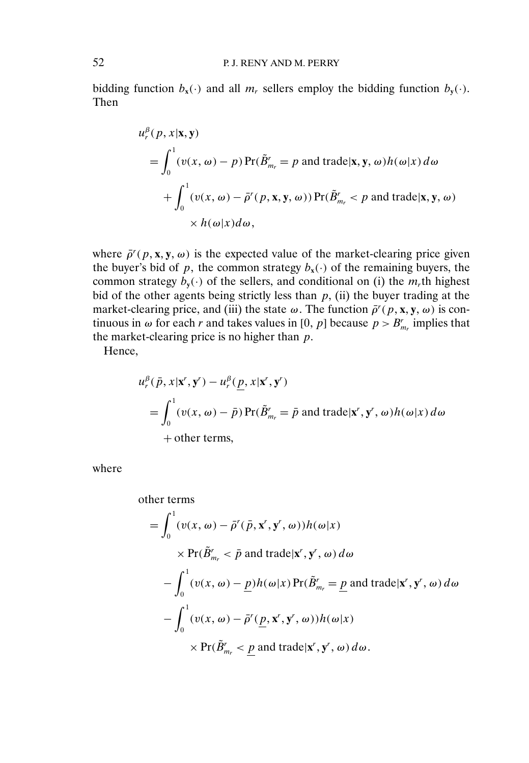bidding function  $b_x(\cdot)$  and all  $m_r$  sellers employ the bidding function  $b_y(\cdot)$ . Then

$$
u_r^{\beta}(p, x | \mathbf{x}, \mathbf{y})
$$
  
=  $\int_0^1 (v(x, \omega) - p) \Pr(\tilde{B}_{m_r}^r = p \text{ and trade} | \mathbf{x}, \mathbf{y}, \omega) h(\omega | x) d\omega$   
+  $\int_0^1 (v(x, \omega) - \bar{\rho}'(p, \mathbf{x}, \mathbf{y}, \omega)) \Pr(\tilde{B}_{m_r}^r < p \text{ and trade} | \mathbf{x}, \mathbf{y}, \omega)$   
×  $h(\omega | x) d\omega$ ,

where  $\bar{\rho}^r(p, x, y, \omega)$  is the expected value of the market-clearing price given the buyer's bid of p, the common strategy  $b_x(\cdot)$  of the remaining buyers, the common strategy  $b_{\mathbf{v}}(\cdot)$  of the sellers, and conditional on (i) the  $m_r$ <sup>th</sup> highest bid of the other agents being strictly less than  $p$ , (ii) the buyer trading at the market-clearing price, and (iii) the state  $\omega$ . The function  $\bar{\rho}^r(p, x, y, \omega)$  is continuous in  $\omega$  for each r and takes values in [0, p] because  $p > B_{m_r}^r$  implies that the market-clearing price is no higher than  $p$ .

Hence,

$$
u_r^{\beta}(\bar{p}, x | \mathbf{x}^r, \mathbf{y}^r) - u_r^{\beta}(\underline{p}, x | \mathbf{x}^r, \mathbf{y}^r)
$$
  
=  $\int_0^1 (v(x, \omega) - \bar{p}) \Pr(\tilde{B}_{m_r}^r = \bar{p} \text{ and trade} | \mathbf{x}^r, \mathbf{y}^r, \omega) h(\omega | x) d\omega$   
+ other terms,

where

other terms  
\n
$$
= \int_0^1 (v(x, \omega) - \bar{\rho}'(\bar{p}, x', y', \omega)) h(\omega|x)
$$
\n
$$
\times \Pr(\tilde{B}'_{m_r} < \bar{p} \text{ and trade}|x', y', \omega) d\omega
$$
\n
$$
- \int_0^1 (v(x, \omega) - \underline{p}) h(\omega|x) \Pr(\tilde{B}'_{m_r} = \underline{p} \text{ and trade}|x', y', \omega) d\omega
$$
\n
$$
- \int_0^1 (v(x, \omega) - \bar{\rho}'(\underline{p}, x', y', \omega)) h(\omega|x)
$$
\n
$$
\times \Pr(\tilde{B}'_{m_r} < \underline{p} \text{ and trade}|x', y', \omega) d\omega.
$$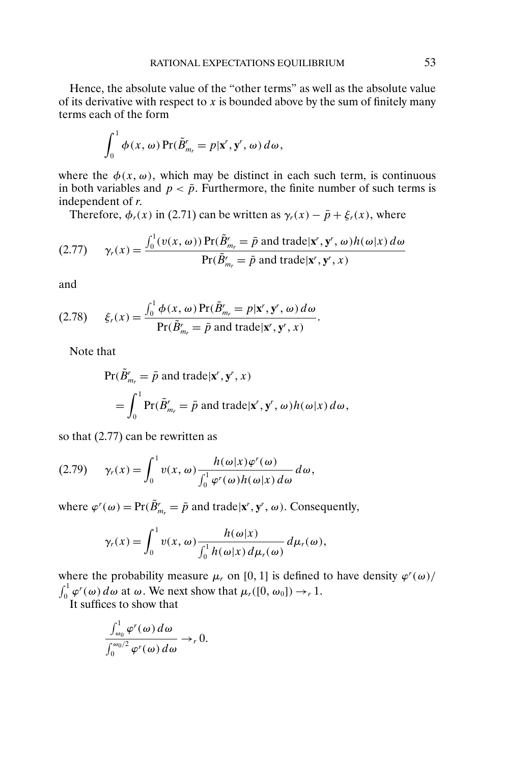Hence, the absolute value of the "other terms" as well as the absolute value of its derivative with respect to  $x$  is bounded above by the sum of finitely many terms each of the form

$$
\int_0^1 \phi(x, \omega) \Pr(\tilde{B}_{m_r}^r = p | \mathbf{x}^r, \mathbf{y}^r, \omega) d\omega,
$$

where the  $\phi(x, \omega)$ , which may be distinct in each such term, is continuous in both variables and  $p < \bar{p}$ . Furthermore, the finite number of such terms is independent of r

Therefore,  $\phi_r(x)$  in (2.71) can be written as  $\gamma_r(x) - \bar{p} + \xi_r(x)$ , where

(2.77) 
$$
\gamma_r(x) = \frac{\int_0^1 (v(x, \omega)) \Pr(\tilde{B}_{m_r}^r = \bar{p} \text{ and trade}| \mathbf{x}^r, \mathbf{y}^r, \omega) h(\omega | x) d\omega}{\Pr(\tilde{B}_{m_r}^r = \bar{p} \text{ and trade}| \mathbf{x}^r, \mathbf{y}^r, x)}
$$

and

$$
(2.78) \qquad \xi_r(x) = \frac{\int_0^1 \phi(x, \omega) \Pr(\tilde{B}_{m_r}^r = p | \mathbf{x}^r, \mathbf{y}^r, \omega) d\omega}{\Pr(\tilde{B}_{m_r}^r = \bar{p} \text{ and trade} | \mathbf{x}^r, \mathbf{y}^r, x)}.
$$

Note that

$$
\Pr(\tilde{B}'_{m_r} = \bar{p} \text{ and trade} | \mathbf{x}^r, \mathbf{y}^r, x)
$$
  
=  $\int_0^1 \Pr(\tilde{B}'_{m_r} = \bar{p} \text{ and trade} | \mathbf{x}^r, \mathbf{y}^r, \omega) h(\omega | x) d\omega,$ 

so that (2.77) can be rewritten as

$$
(2.79) \qquad \gamma_r(x) = \int_0^1 v(x, \omega) \frac{h(\omega|x) \varphi^r(\omega)}{\int_0^1 \varphi^r(\omega) h(\omega|x) d\omega} d\omega,
$$

where  $\varphi^r(\omega) = \Pr(\tilde{B}_{m_r}^r = \bar{p} \text{ and trade} | \mathbf{x}^r, \mathbf{y}^r, \omega)$ . Consequently,

$$
\gamma_r(x) = \int_0^1 v(x, \omega) \frac{h(\omega|x)}{\int_0^1 h(\omega|x) d\mu_r(\omega)} d\mu_r(\omega),
$$

where the probability measure  $\mu_r$  on [0, 1] is defined to have density  $\varphi^r(\omega)$  $\int_0^1 \varphi^r(\omega) d\omega$  at  $\omega$ . We next show that  $\mu_r([0, \omega_0]) \to_r 1$ .

It suffices to show that  $\overline{1}$ 

$$
\frac{\int_{\omega_0}^1 \varphi^r(\omega) d\omega}{\int_0^{\omega_0/2} \varphi^r(\omega) d\omega} \to_r 0.
$$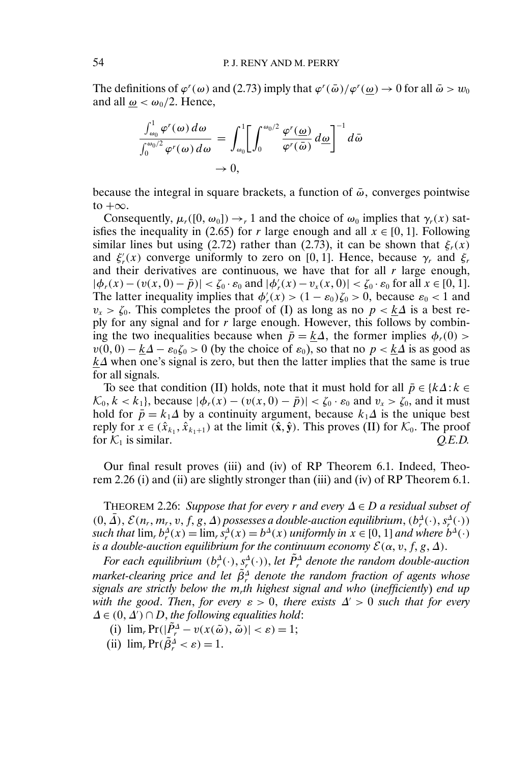The definitions of  $\varphi'(\omega)$  and (2.73) imply that  $\varphi'(\bar{\omega})/\varphi'(\underline{\omega}) \to 0$  for all  $\bar{\omega} > w_0$ and all  $\omega < \omega_0/2$ . Hence,

$$
\frac{\int_{\omega_0}^1 \varphi'( \omega) d\omega}{\int_0^{\omega_0/2} \varphi'( \omega) d\omega} = \int_{\omega_0}^1 \left[ \int_0^{\omega_0/2} \frac{\varphi'(\omega)}{\varphi'(\bar{\omega})} d\omega \right]^{-1} d\bar{\omega}
$$
  

$$
\to 0,
$$

because the integral in square brackets, a function of  $\bar{\omega}$ , converges pointwise to  $+\infty$ .

Consequently,  $\mu_r([0, \omega_0]) \to r$  1 and the choice of  $\omega_0$  implies that  $\gamma_r(x)$  satisfies the inequality in (2.65) for r large enough and all  $x \in [0, 1]$ . Following similar lines but using (2.72) rather than (2.73), it can be shown that  $\xi_r(x)$ and  $\xi'_r(x)$  converge uniformly to zero on [0, 1]. Hence, because  $\gamma_r$  and  $\xi_r$ and their derivatives are continuous, we have that for all  $r$  large enough,  $|\phi_r(x) - (v(x, 0) - \bar{p})| < \zeta_0 \cdot \varepsilon_0$  and  $|\phi'_r(x) - v_x(x, 0)| < \zeta_0 \cdot \varepsilon_0$  for all  $x \in [0, 1]$ . The latter inequality implies that  $\phi'_r(x) > (1 - \varepsilon_0)\zeta_0 > 0$ , because  $\varepsilon_0 < 1$  and  $v_x > \zeta_0$ . This completes the proof of (I) as long as no  $p < k\Delta$  is a best reply for any signal and for  $r$  large enough. However, this follows by combining the two inequalities because when  $\bar{p} = k\Delta$ , the former implies  $\phi_r(0)$  $v(0, 0) - k\Delta - \varepsilon_0 \zeta_0 > 0$  (by the choice of  $\varepsilon_0$ ), so that no  $p < k\Delta$  is as good as  $k\Delta$  when one's signal is zero, but then the latter implies that the same is true for all signals.

To see that condition (II) holds, note that it must hold for all  $\bar{p} \in \{k\Delta : k \in \mathbb{R}\}$  $\mathcal{K}_0, k < k_1$ , because  $|\phi_r(x) - (v(x, 0) - \bar{p})| < \zeta_0 \cdot \varepsilon_0$  and  $v_x > \zeta_0$ , and it must hold for  $\bar{p} = k_1\Delta$  by a continuity argument, because  $k_1\Delta$  is the unique best reply for  $x \in (\hat{x}_{k_1}, \hat{x}_{k_1+1})$  at the limit  $(\hat{\mathbf{x}}, \hat{\mathbf{y}})$ . This proves (II) for  $\mathcal{K}_0$ . The proof for  $K_1$  is similar.  $Q.E.D.$ 

Our final result proves (iii) and (iv) of RP Theorem 6.1. Indeed, Theorem 2.26 (i) and (ii) are slightly stronger than (iii) and (iv) of RP Theorem 6.1.

THEOREM 2.26: *Suppose that for every* r *and every* ∆ ∈ D *a residual subset of*  $(0, \Delta)$ ,  $\mathcal{E}(n_r, m_r, v, f, g, \Delta)$  possesses a double-auction equilibrium,  $(b_r^{\Delta}(\cdot), s_r^{\Delta}(\cdot))$ such that  $\lim_{r} b_r^{\Delta}(x) = \lim_{r} s_r^{\Delta}(x) = b^{\Delta}(x)$  *uniformly in*  $x \in [0, 1]$  *and where*  $b^{\Delta}(\cdot)$ is a double-auction equilibrium for the continuum economy  $\mathcal{E}(\alpha,v,f,g,\varDelta).$ 

*For each equilibrium*  $(b_r^{\Delta}(\cdot), s_r^{\Delta}(\cdot))$ , *let*  $\tilde{P}_r^{\Delta}$  *denote the random double-auction* market-clearing price and let  $\tilde{\beta}^\text{A}_r$  denote the random fraction of agents whose *signals are strictly below the* mr*th highest signal and who* (*inefficiently*) *end up with the good. Then, for every*  $\varepsilon > 0$ , there exists  $\Delta' > 0$  such that for every  $\Delta \in (0, \Delta') \cap D$ , the following equalities hold:

- (i)  $\lim_{r} \Pr(|\tilde{P}_{r}^{\Delta} v(x(\tilde{\omega}), \tilde{\omega})| < \varepsilon) = 1;$
- (ii)  $\lim_{r} \Pr(\tilde{\beta}_{r}^{\Delta} < \varepsilon) = 1.$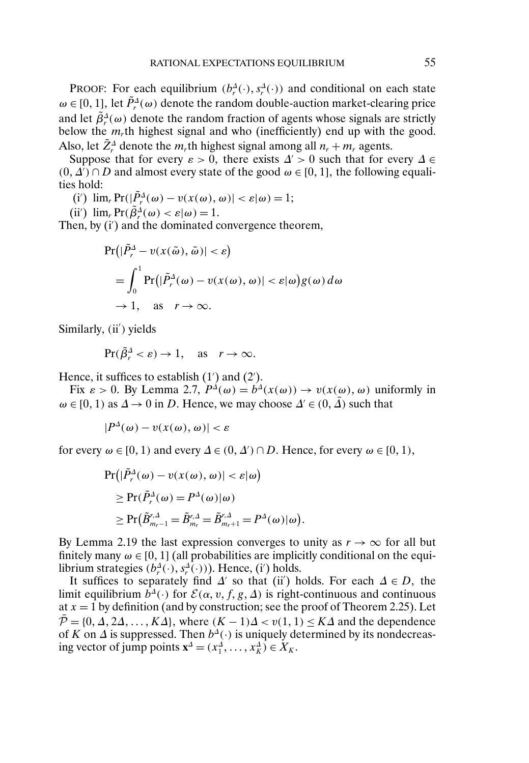PROOF: For each equilibrium  $(b_r^{\Delta}(\cdot), s_r^{\Delta}(\cdot))$  and conditional on each state  $\omega \in [0, 1]$ , let  $\tilde{P}_r^{\Delta}(\omega)$  denote the random double-auction market-clearing price and let  $\tilde{\beta}^{\Delta}_{r}(\omega)$  denote the random fraction of agents whose signals are strictly below the  $m<sub>r</sub>$ th highest signal and who (inefficiently) end up with the good. Also, let  $\tilde{Z}_r^{\Delta}$  denote the  $m_r$ th highest signal among all  $n_r + m_r$  agents.

Suppose that for every  $\varepsilon > 0$ , there exists  $\Delta' > 0$  such that for every  $\Delta \in$  $(0, \Delta') \cap D$  and almost every state of the good  $\omega \in [0, 1]$ , the following equalities hold:

(i')  $\lim_{r} \Pr(|\tilde{P}_{r}^{A}(\omega) - v(x(\omega), \omega)| < \varepsilon |\omega) = 1;$ 

(ii')  $\lim_{r} \Pr(\tilde{\beta}_{r}^{\Delta}(\omega) < \varepsilon | \omega) = 1.$ 

Then, by (i') and the dominated convergence theorem,

$$
Pr(|\tilde{P}_r^{\Delta} - v(x(\tilde{\omega}), \tilde{\omega})| < \varepsilon)
$$
  
=  $\int_0^1 Pr(|\tilde{P}_r^{\Delta}(\omega) - v(x(\omega), \omega)| < \varepsilon|\omega)g(\omega) d\omega$   
 $\to 1$ , as  $r \to \infty$ .

Similarly, (ii') yields

$$
\Pr(\tilde{\beta}_r^{\Delta} < \varepsilon) \to 1, \quad \text{as} \quad r \to \infty.
$$

Hence, it suffices to establish  $(1')$  and  $(2')$ .

Fix  $\varepsilon > 0$ . By Lemma 2.7,  $P^{\Delta}(\omega) = b^{\Delta}(x(\omega)) \rightarrow v(x(\omega), \omega)$  uniformly in  $\omega \in [0, 1)$  as  $\Delta \to 0$  in D. Hence, we may choose  $\Delta' \in (0, \overline{\Delta})$  such that

$$
|P^{\Delta}(\omega) - v(x(\omega), \omega)| < \varepsilon
$$

for every  $\omega \in [0, 1)$  and every  $\Delta \in (0, \Delta') \cap D$ . Hence, for every  $\omega \in [0, 1)$ ,

$$
\begin{aligned} \Pr\bigl(|\tilde{P}_r^{\Delta}(\omega) - v(x(\omega), \omega)| < \varepsilon|\omega\bigr) \\ &\geq \Pr(\tilde{P}_r^{\Delta}(\omega) = P^{\Delta}(\omega)|\omega) \\ &\geq \Pr(\tilde{B}_{m_r-1}^{r,\Delta} = \tilde{B}_{m_r}^{r,\Delta} = \tilde{B}_{m_r+1}^{r,\Delta} = P^{\Delta}(\omega)|\omega\bigr). \end{aligned}
$$

By Lemma 2.19 the last expression converges to unity as  $r \to \infty$  for all but finitely many  $\omega \in [0, 1]$  (all probabilities are implicitly conditional on the equilibrium strategies  $(b_r^{\Delta}(\cdot), s_r^{\Delta}(\cdot))$ ). Hence, (i') holds.

It suffices to separately find  $\Delta'$  so that (ii) holds. For each  $\Delta \in D$ , the limit equilibrium  $b^{\Delta}(\cdot)$  for  $\mathcal{E}(\alpha, v, f, g, \Delta)$  is right-continuous and continuous at  $x = 1$  by definition (and by construction; see the proof of Theorem 2.25). Let  $\overline{\mathcal{P}} = \{0, \Delta, 2\Delta, \ldots, K\Delta\}$ , where  $(K - 1)\Delta < v(1, 1) \leq K\Delta$  and the dependence of K on  $\Delta$  is suppressed. Then  $b^{\Delta}(\cdot)$  is uniquely determined by its nondecreasing vector of jump points  $\mathbf{x}^{\Delta} = (x_1^{\Delta}, \dots, x_K^{\Delta}) \in X_K$ .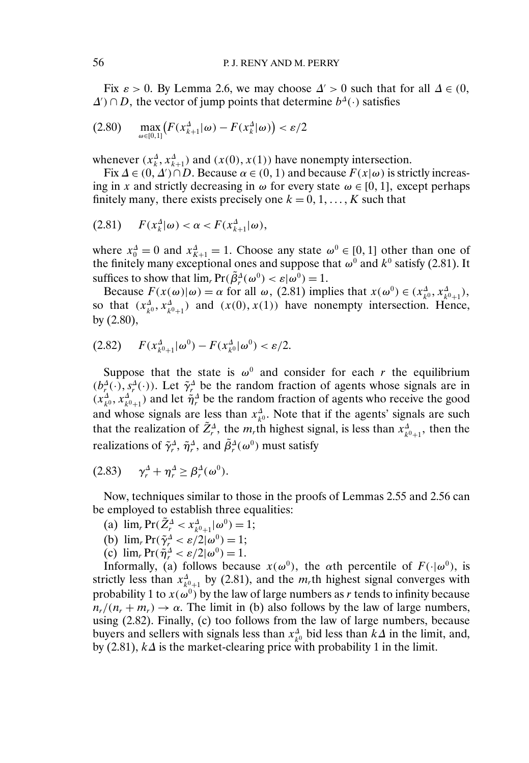Fix  $\varepsilon > 0$ . By Lemma 2.6, we may choose  $\Delta' > 0$  such that for all  $\Delta \in (0, \mathbb{Z})$  $\Delta'$ ) ∩ D, the vector of jump points that determine  $b^{\Delta}(\cdot)$  satisfies

$$
(2.80) \quad \max_{\omega \in [0,1]} \bigl( F(x_{k+1}^{\Delta}|\omega) - F(x_k^{\Delta}|\omega) \bigr) < \varepsilon/2
$$

whenever  $(x_k^{\Delta}, x_{k+1}^{\Delta})$  and  $(x(0), x(1))$  have nonempty intersection.

Fix  $\Delta \in (0, \Delta') \cap D$ . Because  $\alpha \in (0, 1)$  and because  $F(x|\omega)$  is strictly increasing in x and strictly decreasing in  $\omega$  for every state  $\omega \in [0, 1]$ , except perhaps finitely many, there exists precisely one  $k = 0, 1, ..., K$  such that

$$
(2.81) \tF(x_k^4|\omega) < \alpha < F(x_{k+1}^4|\omega),
$$

where  $x_0^{\Delta} = 0$  and  $x_{K+1}^{\Delta} = 1$ . Choose any state  $\omega^0 \in [0, 1]$  other than one of the finitely many exceptional ones and suppose that  $\omega^0$  and  $k^0$  satisfy (2.81). It suffices to show that  $\lim_{r} Pr(\tilde{\beta}_{r}^{A}(\omega^{0}) < \varepsilon|\omega^{0}) = 1.$ 

Because  $F(x(\omega)|\omega) = \alpha$  for all  $\omega$ , (2.81) implies that  $x(\omega^0) \in (x_{k^0}^A, x_{k^0+1}^A)$ , so that  $(x_{k^0}^A, x_{k^0+1}^A)$  and  $(x(0), x(1))$  have nonempty intersection. Hence, by (2.80),

$$
(2.82) \tF(x_{k^0+1}^A|\omega^0) - F(x_{k^0}^A|\omega^0) < \varepsilon/2.
$$

Suppose that the state is  $\omega^0$  and consider for each r the equilibrium  $(b_r^{\Delta}(\cdot), s_r^{\Delta}(\cdot))$ . Let  $\tilde{\gamma}_r^{\Delta}$  be the random fraction of agents whose signals are in  $(x_{k^0}^A, x_{k^0+1}^A)$  and let  $\tilde{\eta}_r^A$  be the random fraction of agents who receive the good and whose signals are less than  $x_{k^0}^{\Delta}$ . Note that if the agents' signals are such that the realization of  $\tilde{Z}_r^{\Delta}$ , the  $m_r$ th highest signal, is less than  $x_{k^0+1}^{\Delta}$ , then the realizations of  $\tilde{\gamma}_r^{\Delta}$ ,  $\tilde{\eta}_r^{\Delta}$ , and  $\tilde{\beta}_r^{\Delta}(\omega^0)$  must satisfy

$$
(2.83) \qquad \gamma_r^{\Delta} + \eta_r^{\Delta} \ge \beta_r^{\Delta}(\omega^0).
$$

Now, techniques similar to those in the proofs of Lemmas 2.55 and 2.56 can be employed to establish three equalities:

- (a)  $\lim_{r} \Pr(\tilde{Z}_{r}^{\Delta} < x_{k^0+1}^{\Delta} | \omega^0) = 1;$
- (b)  $\lim_{r} \Pr(\tilde{\gamma}_r^A < \varepsilon/2 | \omega^0) = 1;$
- (c)  $\lim_{r} \Pr(\tilde{\eta}_{r}^{\Delta} < \varepsilon/2 | \omega^{0}) = 1.$

Informally, (a) follows because  $x(\omega^0)$ , the  $\alpha$ th percentile of  $F(\cdot|\omega^0)$ , is strictly less than  $x_{k^0+1}^{\Delta}$  by (2.81), and the  $m_r$ th highest signal converges with probability 1 to  $x(\omega^0)$  by the law of large numbers as r tends to infinity because  $n_r/(n_r + m_r) \rightarrow \alpha$ . The limit in (b) also follows by the law of large numbers, using (2.82). Finally, (c) too follows from the law of large numbers, because buyers and sellers with signals less than  $x_{k^0}^{\Delta}$  bid less than  $k\Delta$  in the limit, and, by (2.81),  $k\Delta$  is the market-clearing price with probability 1 in the limit.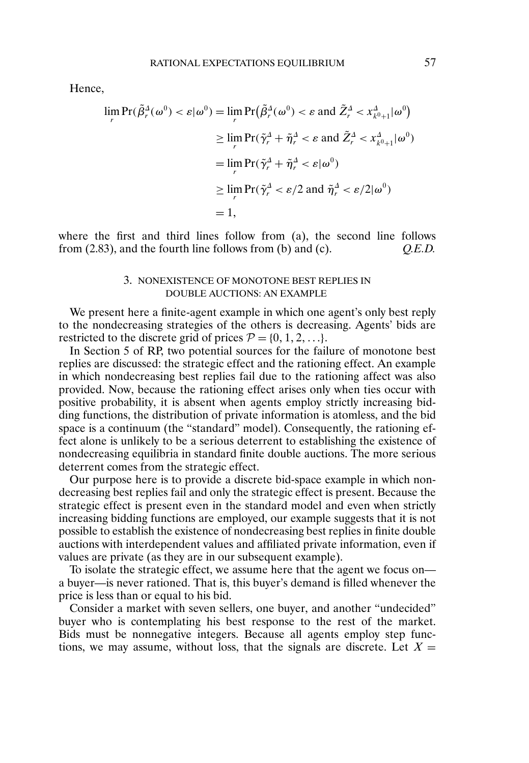Hence,

$$
\lim_{r} \Pr(\tilde{\beta}_r^A(\omega^0) < \varepsilon | \omega^0) = \lim_{r} \Pr(\tilde{\beta}_r^A(\omega^0) < \varepsilon \text{ and } \tilde{Z}_r^A < x_{k^0+1}^A | \omega^0)
$$
\n
$$
\geq \lim_{r} \Pr(\tilde{\gamma}_r^A + \tilde{\eta}_r^A < \varepsilon \text{ and } \tilde{Z}_r^A < x_{k^0+1}^A | \omega^0)
$$
\n
$$
= \lim_{r} \Pr(\tilde{\gamma}_r^A + \tilde{\eta}_r^A < \varepsilon | \omega^0)
$$
\n
$$
\geq \lim_{r} \Pr(\tilde{\gamma}_r^A < \varepsilon / 2 \text{ and } \tilde{\eta}_r^A < \varepsilon / 2 | \omega^0)
$$
\n
$$
= 1,
$$

where the first and third lines follow from (a), the second line follows from (2.83), and the fourth line follows from (b) and (c). *Q.E.D.*

## 3. NONEXISTENCE OF MONOTONE BEST REPLIES IN DOUBLE AUCTIONS: AN EXAMPLE

We present here a finite-agent example in which one agent's only best reply to the nondecreasing strategies of the others is decreasing. Agents' bids are restricted to the discrete grid of prices  $P = \{0, 1, 2, ...\}$ .

In Section 5 of RP, two potential sources for the failure of monotone best replies are discussed: the strategic effect and the rationing effect. An example in which nondecreasing best replies fail due to the rationing affect was also provided. Now, because the rationing effect arises only when ties occur with positive probability, it is absent when agents employ strictly increasing bidding functions, the distribution of private information is atomless, and the bid space is a continuum (the "standard" model). Consequently, the rationing effect alone is unlikely to be a serious deterrent to establishing the existence of nondecreasing equilibria in standard finite double auctions. The more serious deterrent comes from the strategic effect.

Our purpose here is to provide a discrete bid-space example in which nondecreasing best replies fail and only the strategic effect is present. Because the strategic effect is present even in the standard model and even when strictly increasing bidding functions are employed, our example suggests that it is not possible to establish the existence of nondecreasing best replies in finite double auctions with interdependent values and affiliated private information, even if values are private (as they are in our subsequent example).

To isolate the strategic effect, we assume here that the agent we focus on a buyer—is never rationed. That is, this buyer's demand is filled whenever the price is less than or equal to his bid.

Consider a market with seven sellers, one buyer, and another "undecided" buyer who is contemplating his best response to the rest of the market. Bids must be nonnegative integers. Because all agents employ step functions, we may assume, without loss, that the signals are discrete. Let  $X =$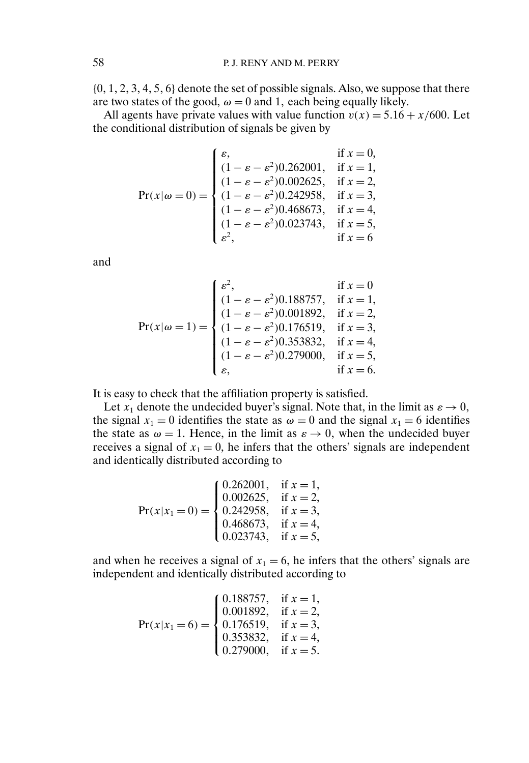$\{0, 1, 2, 3, 4, 5, 6\}$  denote the set of possible signals. Also, we suppose that there are two states of the good,  $\omega = 0$  and 1, each being equally likely.

All agents have private values with value function  $v(x) = 5.16 + x/600$ . Let the conditional distribution of signals be given by

$$
Pr(x|\omega = 0) = \begin{cases} \varepsilon, & \text{if } x = 0, \\ (1 - \varepsilon - \varepsilon^2) 0.262001, & \text{if } x = 1, \\ (1 - \varepsilon - \varepsilon^2) 0.002625, & \text{if } x = 2, \\ (1 - \varepsilon - \varepsilon^2) 0.242958, & \text{if } x = 3, \\ (1 - \varepsilon - \varepsilon^2) 0.468673, & \text{if } x = 4, \\ (1 - \varepsilon - \varepsilon^2) 0.023743, & \text{if } x = 5, \\ \varepsilon^2, & \text{if } x = 6 \end{cases}
$$

and

$$
Pr(x|\omega = 1) = \begin{cases} \varepsilon^2, & \text{if } x = 0\\ (1 - \varepsilon - \varepsilon^2) 0.188757, & \text{if } x = 1, \\ (1 - \varepsilon - \varepsilon^2) 0.001892, & \text{if } x = 2, \\ (1 - \varepsilon - \varepsilon^2) 0.176519, & \text{if } x = 3, \\ (1 - \varepsilon - \varepsilon^2) 0.353832, & \text{if } x = 4, \\ (1 - \varepsilon - \varepsilon^2) 0.279000, & \text{if } x = 5, \\ \varepsilon, & \text{if } x = 6. \end{cases}
$$

It is easy to check that the affiliation property is satisfied.

Let  $x_1$  denote the undecided buyer's signal. Note that, in the limit as  $\varepsilon \to 0$ , the signal  $x_1 = 0$  identifies the state as  $\omega = 0$  and the signal  $x_1 = 6$  identifies the state as  $\omega = 1$ . Hence, in the limit as  $\varepsilon \to 0$ , when the undecided buyer receives a signal of  $x_1 = 0$ , he infers that the others' signals are independent and identically distributed according to

$$
Pr(x|x_1 = 0) = \begin{cases} 0.262001, & \text{if } x = 1, \\ 0.002625, & \text{if } x = 2, \\ 0.242958, & \text{if } x = 3, \\ 0.468673, & \text{if } x = 4, \\ 0.023743, & \text{if } x = 5, \end{cases}
$$

and when he receives a signal of  $x_1 = 6$ , he infers that the others' signals are independent and identically distributed according to

$$
Pr(x|x_1 = 6) = \begin{cases} 0.188757, & \text{if } x = 1, \\ 0.001892, & \text{if } x = 2, \\ 0.176519, & \text{if } x = 3, \\ 0.353832, & \text{if } x = 4, \\ 0.279000, & \text{if } x = 5. \end{cases}
$$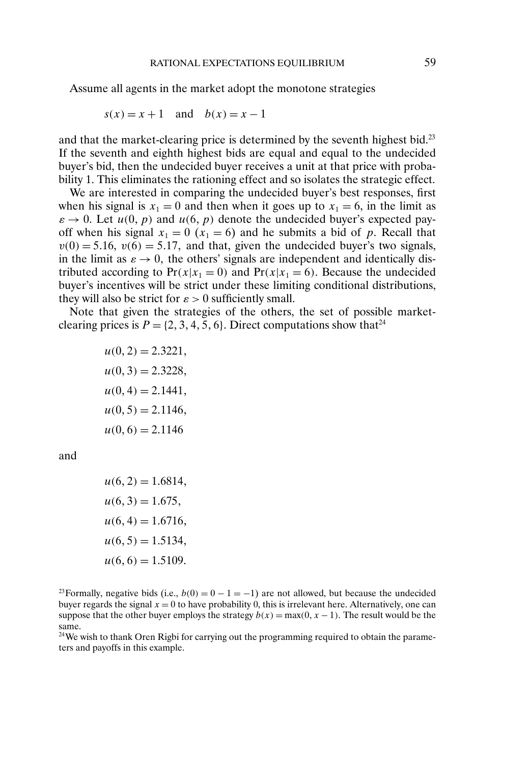Assume all agents in the market adopt the monotone strategies

$$
s(x) = x + 1 \quad \text{and} \quad b(x) = x - 1
$$

and that the market-clearing price is determined by the seventh highest bid.<sup>23</sup> If the seventh and eighth highest bids are equal and equal to the undecided buyer's bid, then the undecided buyer receives a unit at that price with probability 1. This eliminates the rationing effect and so isolates the strategic effect.

We are interested in comparing the undecided buyer's best responses, first when his signal is  $x_1 = 0$  and then when it goes up to  $x_1 = 6$ , in the limit as  $\varepsilon \to 0$ . Let  $u(0, p)$  and  $u(6, p)$  denote the undecided buyer's expected payoff when his signal  $x_1 = 0$  ( $x_1 = 6$ ) and he submits a bid of p. Recall that  $v(0) = 5.16$ ,  $v(6) = 5.17$ , and that, given the undecided buyer's two signals, in the limit as  $\varepsilon \to 0$ , the others' signals are independent and identically distributed according to  $Pr(x|x_1 = 0)$  and  $Pr(x|x_1 = 6)$ . Because the undecided buyer's incentives will be strict under these limiting conditional distributions, they will also be strict for  $\varepsilon > 0$  sufficiently small.

Note that given the strategies of the others, the set of possible marketclearing prices is  $P = \{2, 3, 4, 5, 6\}$ . Direct computations show that<sup>24</sup>

> $u(0, 2) = 2.3221,$  $u(0, 3) = 2.3228,$  $u(0, 4) = 2.1441,$  $u(0, 5) = 2.1146,$  $u(0,6) = 2.1146$

and

 $u(6, 2) = 1.6814,$  $u(6, 3) = 1.675,$  $u(6, 4) = 1.6716,$  $u(6, 5) = 1.5134,$  $u(6, 6) = 1.5109.$ 

<sup>23</sup>Formally, negative bids (i.e.,  $b(0) = 0 - 1 = -1$ ) are not allowed, but because the undecided buyer regards the signal  $x = 0$  to have probability 0, this is irrelevant here. Alternatively, one can suppose that the other buyer employs the strategy  $b(x) = \max(0, x - 1)$ . The result would be the same.

<sup>24</sup>We wish to thank Oren Rigbi for carrying out the programming required to obtain the parameters and payoffs in this example.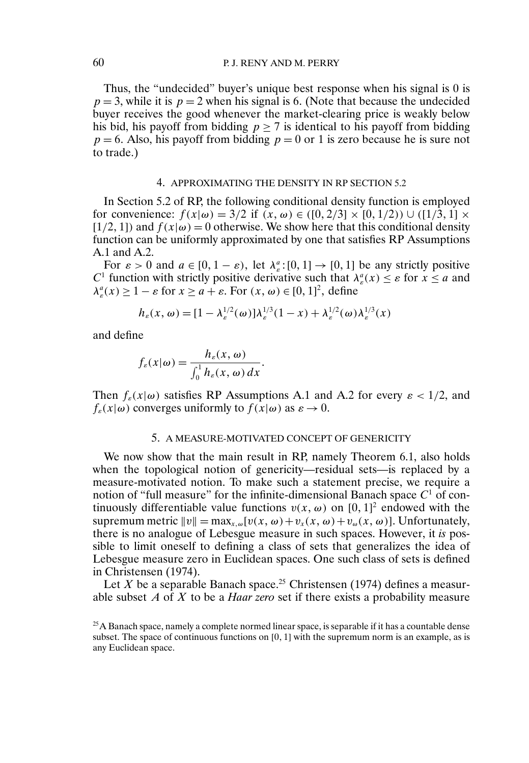Thus, the "undecided" buyer's unique best response when his signal is 0 is  $p = 3$ , while it is  $p = 2$  when his signal is 6. (Note that because the undecided buyer receives the good whenever the market-clearing price is weakly below his bid, his payoff from bidding  $p \ge 7$  is identical to his payoff from bidding  $p = 6$ . Also, his payoff from bidding  $p = 0$  or 1 is zero because he is sure not to trade.)

#### 4. APPROXIMATING THE DENSITY IN RP SECTION 5.2

In Section 5.2 of RP, the following conditional density function is employed for convenience:  $f(x|\omega) = 3/2$  if  $(x, \omega) \in ([0, 2/3] \times [0, 1/2)) \cup ([1/3, 1] \times$ [1/2, 1]) and  $f(x|\omega) = 0$  otherwise. We show here that this conditional density function can be uniformly approximated by one that satisfies RP Assumptions A.1 and A.2.

For  $\varepsilon > 0$  and  $a \in [0, 1 - \varepsilon)$ , let  $\lambda_{\varepsilon}^a : [0, 1] \to [0, 1]$  be any strictly positive C<sup>1</sup> function with strictly positive derivative such that  $\lambda_e^a(x) \leq \varepsilon$  for  $x \leq a$  and  $\lambda_{\varepsilon}^a(x) \ge 1 - \varepsilon$  for  $x \ge a + \varepsilon$ . For  $(x, \omega) \in [0, 1]^2$ , define

$$
h_{\varepsilon}(x,\omega) = [1 - \lambda_{\varepsilon}^{1/2}(\omega)]\lambda_{\varepsilon}^{1/3}(1-x) + \lambda_{\varepsilon}^{1/2}(\omega)\lambda_{\varepsilon}^{1/3}(x)
$$

and define

$$
f_{\varepsilon}(x|\omega) = \frac{h_{\varepsilon}(x,\omega)}{\int_0^1 h_{\varepsilon}(x,\omega)\,dx}.
$$

Then  $f_{\varepsilon}(x|\omega)$  satisfies RP Assumptions A.1 and A.2 for every  $\varepsilon < 1/2$ , and  $f_{\varepsilon}(x|\omega)$  converges uniformly to  $f(x|\omega)$  as  $\varepsilon \to 0$ .

#### 5. A MEASURE-MOTIVATED CONCEPT OF GENERICITY

We now show that the main result in RP, namely Theorem 6.1, also holds when the topological notion of genericity—residual sets—is replaced by a measure-motivated notion. To make such a statement precise, we require a notion of "full measure" for the infinite-dimensional Banach space  $C<sup>1</sup>$  of continuously differentiable value functions  $v(x, \omega)$  on [0, 1]<sup>2</sup> endowed with the supremum metric  $||v|| = \max_{x,\omega} [v(x,\omega) + v_x(x,\omega) + v_\omega(x,\omega)]$ . Unfortunately, there is no analogue of Lebesgue measure in such spaces. However, it *is* possible to limit oneself to defining a class of sets that generalizes the idea of Lebesgue measure zero in Euclidean spaces. One such class of sets is defined in Christensen (1974).

Let X be a separable Banach space.<sup>25</sup> Christensen (1974) defines a measurable subset A of X to be a *Haar zero* set if there exists a probability measure

 $25$ A Banach space, namely a complete normed linear space, is separable if it has a countable dense subset. The space of continuous functions on [0, 1] with the supremum norm is an example, as is any Euclidean space.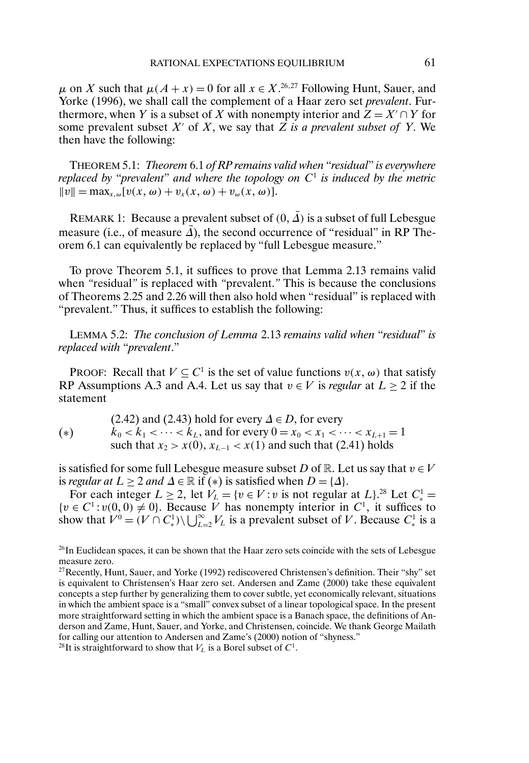$\mu$  on X such that  $\mu(A + x) = 0$  for all  $x \in X^{26,27}$  Following Hunt, Sauer, and Yorke (1996), we shall call the complement of a Haar zero set *prevalent*. Furthermore, when Y is a subset of X with nonempty interior and  $Z = X' \cap Y$  for some prevalent subset  $X'$  of  $X$ , we say that  $Z$  *is a prevalent subset of*  $Y$ . We then have the following:

THEOREM 5.1: *Theorem* 6.1 *of RP remains valid when* "*residual*" *is everywhere replaced by* "*prevalent*" *and where the topology on* C<sup>1</sup> *is induced by the metric*  $||v|| = \max_{x,\omega} [v(x,\omega) + v_x(x,\omega) + v_\omega(x,\omega)].$ 

REMARK 1: Because a prevalent subset of  $(0, \overline{A})$  is a subset of full Lebesgue measure (i.e., of measure  $\overline{A}$ ), the second occurrence of "residual" in RP Theorem 6.1 can equivalently be replaced by "full Lebesgue measure."

To prove Theorem 5.1, it suffices to prove that Lemma 2.13 remains valid when *"*residual*"* is replaced with *"*prevalent.*"* This is because the conclusions of Theorems 2.25 and 2.26 will then also hold when "residual" is replaced with "prevalent." Thus, it suffices to establish the following:

LEMMA 5.2: *The conclusion of Lemma* 2.13 *remains valid when* "*residual*" *is replaced with* "*prevalent*."

PROOF: Recall that  $V \subseteq C^1$  is the set of value functions  $v(x, \omega)$  that satisfy RP Assumptions A.3 and A.4. Let us say that  $v \in V$  is *regular* at  $L \ge 2$  if the statement

(2.42) and (2.43) hold for every  $\Delta \in D$ , for every  $k_0 < k_1 < \cdots < k_L$ , and for every  $0 = x_0 < x_1 < \cdots < x_{L+1} = 1$ such that  $x_2 > x(0)$ ,  $x_{L-1} < x(1)$  and such that (2.41) holds (∗)

is satisfied for some full Lebesgue measure subset D of R. Let us say that  $v \in V$ is *regular at*  $L \ge 2$  *and*  $\Delta \in \mathbb{R}$  if (\*) is satisfied when  $D = \{\Delta\}.$ 

For each integer  $L \ge 2$ , let  $V_L = \{v \in V : v \text{ is not regular at } L\}^{28}$  Let  $C_*^1 =$  $\{v \in C^1 : v(0,0) \neq 0\}$ . Because V has nonempty interior in  $C^1$ , it suffices to show that  $V^0 = (V \cap C_*^1) \setminus \bigcup_{L=2}^{\infty} V_L$  is a prevalent subset of V. Because  $C_*^1$  is a

<sup>&</sup>lt;sup>26</sup>In Euclidean spaces, it can be shown that the Haar zero sets coincide with the sets of Lebesgue measure zero.

<sup>&</sup>lt;sup>27</sup>Recently, Hunt, Sauer, and Yorke (1992) rediscovered Christensen's definition. Their "shy" set is equivalent to Christensen's Haar zero set. Andersen and Zame (2000) take these equivalent concepts a step further by generalizing them to cover subtle, yet economically relevant, situations in which the ambient space is a "small" convex subset of a linear topological space. In the present more straightforward setting in which the ambient space is a Banach space, the definitions of Anderson and Zame, Hunt, Sauer, and Yorke, and Christensen, coincide. We thank George Mailath for calling our attention to Andersen and Zame's (2000) notion of "shyness."

<sup>&</sup>lt;sup>28</sup>It is straightforward to show that  $V<sub>L</sub>$  is a Borel subset of  $C<sup>1</sup>$ .